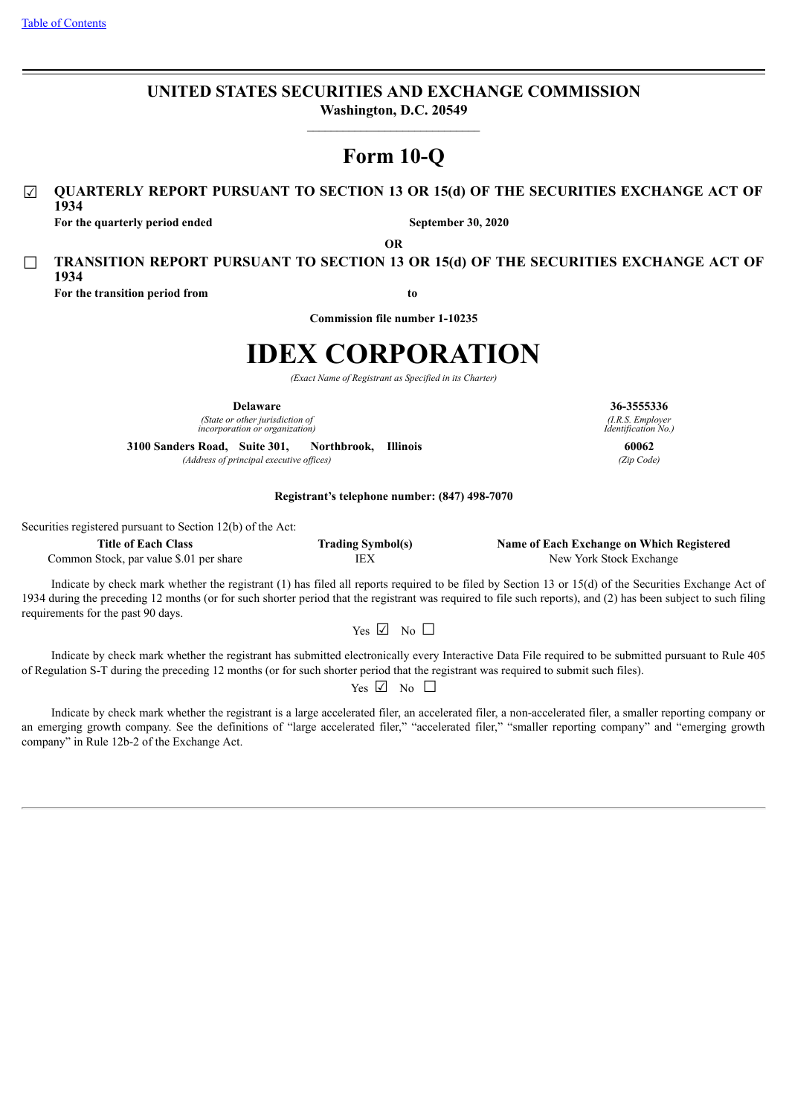**1934**

**1934**

# **Washington, D.C. 20549 Form 10-Q** ☑ **QUARTERLY REPORT PURSUANT TO SECTION 13 OR 15(d) OF THE SECURITIES EXCHANGE ACT OF For the quarterly period ended September 30, 2020 OR** ☐ **TRANSITION REPORT PURSUANT TO SECTION 13 OR 15(d) OF THE SECURITIES EXCHANGE ACT OF For the transition period from to Commission file number 1-10235 IDEX CORPORATION** *(Exact Name of Registrant as Specified in its Charter)* **Delaware 36-3555336** *(State or other jurisdiction of incorporation or organization) (I.R.S. Employer Identification No.)* **3100 Sanders Road, Suite 301, Northbrook, Illinois 60062** *(Address of principal executive of ices) (Zip Code)* **Registrant's telephone number: (847) 498-7070**

**UNITED STATES SECURITIES AND EXCHANGE COMMISSION**

Securities registered pursuant to Section 12(b) of the Act:

| <b>Title of Each Class</b>              | <b>Trading Symbol(s)</b> | Name of Each Exchange on Which Registered |
|-----------------------------------------|--------------------------|-------------------------------------------|
| Common Stock, par value \$.01 per share | IEX                      | New York Stock Exchange                   |

Indicate by check mark whether the registrant (1) has filed all reports required to be filed by Section 13 or 15(d) of the Securities Exchange Act of 1934 during the preceding 12 months (or for such shorter period that the registrant was required to file such reports), and (2) has been subject to such filing requirements for the past 90 days.

Yes  $\Box$  No  $\Box$ 

Indicate by check mark whether the registrant has submitted electronically every Interactive Data File required to be submitted pursuant to Rule 405 of Regulation S-T during the preceding 12 months (or for such shorter period that the registrant was required to submit such files).

Yes ☑ No □

Indicate by check mark whether the registrant is a large accelerated filer, an accelerated filer, a non-accelerated filer, a smaller reporting company or an emerging growth company. See the definitions of "large accelerated filer," "accelerated filer," "smaller reporting company" and "emerging growth company" in Rule 12b-2 of the Exchange Act.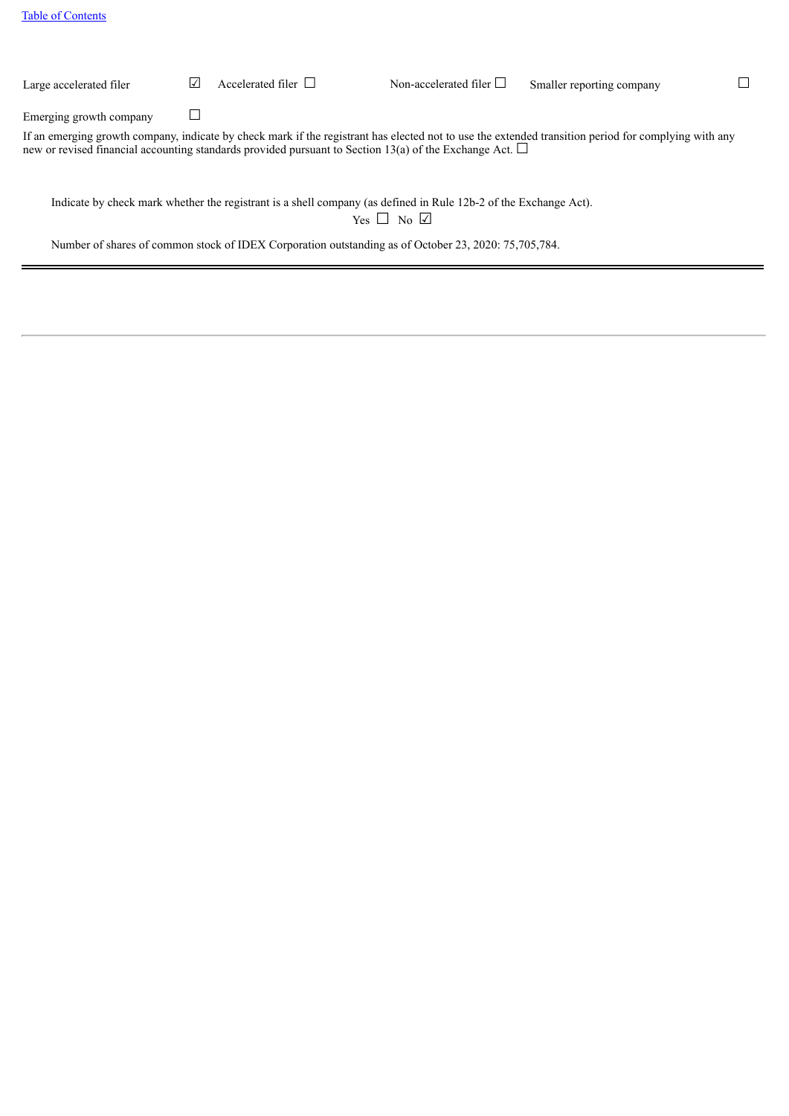<span id="page-1-0"></span>

| Large accelerated filer | ₩ | Accelerated filer                                                                                                | Non-accelerated filer $\Box$ | Smaller reporting company                                                                                                                            |  |
|-------------------------|---|------------------------------------------------------------------------------------------------------------------|------------------------------|------------------------------------------------------------------------------------------------------------------------------------------------------|--|
| Emerging growth company |   | new or revised financial accounting standards provided pursuant to Section 13(a) of the Exchange Act. $\Box$     |                              | If an emerging growth company, indicate by check mark if the registrant has elected not to use the extended transition period for complying with any |  |
|                         |   | Indicate by check mark whether the registrant is a shell company (as defined in Rule 12b-2 of the Exchange Act). | Yes $\Box$ No $\Box$         |                                                                                                                                                      |  |
|                         |   | Number of shares of common stock of IDEX Corporation outstanding as of October 23, 2020: 75,705,784.             |                              |                                                                                                                                                      |  |
|                         |   |                                                                                                                  |                              |                                                                                                                                                      |  |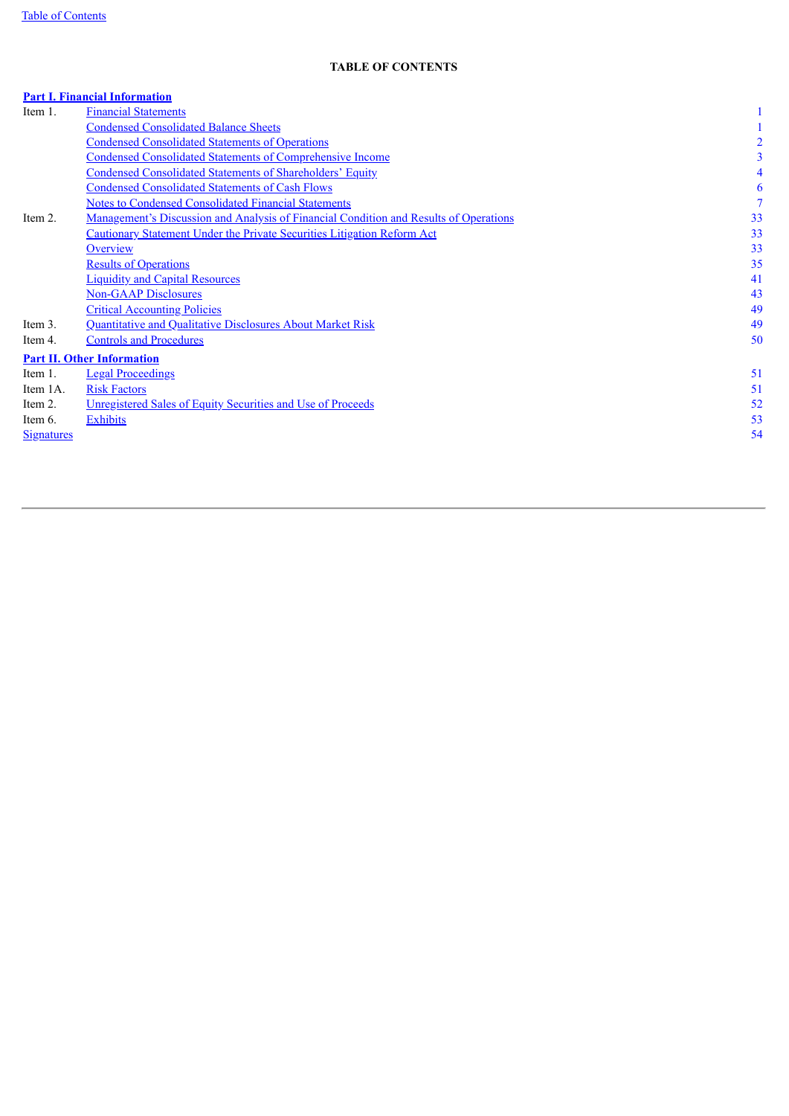# **TABLE OF CONTENTS**

<span id="page-2-0"></span>

|                   | <b>Part I. Financial Information</b>                                                         |                |
|-------------------|----------------------------------------------------------------------------------------------|----------------|
| Item 1.           | <b>Financial Statements</b>                                                                  |                |
|                   | <b>Condensed Consolidated Balance Sheets</b>                                                 |                |
|                   | <b>Condensed Consolidated Statements of Operations</b>                                       | $\overline{2}$ |
|                   | <b>Condensed Consolidated Statements of Comprehensive Income</b>                             |                |
|                   | <b>Condensed Consolidated Statements of Shareholders' Equity</b>                             |                |
|                   | <b>Condensed Consolidated Statements of Cash Flows</b>                                       | 6              |
|                   | <b>Notes to Condensed Consolidated Financial Statements</b>                                  |                |
| Item 2.           | <u>Management's Discussion and Analysis of Financial Condition and Results of Operations</u> | 33             |
|                   | Cautionary Statement Under the Private Securities Litigation Reform Act                      | 33             |
|                   | Overview                                                                                     | 33             |
|                   | <b>Results of Operations</b>                                                                 | 35             |
|                   | <b>Liquidity and Capital Resources</b>                                                       | 41             |
|                   | <b>Non-GAAP Disclosures</b>                                                                  | 43             |
|                   | <b>Critical Accounting Policies</b>                                                          | 49             |
| Item 3.           | Quantitative and Qualitative Disclosures About Market Risk                                   | 49             |
| Item 4.           | <b>Controls and Procedures</b>                                                               | 50             |
|                   | <b>Part II. Other Information</b>                                                            |                |
| Item 1.           | <b>Legal Proceedings</b>                                                                     | 51             |
| Item 1A.          | <b>Risk Factors</b>                                                                          | 51             |
| Item 2.           | <b>Unregistered Sales of Equity Securities and Use of Proceeds</b>                           | 52             |
| Item 6.           | <b>Exhibits</b>                                                                              | 53             |
| <b>Signatures</b> |                                                                                              | 54             |
|                   |                                                                                              |                |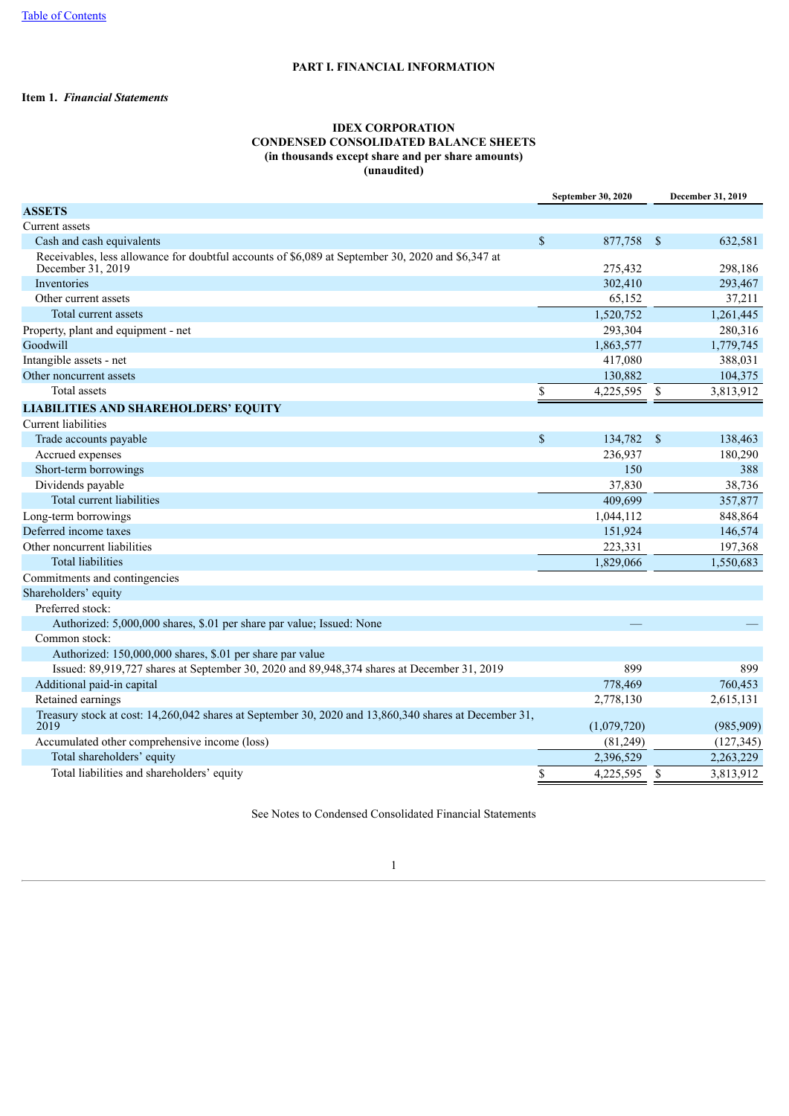## **PART I. FINANCIAL INFORMATION**

## <span id="page-3-1"></span><span id="page-3-0"></span>**Item 1.** *Financial Statements*

## **IDEX CORPORATION CONDENSED CONSOLIDATED BALANCE SHEETS (in thousands except share and per share amounts) (unaudited)**

|                                                                                                               |              | <b>September 30, 2020</b> |             | December 31, 2019 |
|---------------------------------------------------------------------------------------------------------------|--------------|---------------------------|-------------|-------------------|
| <b>ASSETS</b>                                                                                                 |              |                           |             |                   |
| Current assets                                                                                                |              |                           |             |                   |
| Cash and cash equivalents                                                                                     | $\mathbf S$  | 877,758 \$                |             | 632,581           |
| Receivables, less allowance for doubtful accounts of \$6,089 at September 30, 2020 and \$6,347 at             |              |                           |             |                   |
| December 31, 2019                                                                                             |              | 275,432                   |             | 298,186           |
| Inventories                                                                                                   |              | 302,410                   |             | 293,467           |
| Other current assets                                                                                          |              | 65.152                    |             | 37,211            |
| Total current assets                                                                                          |              | 1,520,752                 |             | 1,261,445         |
| Property, plant and equipment - net                                                                           |              | 293,304                   |             | 280,316           |
| Goodwill                                                                                                      |              | 1,863,577                 |             | 1,779,745         |
| Intangible assets - net                                                                                       |              | 417,080                   |             | 388,031           |
| Other noncurrent assets                                                                                       |              | 130,882                   |             | 104,375           |
| Total assets                                                                                                  | $\$$         | 4,225,595                 | \$          | 3,813,912         |
| <b>LIABILITIES AND SHAREHOLDERS' EQUITY</b>                                                                   |              |                           |             |                   |
| Current liabilities                                                                                           |              |                           |             |                   |
| Trade accounts payable                                                                                        | $\mathbb{S}$ | 134,782 \$                |             | 138,463           |
| Accrued expenses                                                                                              |              | 236,937                   |             | 180,290           |
| Short-term borrowings                                                                                         |              | 150                       |             | 388               |
| Dividends payable                                                                                             |              | 37,830                    |             | 38,736            |
| Total current liabilities                                                                                     |              | 409.699                   |             | 357,877           |
| Long-term borrowings                                                                                          |              | 1,044,112                 |             | 848,864           |
| Deferred income taxes                                                                                         |              | 151,924                   |             | 146,574           |
| Other noncurrent liabilities                                                                                  |              | 223,331                   |             | 197,368           |
| <b>Total liabilities</b>                                                                                      |              | 1,829,066                 |             | 1,550,683         |
| Commitments and contingencies                                                                                 |              |                           |             |                   |
| Shareholders' equity                                                                                          |              |                           |             |                   |
| Preferred stock:                                                                                              |              |                           |             |                   |
| Authorized: 5,000,000 shares, \$.01 per share par value; Issued: None                                         |              |                           |             |                   |
| Common stock:                                                                                                 |              |                           |             |                   |
| Authorized: 150,000,000 shares, \$.01 per share par value                                                     |              |                           |             |                   |
| Issued: 89,919,727 shares at September 30, 2020 and 89,948,374 shares at December 31, 2019                    |              | 899                       |             | 899               |
| Additional paid-in capital                                                                                    |              | 778,469                   |             | 760,453           |
| Retained earnings                                                                                             |              | 2,778,130                 |             | 2,615,131         |
| Treasury stock at cost: 14,260,042 shares at September 30, 2020 and 13,860,340 shares at December 31,<br>2019 |              | (1,079,720)               |             | (985,909)         |
| Accumulated other comprehensive income (loss)                                                                 |              | (81,249)                  |             | (127, 345)        |
| Total shareholders' equity                                                                                    |              | 2,396,529                 |             | 2,263,229         |
| Total liabilities and shareholders' equity                                                                    | \$           |                           | $\mathbf S$ |                   |
|                                                                                                               |              | 4,225,595                 |             | 3,813,912         |

<span id="page-3-2"></span>See Notes to Condensed Consolidated Financial Statements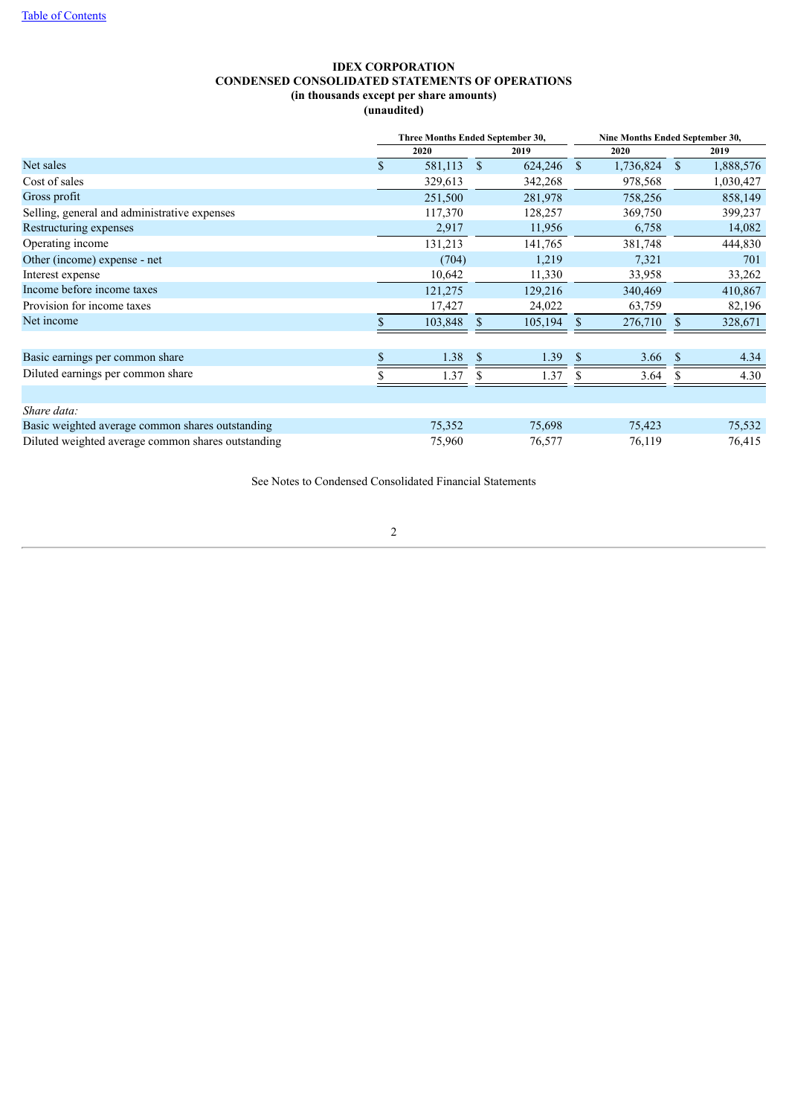## **IDEX CORPORATION CONDENSED CONSOLIDATED STATEMENTS OF OPERATIONS (in thousands except per share amounts) (unaudited)**

|                                                    |              | Three Months Ended September 30, |                    |         | Nine Months Ended September 30, |           |               |           |
|----------------------------------------------------|--------------|----------------------------------|--------------------|---------|---------------------------------|-----------|---------------|-----------|
|                                                    |              | 2020<br>2019                     |                    |         |                                 | 2020      |               | 2019      |
| Net sales                                          | $\mathbb{S}$ | 581,113                          | $\mathbf{\hat{s}}$ | 624,246 | <sup>\$</sup>                   | 1,736,824 | <sup>\$</sup> | 1,888,576 |
| Cost of sales                                      |              | 329,613                          |                    | 342,268 |                                 | 978,568   |               | 1,030,427 |
| Gross profit                                       |              | 251,500                          |                    | 281,978 |                                 | 758,256   |               | 858,149   |
| Selling, general and administrative expenses       |              | 117,370                          |                    | 128,257 |                                 | 369,750   |               | 399,237   |
| Restructuring expenses                             |              | 2,917                            |                    | 11,956  |                                 | 6,758     |               | 14,082    |
| Operating income                                   |              | 131,213                          |                    | 141,765 |                                 | 381,748   |               | 444,830   |
| Other (income) expense - net                       |              | (704)                            |                    | 1,219   |                                 | 7,321     |               | 701       |
| Interest expense                                   |              | 10,642                           |                    | 11,330  |                                 | 33,958    |               | 33,262    |
| Income before income taxes                         |              | 121,275                          |                    | 129,216 |                                 | 340,469   |               | 410,867   |
| Provision for income taxes                         |              | 17,427                           |                    | 24,022  |                                 | 63,759    |               | 82,196    |
| Net income                                         |              | 103,848                          | \$.                | 105,194 | $\mathbf{\$}$                   | 276,710   | $\mathbf{\$}$ | 328,671   |
|                                                    |              |                                  |                    |         |                                 |           |               |           |
| Basic earnings per common share                    |              | 1.38                             | <sup>\$</sup>      | 1.39    | \$                              | 3.66      | -S            | 4.34      |
| Diluted earnings per common share                  |              | 1.37                             |                    | 1.37    |                                 | 3.64      |               | 4.30      |
|                                                    |              |                                  |                    |         |                                 |           |               |           |
| Share data:                                        |              |                                  |                    |         |                                 |           |               |           |
| Basic weighted average common shares outstanding   |              | 75,352                           |                    | 75,698  |                                 | 75,423    |               | 75,532    |
| Diluted weighted average common shares outstanding |              | 75,960                           |                    | 76,577  |                                 | 76,119    |               | 76,415    |

<span id="page-4-0"></span>See Notes to Condensed Consolidated Financial Statements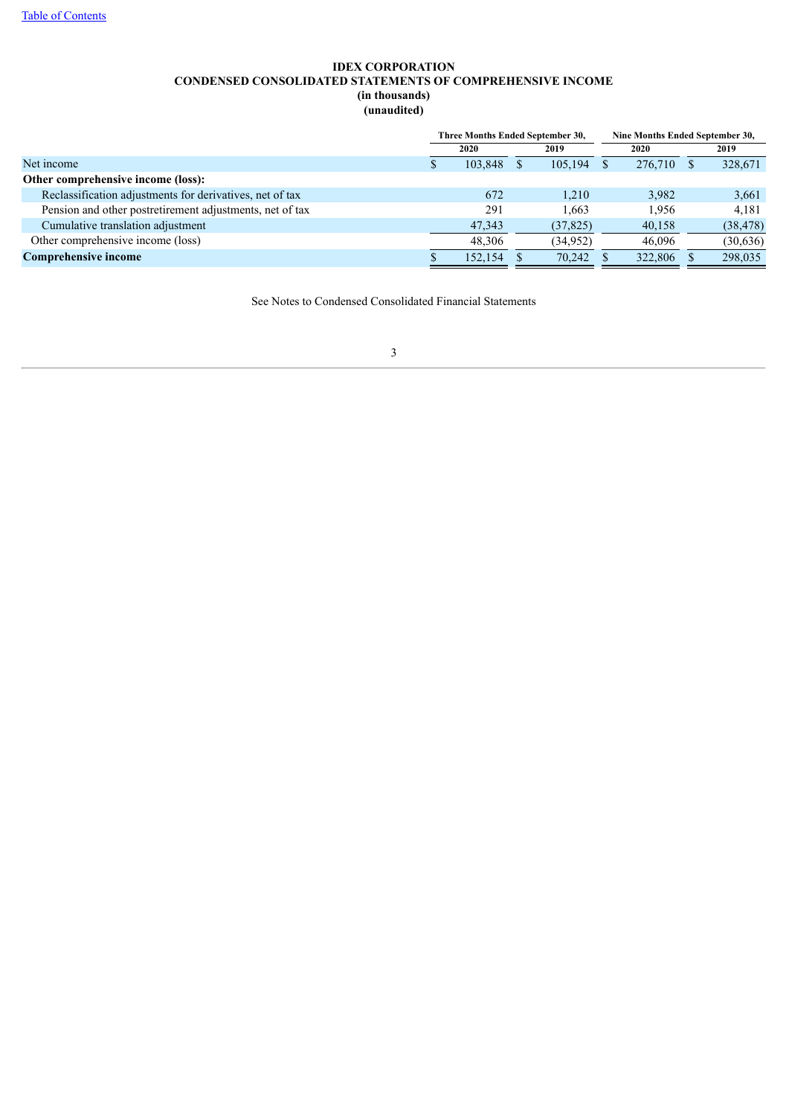## **IDEX CORPORATION CONDENSED CONSOLIDATED STATEMENTS OF COMPREHENSIVE INCOME (in thousands) (unaudited)**

<span id="page-5-0"></span>

|                                                          | Three Months Ended September 30, |         |      |           |    | Nine Months Ended September 30, |  |           |
|----------------------------------------------------------|----------------------------------|---------|------|-----------|----|---------------------------------|--|-----------|
|                                                          | 2020                             |         | 2019 |           |    | 2020                            |  | 2019      |
| Net income                                               | ۰D                               | 103,848 |      | 105,194   | -8 | 276,710                         |  | 328,671   |
| Other comprehensive income (loss):                       |                                  |         |      |           |    |                                 |  |           |
| Reclassification adjustments for derivatives, net of tax |                                  | 672     |      | 1.210     |    | 3,982                           |  | 3,661     |
| Pension and other postretirement adjustments, net of tax |                                  | 291     |      | 1.663     |    | 1.956                           |  | 4,181     |
| Cumulative translation adjustment                        |                                  | 47,343  |      | (37, 825) |    | 40,158                          |  | (38, 478) |
| Other comprehensive income (loss)                        |                                  | 48,306  |      | (34,952)  |    | 46,096                          |  | (30, 636) |
| <b>Comprehensive income</b>                              |                                  | 152.154 |      | 70.242    |    | 322,806                         |  | 298,035   |

See Notes to Condensed Consolidated Financial Statements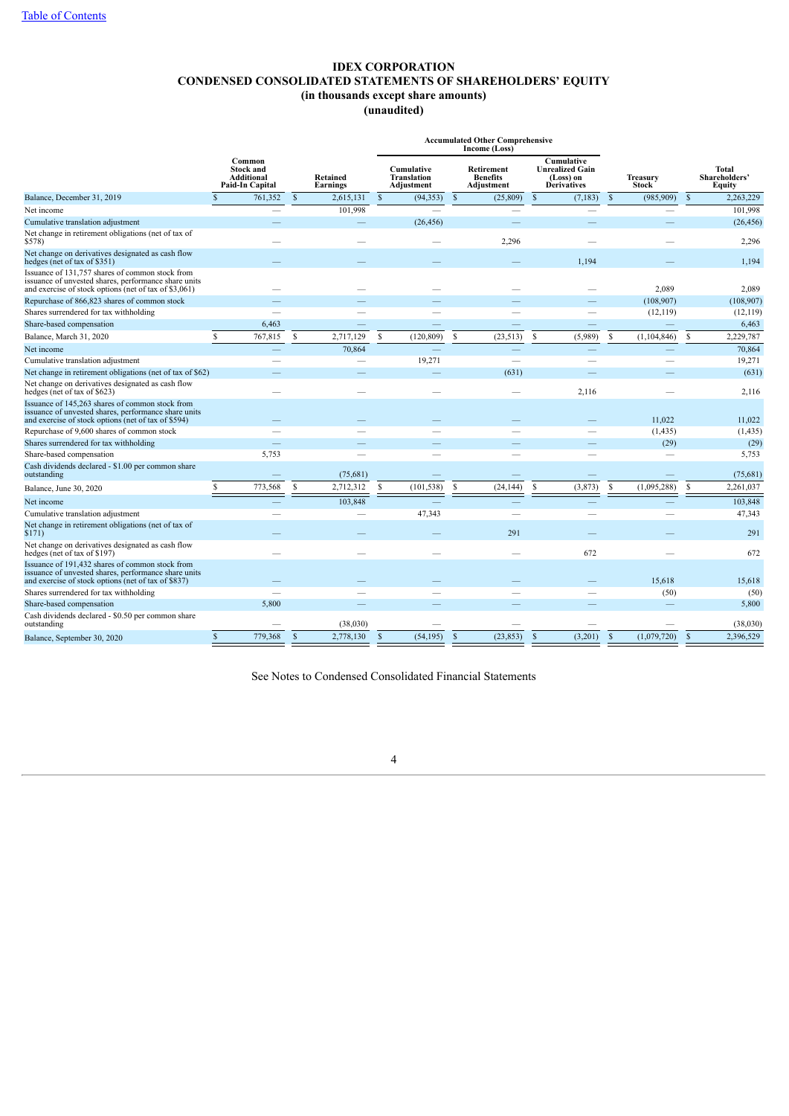# **IDEX CORPORATION CONDENSED CONSOLIDATED STATEMENTS OF SHAREHOLDERS' EQUITY (in thousands except share amounts)**

| (unaudited) |  |
|-------------|--|
|-------------|--|

|                                                                                                                                                                  |                                                             |         |               |                      |               |                                                |                         | <b>Accumulated Other Comprehensive</b><br>Income (Loss) |              |                                                                         |              |                                 |              |                                  |
|------------------------------------------------------------------------------------------------------------------------------------------------------------------|-------------------------------------------------------------|---------|---------------|----------------------|---------------|------------------------------------------------|-------------------------|---------------------------------------------------------|--------------|-------------------------------------------------------------------------|--------------|---------------------------------|--------------|----------------------------------|
|                                                                                                                                                                  | Common<br><b>Stock and</b><br>Additional<br>Paid-In Capital |         |               | Retained<br>Earnings |               | Cumulative<br><b>Translation</b><br>Adjustment |                         | Retirement<br><b>Benefits</b><br>Adjustment             |              | Cumulative<br><b>Unrealized Gain</b><br>(Loss) on<br><b>Derivatives</b> |              | <b>Treasury</b><br><b>Stock</b> |              | Total<br>Shareholders'<br>Equity |
| Balance, December 31, 2019                                                                                                                                       |                                                             | 761,352 | $\mathcal{S}$ | 2,615,131            | $\mathbf{s}$  | (94, 353)                                      | <sup>S</sup>            | (25, 809)                                               | $\mathbf{s}$ | (7, 183)                                                                | $\mathbf{s}$ | (985,909)                       | <sup>S</sup> | 2,263,229                        |
| Net income                                                                                                                                                       |                                                             | -       |               | 101,998              |               |                                                |                         |                                                         |              | -                                                                       |              | -                               |              | 101,998                          |
| Cumulative translation adjustment                                                                                                                                |                                                             |         |               |                      |               | (26, 456)                                      |                         |                                                         |              |                                                                         |              |                                 |              | (26, 456)                        |
| Net change in retirement obligations (net of tax of<br>\$578)                                                                                                    |                                                             |         |               |                      |               |                                                |                         | 2,296                                                   |              |                                                                         |              |                                 |              | 2,296                            |
| Net change on derivatives designated as cash flow<br>hedges (net of tax of \$351)                                                                                |                                                             |         |               |                      |               |                                                |                         |                                                         |              | 1,194                                                                   |              |                                 |              | 1,194                            |
| Issuance of 131,757 shares of common stock from<br>issuance of unvested shares, performance share units<br>and exercise of stock options (net of tax of \$3,061) |                                                             |         |               |                      |               |                                                |                         |                                                         |              |                                                                         |              | 2,089                           |              | 2,089                            |
| Repurchase of 866,823 shares of common stock                                                                                                                     |                                                             |         |               |                      |               |                                                |                         |                                                         |              |                                                                         |              | (108,907)                       |              | (108, 907)                       |
| Shares surrendered for tax withholding                                                                                                                           |                                                             |         |               |                      |               |                                                |                         |                                                         |              |                                                                         |              | (12, 119)                       |              | (12, 119)                        |
| Share-based compensation                                                                                                                                         |                                                             | 6,463   |               |                      |               |                                                |                         |                                                         |              |                                                                         |              |                                 |              | 6,463                            |
| Balance, March 31, 2020                                                                                                                                          | S                                                           | 767,815 | \$            | 2,717,129            | $\mathsf{\$}$ | (120, 809)                                     | S                       | (23, 513)                                               | \$           | (5.989)                                                                 | $\mathbb{S}$ | (1, 104, 846)                   | s            | 2,229,787                        |
| Net income                                                                                                                                                       |                                                             |         |               | 70,864               |               |                                                |                         |                                                         |              |                                                                         |              |                                 |              | 70,864                           |
| Cumulative translation adjustment                                                                                                                                |                                                             |         |               |                      |               | 19,271                                         |                         |                                                         |              |                                                                         |              |                                 |              | 19,271                           |
| Net change in retirement obligations (net of tax of \$62)                                                                                                        |                                                             |         |               |                      |               |                                                |                         | (631)                                                   |              |                                                                         |              |                                 |              | (631)                            |
| Net change on derivatives designated as cash flow<br>hedges (net of tax of \$623)                                                                                |                                                             |         |               |                      |               |                                                |                         |                                                         |              | 2,116                                                                   |              |                                 |              | 2,116                            |
| Issuance of 145,263 shares of common stock from<br>issuance of unvested shares, performance share units<br>and exercise of stock options (net of tax of \$594)   |                                                             |         |               |                      |               |                                                |                         |                                                         |              |                                                                         |              | 11.022                          |              | 11,022                           |
| Repurchase of 9,600 shares of common stock                                                                                                                       |                                                             |         |               |                      |               |                                                |                         |                                                         |              |                                                                         |              | (1, 435)                        |              | (1, 435)                         |
| Shares surrendered for tax withholding                                                                                                                           |                                                             |         |               |                      |               |                                                |                         |                                                         |              |                                                                         |              | (29)                            |              | (29)                             |
| Share-based compensation                                                                                                                                         |                                                             | 5,753   |               |                      |               |                                                |                         |                                                         |              |                                                                         |              |                                 |              | 5,753                            |
| Cash dividends declared - \$1.00 per common share<br>outstanding                                                                                                 |                                                             |         |               | (75,681)             |               |                                                |                         |                                                         |              |                                                                         |              |                                 |              | (75,681)                         |
| Balance, June 30, 2020                                                                                                                                           | S                                                           | 773,568 | \$            | 2,712,312            | $\mathbf S$   | (101, 538)                                     | s                       | (24, 144)                                               | \$           | (3,873)                                                                 | \$           | (1,095,288)                     | S            | 2,261,037                        |
| Net income                                                                                                                                                       |                                                             |         |               | 103,848              |               |                                                |                         |                                                         |              |                                                                         |              |                                 |              | 103,848                          |
| Cumulative translation adjustment                                                                                                                                |                                                             |         |               | -                    |               | 47,343                                         |                         |                                                         |              |                                                                         |              |                                 |              | 47,343                           |
| Net change in retirement obligations (net of tax of<br>\$171)                                                                                                    |                                                             |         |               |                      |               |                                                |                         | 291                                                     |              |                                                                         |              |                                 |              | 291                              |
| Net change on derivatives designated as cash flow<br>hedges (net of tax of \$197)                                                                                |                                                             |         |               |                      |               |                                                |                         |                                                         |              | 672                                                                     |              |                                 |              | 672                              |
| Issuance of 191,432 shares of common stock from<br>issuance of unvested shares, performance share units<br>and exercise of stock options (net of tax of \$837)   |                                                             |         |               |                      |               |                                                |                         |                                                         |              |                                                                         |              | 15,618                          |              | 15,618                           |
| Shares surrendered for tax withholding                                                                                                                           |                                                             |         |               |                      |               |                                                |                         |                                                         |              |                                                                         |              | (50)                            |              | (50)                             |
| Share-based compensation                                                                                                                                         |                                                             | 5,800   |               |                      |               |                                                |                         |                                                         |              |                                                                         |              |                                 |              | 5,800                            |
| Cash dividends declared - \$0.50 per common share<br>outstanding                                                                                                 |                                                             |         |               | (38,030)             |               |                                                |                         |                                                         |              |                                                                         |              |                                 |              | (38,030)                         |
| Balance, September 30, 2020                                                                                                                                      | $\mathbb{S}$                                                | 779,368 | $\mathbf{s}$  | 2,778,130            | -S            | (54, 195)                                      | $\overline{\mathbf{s}}$ | (23, 853)                                               | $\mathbf{s}$ | (3,201)                                                                 | $\mathbf{s}$ | (1,079,720)                     | <sub>S</sub> | 2,396,529                        |

See Notes to Condensed Consolidated Financial Statements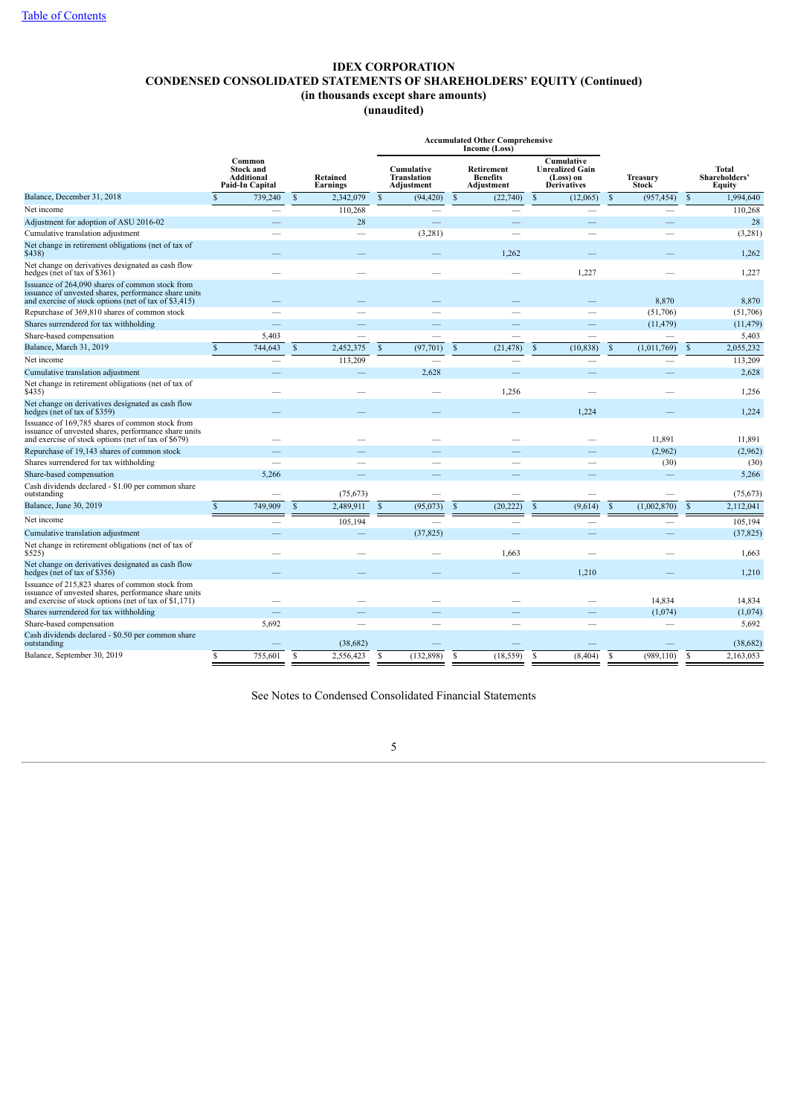# **IDEX CORPORATION CONDENSED CONSOLIDATED STATEMENTS OF SHAREHOLDERS' EQUITY (Continued) (in thousands except share amounts)**

| (unaudited) |
|-------------|
|-------------|

|                                                                                                                                                                  |               |                                                             |              |                             |               |                                                |              | <b>Accumulated Other Comprehensive</b><br>Income (Loss) |               |                                                                         |               |                                 |              |                                         |
|------------------------------------------------------------------------------------------------------------------------------------------------------------------|---------------|-------------------------------------------------------------|--------------|-----------------------------|---------------|------------------------------------------------|--------------|---------------------------------------------------------|---------------|-------------------------------------------------------------------------|---------------|---------------------------------|--------------|-----------------------------------------|
|                                                                                                                                                                  |               | Common<br><b>Stock and</b><br>Additional<br>Paid-In Capital |              | <b>Retained</b><br>Earnings |               | Cumulative<br><b>Translation</b><br>Adjustment |              | <b>Retirement</b><br><b>Benefits</b><br>Adjustment      |               | Cumulative<br><b>Unrealized Gain</b><br>(Loss) on<br><b>Derivatives</b> |               | <b>Treasury</b><br><b>Stock</b> |              | <b>Total</b><br>Shareholders'<br>Equity |
| Balance, December 31, 2018                                                                                                                                       | $\mathcal{S}$ | 739.240                                                     | $\mathbf{s}$ | 2,342,079                   | $\mathbf{s}$  | (94, 420)                                      | <sup>S</sup> | (22,740)                                                | <sup>S</sup>  | (12.065)                                                                | $\mathbf{s}$  | (957, 454)                      | $\mathbf{s}$ | 1.994.640                               |
| Net income                                                                                                                                                       |               |                                                             |              | 110,268                     |               |                                                |              |                                                         |               | -                                                                       |               | $\overline{\phantom{0}}$        |              | 110,268                                 |
| Adjustment for adoption of ASU 2016-02                                                                                                                           |               |                                                             |              | 28                          |               |                                                |              |                                                         |               |                                                                         |               |                                 |              | 28                                      |
| Cumulative translation adjustment                                                                                                                                |               |                                                             |              |                             |               | (3,281)                                        |              |                                                         |               |                                                                         |               |                                 |              | (3,281)                                 |
| Net change in retirement obligations (net of tax of<br>\$438)                                                                                                    |               |                                                             |              |                             |               |                                                |              | 1,262                                                   |               |                                                                         |               |                                 |              | 1,262                                   |
| Net change on derivatives designated as cash flow<br>hedges (net of tax of \$361)                                                                                |               |                                                             |              |                             |               |                                                |              |                                                         |               | 1,227                                                                   |               |                                 |              | 1,227                                   |
| Issuance of 264,090 shares of common stock from<br>issuance of unvested shares, performance share units<br>and exercise of stock options (net of tax of \$3,415) |               |                                                             |              |                             |               |                                                |              |                                                         |               |                                                                         |               | 8,870                           |              | 8,870                                   |
| Repurchase of 369,810 shares of common stock                                                                                                                     |               |                                                             |              |                             |               |                                                |              |                                                         |               |                                                                         |               | (51,706)                        |              | (51,706)                                |
| Shares surrendered for tax withholding                                                                                                                           |               |                                                             |              |                             |               |                                                |              |                                                         |               |                                                                         |               | (11, 479)                       |              | (11, 479)                               |
| Share-based compensation                                                                                                                                         |               | 5.403                                                       |              |                             |               |                                                |              |                                                         |               | $\overline{\phantom{a}}$                                                |               |                                 |              | 5,403                                   |
| Balance, March 31, 2019                                                                                                                                          | <sup>\$</sup> | 744.643                                                     | $\mathbf{s}$ | 2.452.375                   | $\mathbf S$   | (97, 701)                                      | \$           | (21, 478)                                               | $\mathcal{S}$ | (10, 838)                                                               | <sup>\$</sup> | (1,011,769)                     | $\mathbf{s}$ | 2,055,232                               |
| Net income                                                                                                                                                       |               |                                                             |              | 113,209                     |               |                                                |              |                                                         |               | ÷.                                                                      |               |                                 |              | 113,209                                 |
| Cumulative translation adjustment                                                                                                                                |               |                                                             |              |                             |               | 2,628                                          |              |                                                         |               |                                                                         |               |                                 |              | 2,628                                   |
| Net change in retirement obligations (net of tax of<br>\$435)                                                                                                    |               |                                                             |              |                             |               |                                                |              | 1.256                                                   |               |                                                                         |               |                                 |              | 1,256                                   |
| Net change on derivatives designated as cash flow<br>hedges (net of tax of \$359)                                                                                |               |                                                             |              |                             |               |                                                |              |                                                         |               | 1.224                                                                   |               |                                 |              | 1,224                                   |
| Issuance of 169,785 shares of common stock from<br>issuance of unvested shares, performance share units<br>and exercise of stock options (net of tax of \$679)   |               |                                                             |              |                             |               |                                                |              |                                                         |               |                                                                         |               | 11,891                          |              | 11,891                                  |
| Repurchase of 19,143 shares of common stock                                                                                                                      |               |                                                             |              |                             |               |                                                |              |                                                         |               |                                                                         |               | (2,962)                         |              | (2,962)                                 |
| Shares surrendered for tax withholding                                                                                                                           |               |                                                             |              |                             |               |                                                |              |                                                         |               |                                                                         |               | (30)                            |              | (30)                                    |
| Share-based compensation                                                                                                                                         |               | 5,266                                                       |              |                             |               |                                                |              |                                                         |               |                                                                         |               |                                 |              | 5,266                                   |
| Cash dividends declared - \$1.00 per common share<br>outstanding                                                                                                 |               |                                                             |              | (75, 673)                   |               |                                                |              |                                                         |               |                                                                         |               |                                 |              | (75, 673)                               |
| Balance, June 30, 2019                                                                                                                                           | $\mathcal{S}$ | 749,909                                                     | $\mathbf S$  | 2,489,911                   | $\mathsf{\$}$ | (95,073)                                       | $\mathbf S$  | (20, 222)                                               | $\mathcal{S}$ | (9,614)                                                                 | $\mathcal{S}$ | (1,002,870)                     | $\mathbf S$  | 2,112,041                               |
| Net income                                                                                                                                                       |               |                                                             |              | 105,194                     |               |                                                |              |                                                         |               | -                                                                       |               |                                 |              | 105,194                                 |
| Cumulative translation adjustment                                                                                                                                |               |                                                             |              |                             |               | (37, 825)                                      |              |                                                         |               |                                                                         |               |                                 |              | (37, 825)                               |
| Net change in retirement obligations (net of tax of<br>\$525)                                                                                                    |               |                                                             |              |                             |               |                                                |              | 1,663                                                   |               |                                                                         |               |                                 |              | 1,663                                   |
| Net change on derivatives designated as cash flow<br>hedges (net of tax of \$356)                                                                                |               |                                                             |              |                             |               |                                                |              |                                                         |               | 1.210                                                                   |               |                                 |              | 1,210                                   |
| Issuance of 215,823 shares of common stock from<br>issuance of unvested shares, performance share units<br>and exercise of stock options (net of tax of \$1,171) |               |                                                             |              |                             |               |                                                |              |                                                         |               |                                                                         |               | 14,834                          |              | 14,834                                  |
| Shares surrendered for tax withholding                                                                                                                           |               |                                                             |              |                             |               |                                                |              |                                                         |               |                                                                         |               | (1,074)                         |              | (1,074)                                 |
| Share-based compensation                                                                                                                                         |               | 5,692                                                       |              |                             |               |                                                |              |                                                         |               |                                                                         |               |                                 |              | 5,692                                   |
| Cash dividends declared - \$0.50 per common share<br>outstanding                                                                                                 |               |                                                             |              | (38, 682)                   |               |                                                |              |                                                         |               |                                                                         |               |                                 |              | (38, 682)                               |
| Balance, September 30, 2019                                                                                                                                      | S.            | 755.601                                                     | S            | 2.556.423                   | S             | (132.898)                                      | S            | (18, 559)                                               | <sup>\$</sup> | (8, 404)                                                                | <sup>\$</sup> | (989.110)                       | S            | 2,163,053                               |

<span id="page-7-0"></span>See Notes to Condensed Consolidated Financial Statements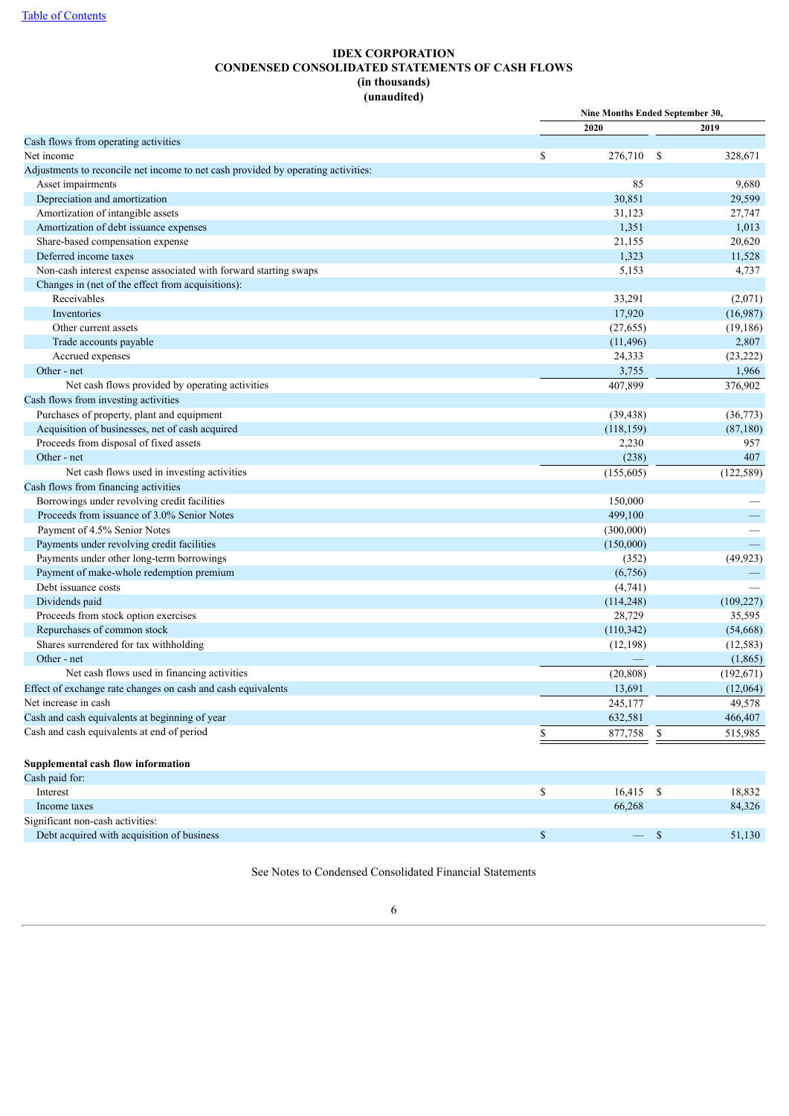## **IDEX CORPORATION CONDENSED CONSOLIDATED STATEMENTS OF CASH FLOWS (in thousands) (unaudited)**

|                                                                                   |              | Nine Months Ended September 30, |    |            |
|-----------------------------------------------------------------------------------|--------------|---------------------------------|----|------------|
|                                                                                   |              | 2020                            |    | 2019       |
| Cash flows from operating activities                                              |              |                                 |    |            |
| Net income                                                                        | \$           | 276,710 \$                      |    | 328,671    |
| Adjustments to reconcile net income to net cash provided by operating activities: |              |                                 |    |            |
| Asset impairments                                                                 |              | 85                              |    | 9,680      |
| Depreciation and amortization                                                     |              | 30,851                          |    | 29,599     |
| Amortization of intangible assets                                                 |              | 31,123                          |    | 27,747     |
| Amortization of debt issuance expenses                                            |              | 1,351                           |    | 1,013      |
| Share-based compensation expense                                                  |              | 21,155                          |    | 20,620     |
| Deferred income taxes                                                             |              | 1,323                           |    | 11,528     |
| Non-cash interest expense associated with forward starting swaps                  |              | 5,153                           |    | 4,737      |
| Changes in (net of the effect from acquisitions):                                 |              |                                 |    |            |
| Receivables                                                                       |              | 33,291                          |    | (2,071)    |
| Inventories                                                                       |              | 17,920                          |    | (16,987)   |
| Other current assets                                                              |              | (27, 655)                       |    | (19, 186)  |
| Trade accounts payable                                                            |              | (11, 496)                       |    | 2,807      |
| Accrued expenses                                                                  |              | 24,333                          |    | (23, 222)  |
| Other - net                                                                       |              | 3,755                           |    | 1,966      |
| Net cash flows provided by operating activities                                   |              | 407,899                         |    | 376,902    |
| Cash flows from investing activities                                              |              |                                 |    |            |
| Purchases of property, plant and equipment                                        |              | (39, 438)                       |    | (36,773)   |
| Acquisition of businesses, net of cash acquired                                   |              | (118, 159)                      |    | (87,180)   |
| Proceeds from disposal of fixed assets                                            |              | 2,230                           |    | 957        |
| Other - net                                                                       |              | (238)                           |    | 407        |
| Net cash flows used in investing activities                                       |              | (155,605)                       |    | (122, 589) |
| Cash flows from financing activities                                              |              |                                 |    |            |
| Borrowings under revolving credit facilities                                      |              | 150,000                         |    |            |
| Proceeds from issuance of 3.0% Senior Notes                                       |              | 499,100                         |    |            |
| Payment of 4.5% Senior Notes                                                      |              | (300,000)                       |    |            |
| Payments under revolving credit facilities                                        |              | (150,000)                       |    |            |
| Payments under other long-term borrowings                                         |              | (352)                           |    | (49, 923)  |
| Payment of make-whole redemption premium                                          |              | (6,756)                         |    |            |
| Debt issuance costs                                                               |              | (4,741)                         |    |            |
| Dividends paid                                                                    |              | (114, 248)                      |    | (109, 227) |
| Proceeds from stock option exercises                                              |              | 28,729                          |    | 35,595     |
| Repurchases of common stock                                                       |              | (110, 342)                      |    | (54,668)   |
| Shares surrendered for tax withholding                                            |              | (12,198)                        |    | (12, 583)  |
| Other - net                                                                       |              |                                 |    | (1, 865)   |
| Net cash flows used in financing activities                                       |              | (20, 808)                       |    | (192, 671) |
| Effect of exchange rate changes on cash and cash equivalents                      |              | 13,691                          |    | (12,064)   |
| Net increase in cash                                                              |              | 245,177                         |    | 49,578     |
| Cash and cash equivalents at beginning of year                                    |              | 632,581                         |    | 466,407    |
| Cash and cash equivalents at end of period                                        | \$           | 877,758                         | \$ | 515,985    |
|                                                                                   |              |                                 |    |            |
| Supplemental cash flow information                                                |              |                                 |    |            |
| Cash paid for:                                                                    |              |                                 |    |            |
| Interest                                                                          | $\mathbb{S}$ | 16,415                          | \$ | 18,832     |
| Income taxes                                                                      |              | 66,268                          |    | 84,326     |
| Significant non-cash activities:                                                  |              |                                 |    |            |
| Debt acquired with acquisition of business                                        | $\mathbb S$  | $-$ \$                          |    | 51,130     |
|                                                                                   |              |                                 |    |            |

<span id="page-8-0"></span>See Notes to Condensed Consolidated Financial Statements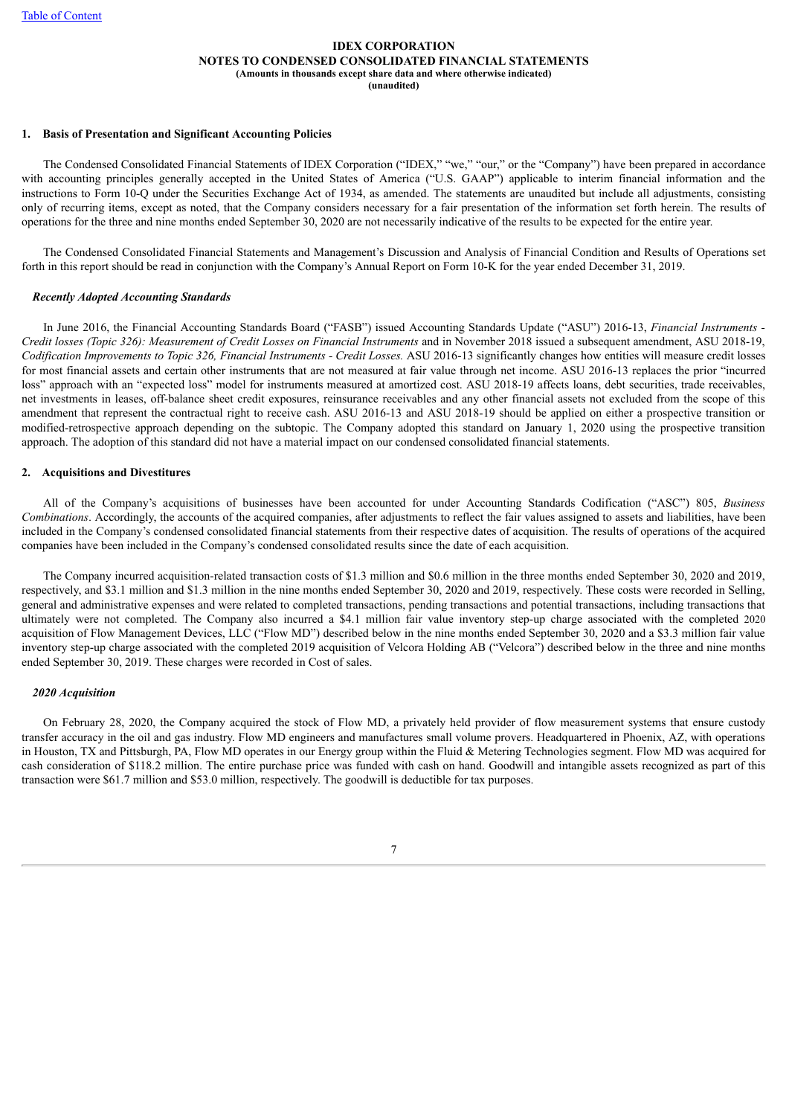#### **1. Basis of Presentation and Significant Accounting Policies**

The Condensed Consolidated Financial Statements of IDEX Corporation ("IDEX," "we," "our," or the "Company") have been prepared in accordance with accounting principles generally accepted in the United States of America ("U.S. GAAP") applicable to interim financial information and the instructions to Form 10-Q under the Securities Exchange Act of 1934, as amended. The statements are unaudited but include all adjustments, consisting only of recurring items, except as noted, that the Company considers necessary for a fair presentation of the information set forth herein. The results of operations for the three and nine months ended September 30, 2020 are not necessarily indicative of the results to be expected for the entire year.

The Condensed Consolidated Financial Statements and Management's Discussion and Analysis of Financial Condition and Results of Operations set forth in this report should be read in conjunction with the Company's Annual Report on Form 10-K for the year ended December 31, 2019.

#### *Recently Adopted Accounting Standards*

In June 2016, the Financial Accounting Standards Board ("FASB") issued Accounting Standards Update ("ASU") 2016-13, *Financial Instruments - Credit losses (Topic 326): Measurement of Credit Losses on Financial Instruments* and in November 2018 issued a subsequent amendment, ASU 2018-19, *Codification Improvements to Topic 326, Financial Instruments - Credit Losses.* ASU 2016-13 significantly changes how entities will measure credit losses for most financial assets and certain other instruments that are not measured at fair value through net income. ASU 2016-13 replaces the prior "incurred loss" approach with an "expected loss" model for instruments measured at amortized cost. ASU 2018-19 affects loans, debt securities, trade receivables, net investments in leases, off-balance sheet credit exposures, reinsurance receivables and any other financial assets not excluded from the scope of this amendment that represent the contractual right to receive cash. ASU 2016-13 and ASU 2018-19 should be applied on either a prospective transition or modified-retrospective approach depending on the subtopic. The Company adopted this standard on January 1, 2020 using the prospective transition approach. The adoption of this standard did not have a material impact on our condensed consolidated financial statements.

#### **2. Acquisitions and Divestitures**

All of the Company's acquisitions of businesses have been accounted for under Accounting Standards Codification ("ASC") 805, *Business Combinations*. Accordingly, the accounts of the acquired companies, after adjustments to reflect the fair values assigned to assets and liabilities, have been included in the Company's condensed consolidated financial statements from their respective dates of acquisition. The results of operations of the acquired companies have been included in the Company's condensed consolidated results since the date of each acquisition.

The Company incurred acquisition-related transaction costs of \$1.3 million and \$0.6 million in the three months ended September 30, 2020 and 2019, respectively, and \$3.1 million and \$1.3 million in the nine months ended September 30, 2020 and 2019, respectively. These costs were recorded in Selling, general and administrative expenses and were related to completed transactions, pending transactions and potential transactions, including transactions that ultimately were not completed. The Company also incurred a \$4.1 million fair value inventory step-up charge associated with the completed 2020 acquisition of Flow Management Devices, LLC ("Flow MD") described below in the nine months ended September 30, 2020 and a \$3.3 million fair value inventory step-up charge associated with the completed 2019 acquisition of Velcora Holding AB ("Velcora") described below in the three and nine months ended September 30, 2019. These charges were recorded in Cost of sales.

#### *2020 Acquisition*

On February 28, 2020, the Company acquired the stock of Flow MD, a privately held provider of flow measurement systems that ensure custody transfer accuracy in the oil and gas industry. Flow MD engineers and manufactures small volume provers. Headquartered in Phoenix, AZ, with operations in Houston, TX and Pittsburgh, PA, Flow MD operates in our Energy group within the Fluid & Metering Technologies segment. Flow MD was acquired for cash consideration of \$118.2 million. The entire purchase price was funded with cash on hand. Goodwill and intangible assets recognized as part of this transaction were \$61.7 million and \$53.0 million, respectively. The goodwill is deductible for tax purposes.

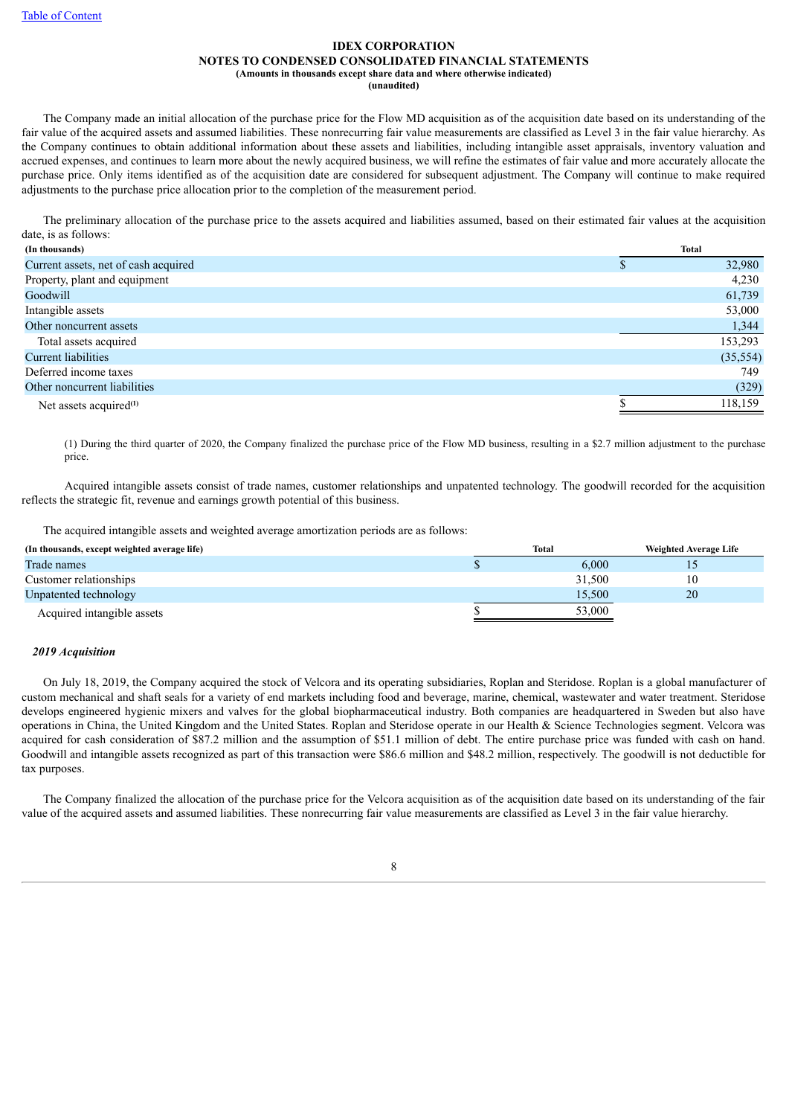The Company made an initial allocation of the purchase price for the Flow MD acquisition as of the acquisition date based on its understanding of the fair value of the acquired assets and assumed liabilities. These nonrecurring fair value measurements are classified as Level 3 in the fair value hierarchy. As the Company continues to obtain additional information about these assets and liabilities, including intangible asset appraisals, inventory valuation and accrued expenses, and continues to learn more about the newly acquired business, we will refine the estimates of fair value and more accurately allocate the purchase price. Only items identified as of the acquisition date are considered for subsequent adjustment. The Company will continue to make required adjustments to the purchase price allocation prior to the completion of the measurement period.

The preliminary allocation of the purchase price to the assets acquired and liabilities assumed, based on their estimated fair values at the acquisition date, is as follows:

| (In thousands)                       | <b>Total</b> |
|--------------------------------------|--------------|
| Current assets, net of cash acquired | 32,980       |
| Property, plant and equipment        | 4,230        |
| Goodwill                             | 61,739       |
| Intangible assets                    | 53,000       |
| Other noncurrent assets              | 1,344        |
| Total assets acquired                | 153,293      |
| Current liabilities                  | (35, 554)    |
| Deferred income taxes                | 749          |
| Other noncurrent liabilities         | (329)        |
| Net assets acquired <sup>(1)</sup>   | 118,159      |
|                                      |              |

(1) During the third quarter of 2020, the Company finalized the purchase price of the Flow MD business, resulting in a \$2.7 million adjustment to the purchase price.

Acquired intangible assets consist of trade names, customer relationships and unpatented technology. The goodwill recorded for the acquisition reflects the strategic fit, revenue and earnings growth potential of this business.

The acquired intangible assets and weighted average amortization periods are as follows:

| (In thousands, except weighted average life) | <b>Total</b> |        | <b>Weighted Average Life</b> |
|----------------------------------------------|--------------|--------|------------------------------|
| Trade names                                  |              | 6.000  |                              |
| Customer relationships                       |              | 31.500 | 10                           |
| Unpatented technology                        |              | 15.500 | 20                           |
| Acquired intangible assets                   |              | 53,000 |                              |

#### *2019 Acquisition*

On July 18, 2019, the Company acquired the stock of Velcora and its operating subsidiaries, Roplan and Steridose. Roplan is a global manufacturer of custom mechanical and shaft seals for a variety of end markets including food and beverage, marine, chemical, wastewater and water treatment. Steridose develops engineered hygienic mixers and valves for the global biopharmaceutical industry. Both companies are headquartered in Sweden but also have operations in China, the United Kingdom and the United States. Roplan and Steridose operate in our Health & Science Technologies segment. Velcora was acquired for cash consideration of \$87.2 million and the assumption of \$51.1 million of debt. The entire purchase price was funded with cash on hand. Goodwill and intangible assets recognized as part of this transaction were \$86.6 million and \$48.2 million, respectively. The goodwill is not deductible for tax purposes.

The Company finalized the allocation of the purchase price for the Velcora acquisition as of the acquisition date based on its understanding of the fair value of the acquired assets and assumed liabilities. These nonrecurring fair value measurements are classified as Level 3 in the fair value hierarchy.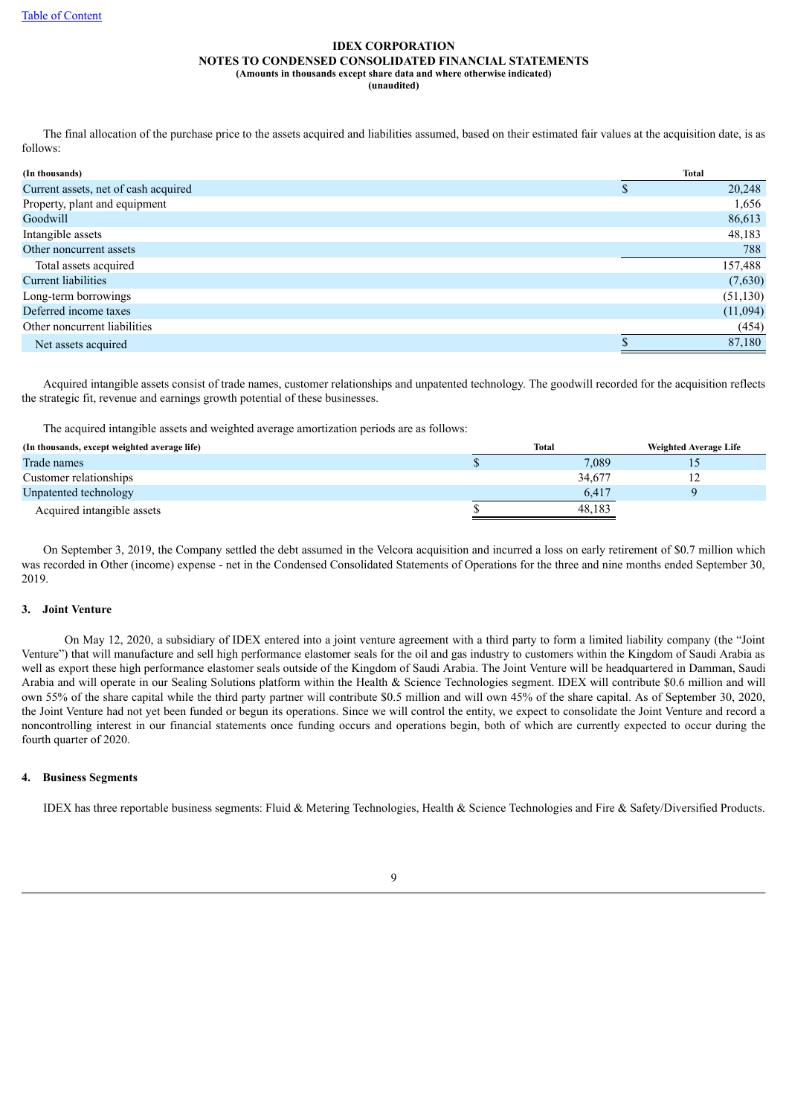**(unaudited)**

The final allocation of the purchase price to the assets acquired and liabilities assumed, based on their estimated fair values at the acquisition date, is as follows:

| (In thousands)                       | Total     |
|--------------------------------------|-----------|
| Current assets, net of cash acquired | 20,248    |
| Property, plant and equipment        | 1,656     |
| Goodwill                             | 86,613    |
| Intangible assets                    | 48,183    |
| Other noncurrent assets              | 788       |
| Total assets acquired                | 157,488   |
| <b>Current liabilities</b>           | (7,630)   |
| Long-term borrowings                 | (51, 130) |
| Deferred income taxes                | (11,094)  |
| Other noncurrent liabilities         | (454)     |
| Net assets acquired                  | 87,180    |

Acquired intangible assets consist of trade names, customer relationships and unpatented technology. The goodwill recorded for the acquisition reflects the strategic fit, revenue and earnings growth potential of these businesses.

The acquired intangible assets and weighted average amortization periods are as follows:

| (In thousands, except weighted average life) | Total  | <b>Weighted Average Life</b> |
|----------------------------------------------|--------|------------------------------|
| Trade names                                  | 7,089  |                              |
| Customer relationships                       | 34.677 | 12<br>$\overline{1}$         |
| Unpatented technology                        | 6.417  |                              |
| Acquired intangible assets                   | 48,183 |                              |

On September 3, 2019, the Company settled the debt assumed in the Velcora acquisition and incurred a loss on early retirement of \$0.7 million which was recorded in Other (income) expense - net in the Condensed Consolidated Statements of Operations for the three and nine months ended September 30, 2019.

#### **3. Joint Venture**

On May 12, 2020, a subsidiary of IDEX entered into a joint venture agreement with a third party to form a limited liability company (the "Joint Venture") that will manufacture and sell high performance elastomer seals for the oil and gas industry to customers within the Kingdom of Saudi Arabia as well as export these high performance elastomer seals outside of the Kingdom of Saudi Arabia. The Joint Venture will be headquartered in Damman, Saudi Arabia and will operate in our Sealing Solutions platform within the Health & Science Technologies segment. IDEX will contribute \$0.6 million and will own 55% of the share capital while the third party partner will contribute \$0.5 million and will own 45% of the share capital. As of September 30, 2020, the Joint Venture had not yet been funded or begun its operations. Since we will control the entity, we expect to consolidate the Joint Venture and record a noncontrolling interest in our financial statements once funding occurs and operations begin, both of which are currently expected to occur during the fourth quarter of 2020.

### **4. Business Segments**

IDEX has three reportable business segments: Fluid & Metering Technologies, Health & Science Technologies and Fire & Safety/Diversified Products.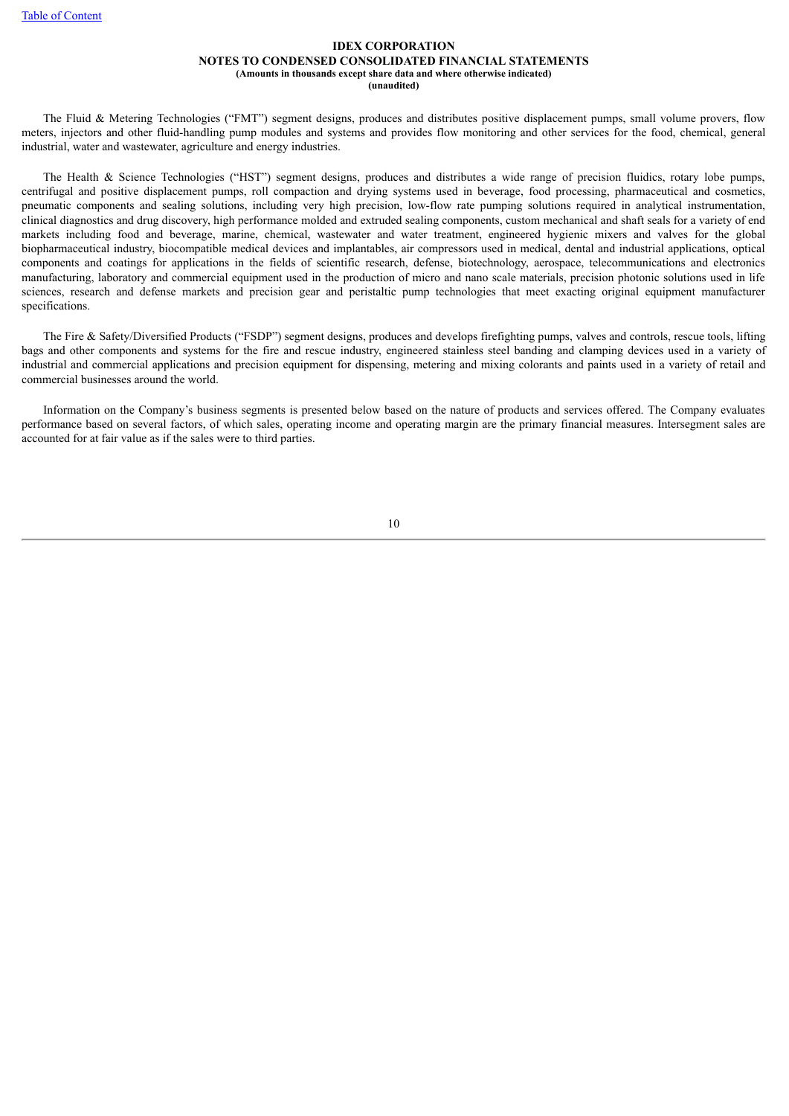The Fluid & Metering Technologies ("FMT") segment designs, produces and distributes positive displacement pumps, small volume provers, flow meters, injectors and other fluid-handling pump modules and systems and provides flow monitoring and other services for the food, chemical, general industrial, water and wastewater, agriculture and energy industries.

The Health & Science Technologies ("HST") segment designs, produces and distributes a wide range of precision fluidics, rotary lobe pumps, centrifugal and positive displacement pumps, roll compaction and drying systems used in beverage, food processing, pharmaceutical and cosmetics, pneumatic components and sealing solutions, including very high precision, low-flow rate pumping solutions required in analytical instrumentation, clinical diagnostics and drug discovery, high performance molded and extruded sealing components, custom mechanical and shaft seals for a variety of end markets including food and beverage, marine, chemical, wastewater and water treatment, engineered hygienic mixers and valves for the global biopharmaceutical industry, biocompatible medical devices and implantables, air compressors used in medical, dental and industrial applications, optical components and coatings for applications in the fields of scientific research, defense, biotechnology, aerospace, telecommunications and electronics manufacturing, laboratory and commercial equipment used in the production of micro and nano scale materials, precision photonic solutions used in life sciences, research and defense markets and precision gear and peristaltic pump technologies that meet exacting original equipment manufacturer specifications.

The Fire & Safety/Diversified Products ("FSDP") segment designs, produces and develops firefighting pumps, valves and controls, rescue tools, lifting bags and other components and systems for the fire and rescue industry, engineered stainless steel banding and clamping devices used in a variety of industrial and commercial applications and precision equipment for dispensing, metering and mixing colorants and paints used in a variety of retail and commercial businesses around the world.

Information on the Company's business segments is presented below based on the nature of products and services offered. The Company evaluates performance based on several factors, of which sales, operating income and operating margin are the primary financial measures. Intersegment sales are accounted for at fair value as if the sales were to third parties.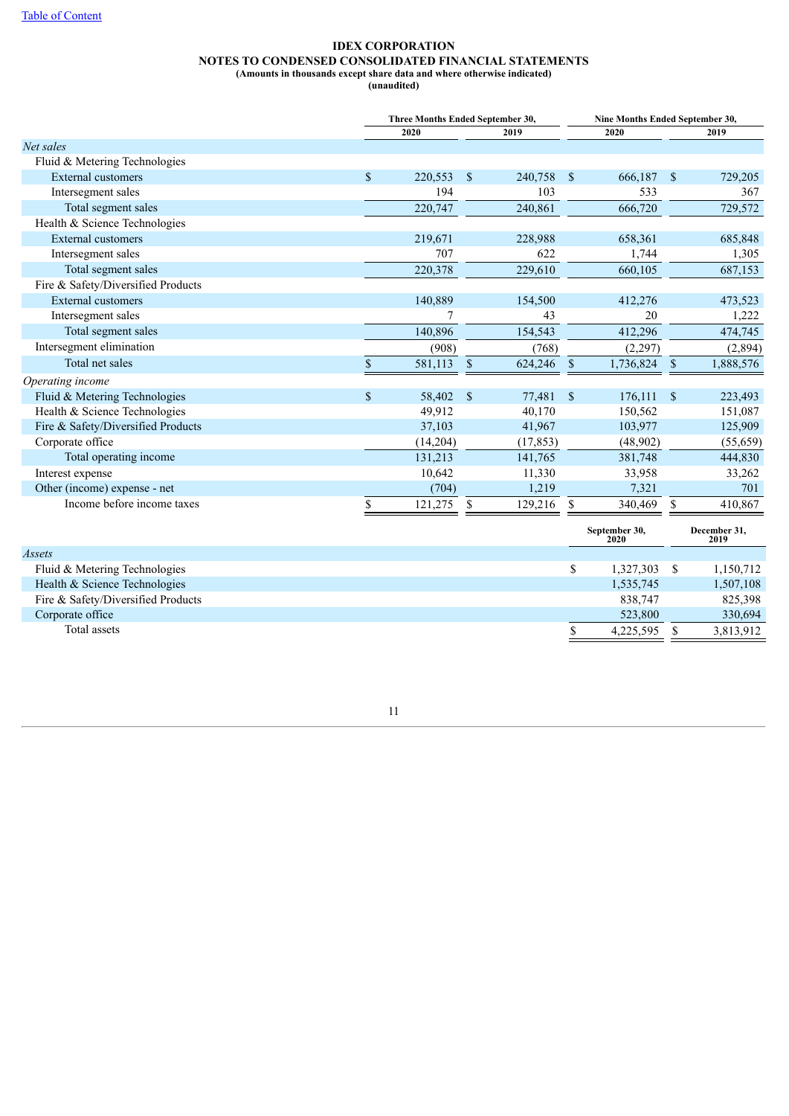**(unaudited)**

|                                    | Three Months Ended September 30, |          |               |           |               |                       | Nine Months Ended September 30, |                      |  |
|------------------------------------|----------------------------------|----------|---------------|-----------|---------------|-----------------------|---------------------------------|----------------------|--|
|                                    |                                  | 2020     |               | 2019      | 2020          |                       |                                 | 2019                 |  |
| Net sales                          |                                  |          |               |           |               |                       |                                 |                      |  |
| Fluid & Metering Technologies      |                                  |          |               |           |               |                       |                                 |                      |  |
| <b>External customers</b>          | <sup>\$</sup>                    | 220,553  | <sup>\$</sup> | 240,758   | $\mathbf{\$}$ | 666,187               | <sup>S</sup>                    | 729,205              |  |
| Intersegment sales                 |                                  | 194      |               | 103       |               | 533                   |                                 | 367                  |  |
| Total segment sales                |                                  | 220,747  |               | 240,861   |               | 666,720               |                                 | 729,572              |  |
| Health & Science Technologies      |                                  |          |               |           |               |                       |                                 |                      |  |
| <b>External customers</b>          |                                  | 219,671  |               | 228,988   |               | 658,361               |                                 | 685,848              |  |
| Intersegment sales                 |                                  | 707      |               | 622       |               | 1,744                 |                                 | 1,305                |  |
| Total segment sales                |                                  | 220,378  |               | 229,610   |               | 660,105               |                                 | 687,153              |  |
| Fire & Safety/Diversified Products |                                  |          |               |           |               |                       |                                 |                      |  |
| <b>External customers</b>          |                                  | 140,889  |               | 154,500   |               | 412,276               |                                 | 473,523              |  |
| Intersegment sales                 |                                  |          |               | 43        |               | 20                    |                                 | 1,222                |  |
| Total segment sales                |                                  | 140,896  |               | 154,543   |               | 412,296               |                                 | 474,745              |  |
| Intersegment elimination           |                                  | (908)    |               | (768)     |               | (2,297)               |                                 | (2,894)              |  |
| Total net sales                    | \$                               | 581,113  | $\mathbb{S}$  | 624,246   | $\mathbb{S}$  | 1,736,824             | \$                              | 1,888,576            |  |
| Operating income                   |                                  |          |               |           |               |                       |                                 |                      |  |
| Fluid & Metering Technologies      | $\mathbf S$                      | 58,402   | $\mathcal{S}$ | 77,481    | $\mathcal{S}$ | 176,111               | $\mathcal{S}$                   | 223,493              |  |
| Health & Science Technologies      |                                  | 49,912   |               | 40,170    |               | 150,562               |                                 | 151,087              |  |
| Fire & Safety/Diversified Products |                                  | 37,103   |               | 41,967    |               | 103,977               |                                 | 125,909              |  |
| Corporate office                   |                                  | (14,204) |               | (17, 853) |               | (48,902)              |                                 | (55, 659)            |  |
| Total operating income             |                                  | 131,213  |               | 141,765   |               | 381,748               |                                 | 444,830              |  |
| Interest expense                   |                                  | 10,642   |               | 11,330    |               | 33,958                |                                 | 33,262               |  |
| Other (income) expense - net       |                                  | (704)    |               | 1,219     |               | 7,321                 |                                 | 701                  |  |
| Income before income taxes         |                                  | 121,275  | \$            | 129,216   | <sup>\$</sup> | 340,469               | \$                              | 410,867              |  |
| $1$ agata                          |                                  |          |               |           |               | September 30,<br>2020 |                                 | December 31,<br>2019 |  |

| Assets                                          |           |
|-------------------------------------------------|-----------|
| Fluid & Metering Technologies<br>$1,327,303$ \$ | 1,150,712 |
| Health & Science Technologies<br>1,535,745      | 1,507,108 |
| Fire & Safety/Diversified Products<br>838,747   | 825,398   |
| 523,800<br>Corporate office                     | 330.694   |
| Total assets<br>4.225.595                       | 3.813.912 |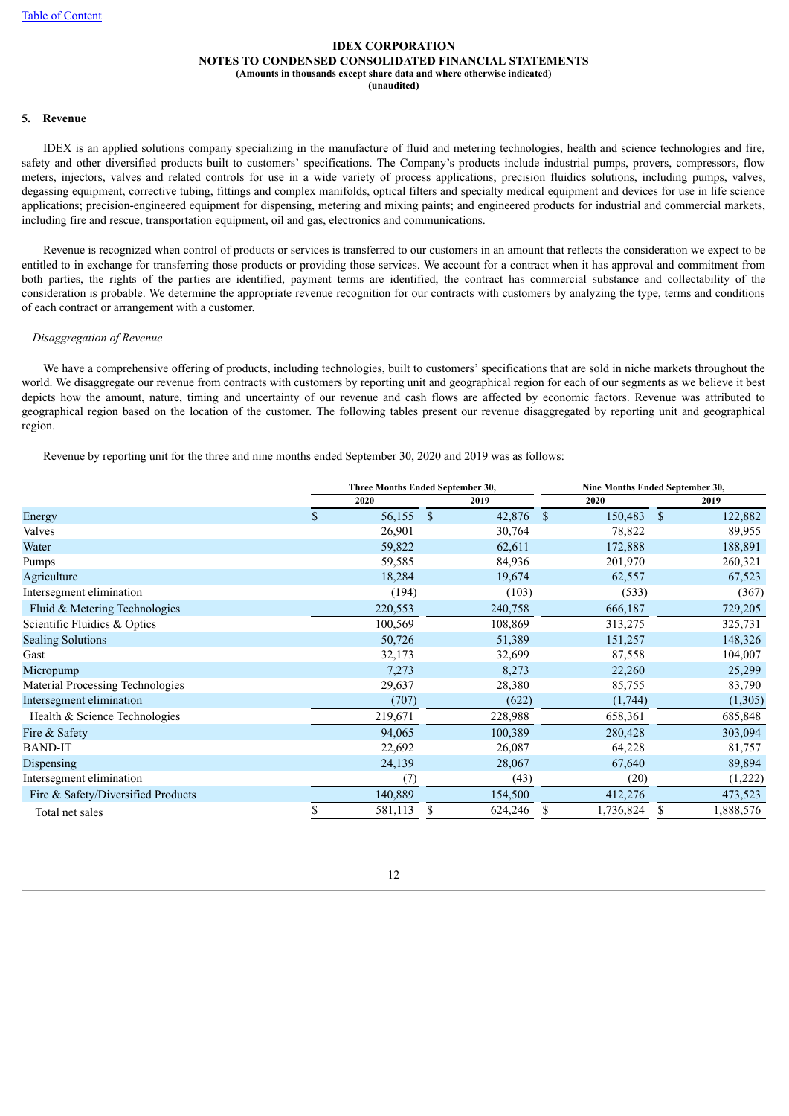**(unaudited)**

#### **5. Revenue**

IDEX is an applied solutions company specializing in the manufacture of fluid and metering technologies, health and science technologies and fire, safety and other diversified products built to customers' specifications. The Company's products include industrial pumps, provers, compressors, flow meters, injectors, valves and related controls for use in a wide variety of process applications; precision fluidics solutions, including pumps, valves, degassing equipment, corrective tubing, fittings and complex manifolds, optical filters and specialty medical equipment and devices for use in life science applications; precision-engineered equipment for dispensing, metering and mixing paints; and engineered products for industrial and commercial markets, including fire and rescue, transportation equipment, oil and gas, electronics and communications.

Revenue is recognized when control of products or services is transferred to our customers in an amount that reflects the consideration we expect to be entitled to in exchange for transferring those products or providing those services. We account for a contract when it has approval and commitment from both parties, the rights of the parties are identified, payment terms are identified, the contract has commercial substance and collectability of the consideration is probable. We determine the appropriate revenue recognition for our contracts with customers by analyzing the type, terms and conditions of each contract or arrangement with a customer.

#### *Disaggregation of Revenue*

We have a comprehensive offering of products, including technologies, built to customers' specifications that are sold in niche markets throughout the world. We disaggregate our revenue from contracts with customers by reporting unit and geographical region for each of our segments as we believe it best depicts how the amount, nature, timing and uncertainty of our revenue and cash flows are affected by economic factors. Revenue was attributed to geographical region based on the location of the customer. The following tables present our revenue disaggregated by reporting unit and geographical region.

Revenue by reporting unit for the three and nine months ended September 30, 2020 and 2019 was as follows:

|                                    |    | Three Months Ended September 30, |              |         | Nine Months Ended September 30, |               |           |
|------------------------------------|----|----------------------------------|--------------|---------|---------------------------------|---------------|-----------|
|                                    |    | 2020                             |              | 2019    | 2020                            |               | 2019      |
| Energy                             | \$ | 56,155                           | <sup>S</sup> | 42,876  | 150,483<br>- \$                 | $\mathcal{S}$ | 122,882   |
| Valves                             |    | 26,901                           |              | 30,764  | 78,822                          |               | 89,955    |
| Water                              |    | 59,822                           |              | 62,611  | 172,888                         |               | 188,891   |
| Pumps                              |    | 59,585                           |              | 84,936  | 201,970                         |               | 260,321   |
| Agriculture                        |    | 18,284                           |              | 19,674  | 62,557                          |               | 67,523    |
| Intersegment elimination           |    | (194)                            |              | (103)   | (533)                           |               | (367)     |
| Fluid & Metering Technologies      |    | 220,553                          |              | 240,758 | 666,187                         |               | 729,205   |
| Scientific Fluidics & Optics       |    | 100,569                          |              | 108,869 | 313,275                         |               | 325,731   |
| <b>Sealing Solutions</b>           |    | 50,726                           |              | 51,389  | 151,257                         |               | 148,326   |
| Gast                               |    | 32,173                           |              | 32,699  | 87,558                          |               | 104,007   |
| Micropump                          |    | 7,273                            |              | 8,273   | 22,260                          |               | 25,299    |
| Material Processing Technologies   |    | 29,637                           |              | 28,380  | 85,755                          |               | 83,790    |
| Intersegment elimination           |    | (707)                            |              | (622)   | (1,744)                         |               | (1,305)   |
| Health & Science Technologies      |    | 219,671                          |              | 228,988 | 658,361                         |               | 685,848   |
| Fire & Safety                      |    | 94,065                           |              | 100,389 | 280,428                         |               | 303,094   |
| <b>BAND-IT</b>                     |    | 22,692                           |              | 26,087  | 64,228                          |               | 81,757    |
| Dispensing                         |    | 24,139                           |              | 28,067  | 67,640                          |               | 89,894    |
| Intersegment elimination           |    | (7)                              |              | (43)    | (20)                            |               | (1,222)   |
| Fire & Safety/Diversified Products |    | 140,889                          |              | 154,500 | 412,276                         |               | 473,523   |
| Total net sales                    |    | 581,113                          |              | 624,246 | 1,736,824                       |               | 1,888,576 |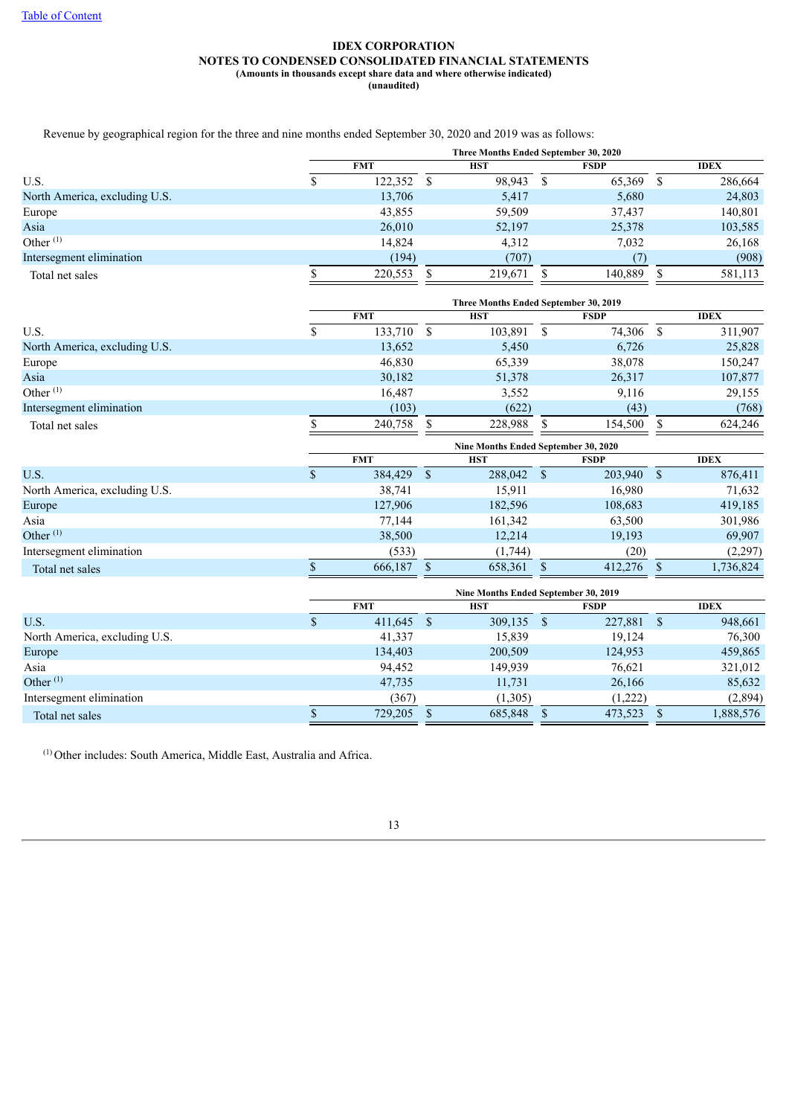**(unaudited)**

Revenue by geographical region for the three and nine months ended September 30, 2020 and 2019 was as follows:

|                               | Three Months Ended September 30, 2020 |            |  |            |  |             |  |             |  |  |
|-------------------------------|---------------------------------------|------------|--|------------|--|-------------|--|-------------|--|--|
|                               |                                       | <b>FMT</b> |  | <b>HST</b> |  | <b>FSDP</b> |  | <b>IDEX</b> |  |  |
| U.S.                          |                                       | 122,352    |  | 98,943     |  | 65,369      |  | 286,664     |  |  |
| North America, excluding U.S. |                                       | 13,706     |  | 5,417      |  | 5,680       |  | 24,803      |  |  |
| Europe                        |                                       | 43,855     |  | 59,509     |  | 37,437      |  | 140,801     |  |  |
| Asia                          |                                       | 26,010     |  | 52,197     |  | 25,378      |  | 103,585     |  |  |
| Other $(1)$                   |                                       | 14.824     |  | 4,312      |  | 7,032       |  | 26,168      |  |  |
| Intersegment elimination      |                                       | (194)      |  | (707)      |  |             |  | (908)       |  |  |
| Total net sales               |                                       | 220,553    |  | 219,671    |  | 140,889     |  | 581,113     |  |  |

|                               | Three Months Ended September 30, 2019 |  |            |  |             |  |             |  |  |  |  |
|-------------------------------|---------------------------------------|--|------------|--|-------------|--|-------------|--|--|--|--|
|                               | <b>FMT</b>                            |  | <b>HST</b> |  | <b>FSDP</b> |  | <b>IDEX</b> |  |  |  |  |
| U.S.                          | 133,710                               |  | 103,891    |  | 74,306      |  | 311,907     |  |  |  |  |
| North America, excluding U.S. | 13,652                                |  | 5,450      |  | 6,726       |  | 25,828      |  |  |  |  |
| Europe                        | 46,830                                |  | 65,339     |  | 38,078      |  | 150,247     |  |  |  |  |
| Asia                          | 30,182                                |  | 51,378     |  | 26,317      |  | 107,877     |  |  |  |  |
| Other $(1)$                   | 16,487                                |  | 3,552      |  | 9,116       |  | 29,155      |  |  |  |  |
| Intersegment elimination      | (103)                                 |  | (622)      |  | (43)        |  | (768)       |  |  |  |  |
| Total net sales               | 240,758                               |  | 228,988    |  | 154,500     |  | 624,246     |  |  |  |  |

|                               | Nine Months Ended September 30, 2020 |            |         |             |         |   |             |  |  |  |  |
|-------------------------------|--------------------------------------|------------|---------|-------------|---------|---|-------------|--|--|--|--|
|                               | <b>FMT</b>                           | <b>HST</b> |         | <b>FSDP</b> |         |   | <b>IDEX</b> |  |  |  |  |
| U.S.                          | 384,429                              |            | 288,042 |             | 203,940 | S | 876,411     |  |  |  |  |
| North America, excluding U.S. | 38,741                               |            | 15.911  |             | 16,980  |   | 71,632      |  |  |  |  |
| Europe                        | 127,906                              |            | 182,596 |             | 108,683 |   | 419,185     |  |  |  |  |
| Asia                          | 77.144                               |            | 161,342 |             | 63,500  |   | 301,986     |  |  |  |  |
| Other $(1)$                   | 38,500                               |            | 12,214  |             | 19,193  |   | 69,907      |  |  |  |  |
| Intersegment elimination      | (533)                                |            | (1,744) |             | (20)    |   | (2,297)     |  |  |  |  |
| Total net sales               | 666,187                              |            | 658,361 |             | 412,276 |   | 1,736,824   |  |  |  |  |

|                               | Nine Months Ended September 30, 2019 |            |  |            |  |             |              |             |  |  |  |
|-------------------------------|--------------------------------------|------------|--|------------|--|-------------|--------------|-------------|--|--|--|
|                               |                                      | <b>FMT</b> |  | <b>HST</b> |  | <b>FSDP</b> |              | <b>IDEX</b> |  |  |  |
| U.S.                          |                                      | 411,645    |  | 309,135    |  | 227,881     | <sup>S</sup> | 948,661     |  |  |  |
| North America, excluding U.S. |                                      | 41,337     |  | 15,839     |  | 19,124      |              | 76,300      |  |  |  |
| Europe                        |                                      | 134,403    |  | 200,509    |  | 124,953     |              | 459,865     |  |  |  |
| Asia                          |                                      | 94,452     |  | 149,939    |  | 76,621      |              | 321,012     |  |  |  |
| Other $(1)$                   |                                      | 47,735     |  | 11,731     |  | 26,166      |              | 85,632      |  |  |  |
| Intersegment elimination      |                                      | (367)      |  | (1,305)    |  | (1,222)     |              | (2,894)     |  |  |  |
| Total net sales               |                                      | 729,205    |  | 685,848    |  | 473.523     |              | 1,888,576   |  |  |  |

 $<sup>(1)</sup>$  Other includes: South America, Middle East, Australia and Africa.</sup>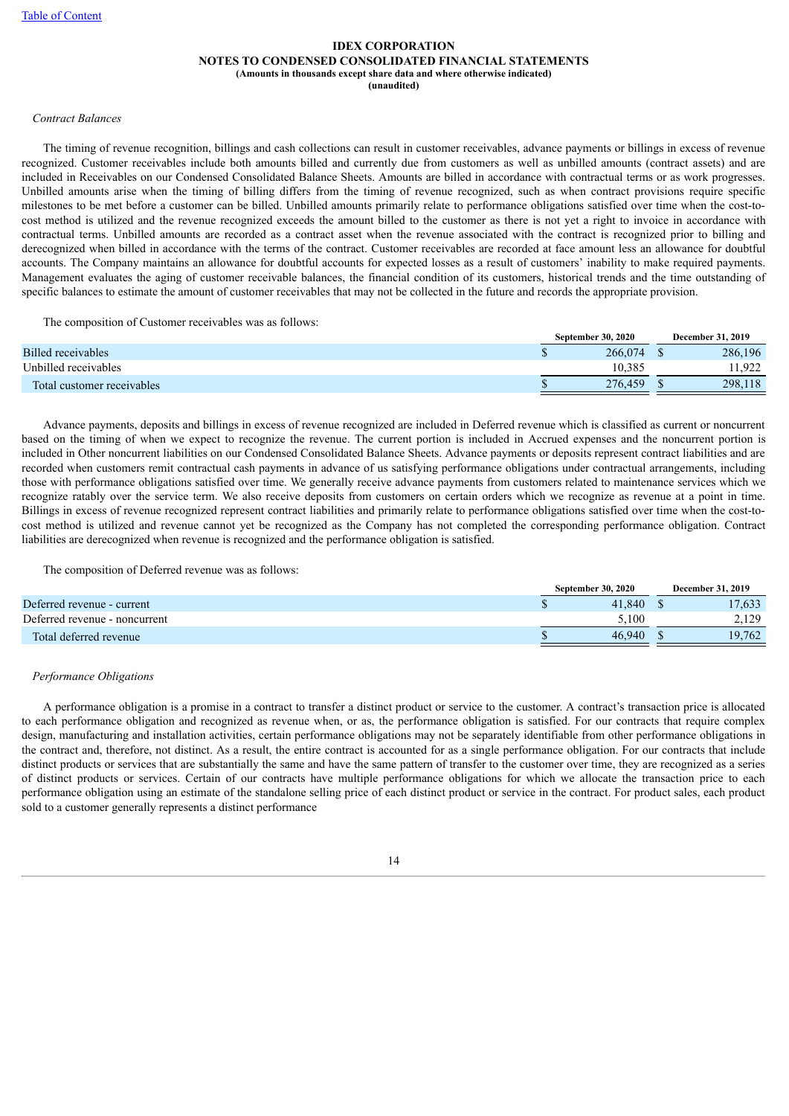#### **(unaudited)**

#### *Contract Balances*

The timing of revenue recognition, billings and cash collections can result in customer receivables, advance payments or billings in excess of revenue recognized. Customer receivables include both amounts billed and currently due from customers as well as unbilled amounts (contract assets) and are included in Receivables on our Condensed Consolidated Balance Sheets. Amounts are billed in accordance with contractual terms or as work progresses. Unbilled amounts arise when the timing of billing differs from the timing of revenue recognized, such as when contract provisions require specific milestones to be met before a customer can be billed. Unbilled amounts primarily relate to performance obligations satisfied over time when the cost-tocost method is utilized and the revenue recognized exceeds the amount billed to the customer as there is not yet a right to invoice in accordance with contractual terms. Unbilled amounts are recorded as a contract asset when the revenue associated with the contract is recognized prior to billing and derecognized when billed in accordance with the terms of the contract. Customer receivables are recorded at face amount less an allowance for doubtful accounts. The Company maintains an allowance for doubtful accounts for expected losses as a result of customers' inability to make required payments. Management evaluates the aging of customer receivable balances, the financial condition of its customers, historical trends and the time outstanding of specific balances to estimate the amount of customer receivables that may not be collected in the future and records the appropriate provision.

The composition of Customer receivables was as follows:

|                            | <b>September 30, 2020</b> | <b>December 31, 2019</b> |
|----------------------------|---------------------------|--------------------------|
| Billed receivables         | 266.074                   | 286,196                  |
| Unbilled receivables       | 10.385                    | 11.922                   |
| Total customer receivables | 276.459                   | 298.118                  |

Advance payments, deposits and billings in excess of revenue recognized are included in Deferred revenue which is classified as current or noncurrent based on the timing of when we expect to recognize the revenue. The current portion is included in Accrued expenses and the noncurrent portion is included in Other noncurrent liabilities on our Condensed Consolidated Balance Sheets. Advance payments or deposits represent contract liabilities and are recorded when customers remit contractual cash payments in advance of us satisfying performance obligations under contractual arrangements, including those with performance obligations satisfied over time. We generally receive advance payments from customers related to maintenance services which we recognize ratably over the service term. We also receive deposits from customers on certain orders which we recognize as revenue at a point in time. Billings in excess of revenue recognized represent contract liabilities and primarily relate to performance obligations satisfied over time when the cost-tocost method is utilized and revenue cannot yet be recognized as the Company has not completed the corresponding performance obligation. Contract liabilities are derecognized when revenue is recognized and the performance obligation is satisfied.

The composition of Deferred revenue was as follows:

|                               | <b>September 30, 2020</b> | <b>December 31, 2019</b> |
|-------------------------------|---------------------------|--------------------------|
| Deferred revenue - current    | 41.840                    | 17,633                   |
| Deferred revenue - noncurrent | .100                      | 2.129                    |
| Total deferred revenue        | 46.940                    | 19.762                   |

#### *Performance Obligations*

A performance obligation is a promise in a contract to transfer a distinct product or service to the customer. A contract's transaction price is allocated to each performance obligation and recognized as revenue when, or as, the performance obligation is satisfied. For our contracts that require complex design, manufacturing and installation activities, certain performance obligations may not be separately identifiable from other performance obligations in the contract and, therefore, not distinct. As a result, the entire contract is accounted for as a single performance obligation. For our contracts that include distinct products or services that are substantially the same and have the same pattern of transfer to the customer over time, they are recognized as a series of distinct products or services. Certain of our contracts have multiple performance obligations for which we allocate the transaction price to each performance obligation using an estimate of the standalone selling price of each distinct product or service in the contract. For product sales, each product sold to a customer generally represents a distinct performance

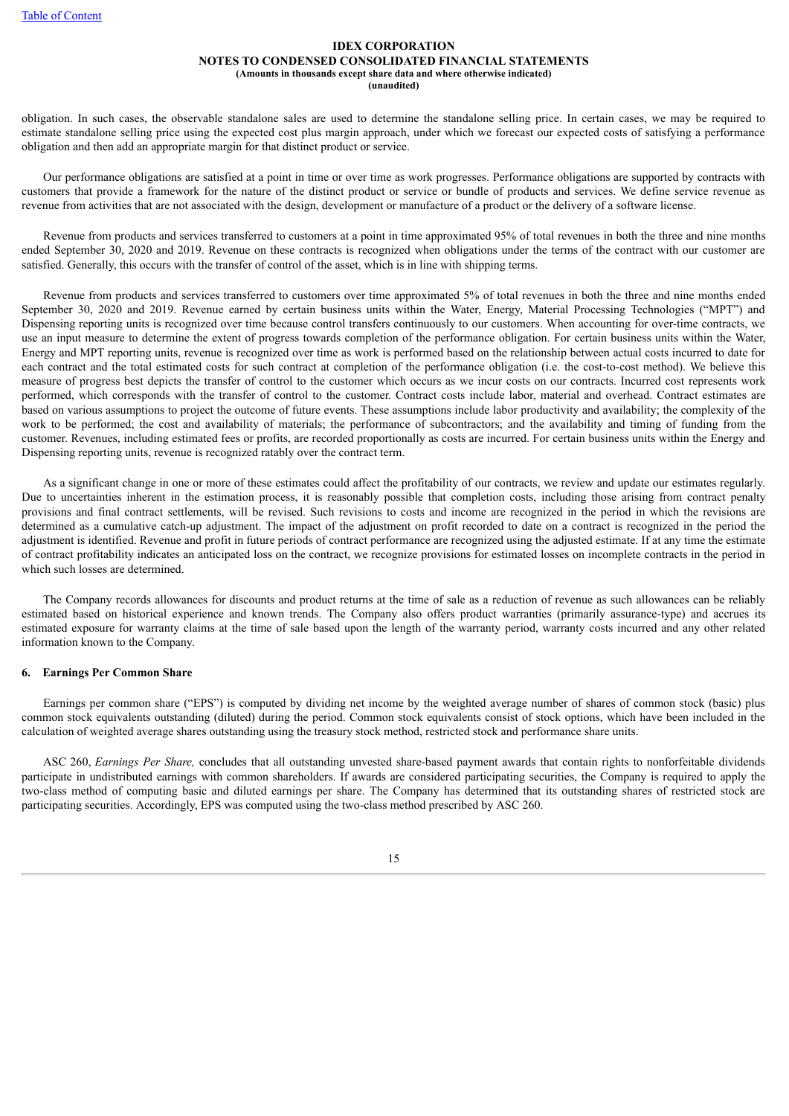obligation. In such cases, the observable standalone sales are used to determine the standalone selling price. In certain cases, we may be required to estimate standalone selling price using the expected cost plus margin approach, under which we forecast our expected costs of satisfying a performance obligation and then add an appropriate margin for that distinct product or service.

Our performance obligations are satisfied at a point in time or over time as work progresses. Performance obligations are supported by contracts with customers that provide a framework for the nature of the distinct product or service or bundle of products and services. We define service revenue as revenue from activities that are not associated with the design, development or manufacture of a product or the delivery of a software license.

Revenue from products and services transferred to customers at a point in time approximated 95% of total revenues in both the three and nine months ended September 30, 2020 and 2019. Revenue on these contracts is recognized when obligations under the terms of the contract with our customer are satisfied. Generally, this occurs with the transfer of control of the asset, which is in line with shipping terms.

Revenue from products and services transferred to customers over time approximated 5% of total revenues in both the three and nine months ended September 30, 2020 and 2019. Revenue earned by certain business units within the Water, Energy, Material Processing Technologies ("MPT") and Dispensing reporting units is recognized over time because control transfers continuously to our customers. When accounting for over-time contracts, we use an input measure to determine the extent of progress towards completion of the performance obligation. For certain business units within the Water, Energy and MPT reporting units, revenue is recognized over time as work is performed based on the relationship between actual costs incurred to date for each contract and the total estimated costs for such contract at completion of the performance obligation (i.e. the cost-to-cost method). We believe this measure of progress best depicts the transfer of control to the customer which occurs as we incur costs on our contracts. Incurred cost represents work performed, which corresponds with the transfer of control to the customer. Contract costs include labor, material and overhead. Contract estimates are based on various assumptions to project the outcome of future events. These assumptions include labor productivity and availability; the complexity of the work to be performed; the cost and availability of materials; the performance of subcontractors; and the availability and timing of funding from the customer. Revenues, including estimated fees or profits, are recorded proportionally as costs are incurred. For certain business units within the Energy and Dispensing reporting units, revenue is recognized ratably over the contract term.

As a significant change in one or more of these estimates could affect the profitability of our contracts, we review and update our estimates regularly. Due to uncertainties inherent in the estimation process, it is reasonably possible that completion costs, including those arising from contract penalty provisions and final contract settlements, will be revised. Such revisions to costs and income are recognized in the period in which the revisions are determined as a cumulative catch-up adjustment. The impact of the adjustment on profit recorded to date on a contract is recognized in the period the adjustment is identified. Revenue and profit in future periods of contract performance are recognized using the adjusted estimate. If at any time the estimate of contract profitability indicates an anticipated loss on the contract, we recognize provisions for estimated losses on incomplete contracts in the period in which such losses are determined.

The Company records allowances for discounts and product returns at the time of sale as a reduction of revenue as such allowances can be reliably estimated based on historical experience and known trends. The Company also offers product warranties (primarily assurance-type) and accrues its estimated exposure for warranty claims at the time of sale based upon the length of the warranty period, warranty costs incurred and any other related information known to the Company.

#### **6. Earnings Per Common Share**

Earnings per common share ("EPS") is computed by dividing net income by the weighted average number of shares of common stock (basic) plus common stock equivalents outstanding (diluted) during the period. Common stock equivalents consist of stock options, which have been included in the calculation of weighted average shares outstanding using the treasury stock method, restricted stock and performance share units.

ASC 260, *Earnings Per Share,* concludes that all outstanding unvested share-based payment awards that contain rights to nonforfeitable dividends participate in undistributed earnings with common shareholders. If awards are considered participating securities, the Company is required to apply the two-class method of computing basic and diluted earnings per share. The Company has determined that its outstanding shares of restricted stock are participating securities. Accordingly, EPS was computed using the two-class method prescribed by ASC 260.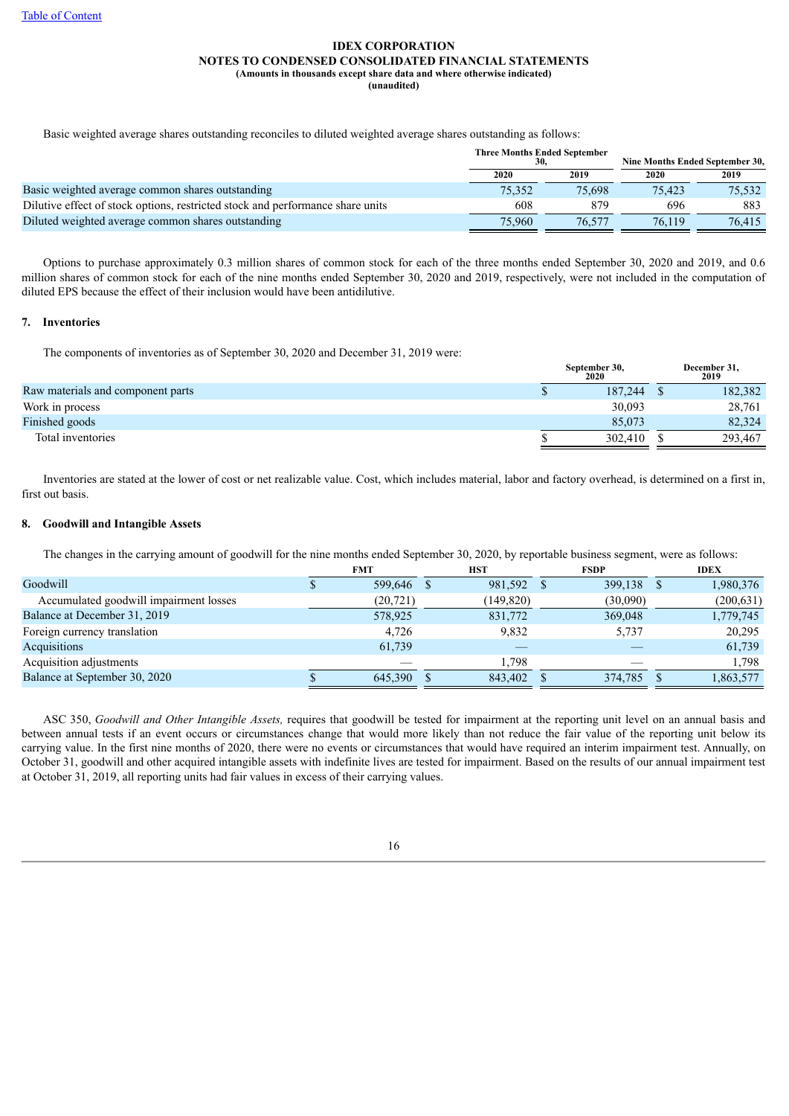**(unaudited)**

Basic weighted average shares outstanding reconciles to diluted weighted average shares outstanding as follows:

|                                                                                | <b>Three Months Ended September</b> |        | Nine Months Ended September 30, |        |
|--------------------------------------------------------------------------------|-------------------------------------|--------|---------------------------------|--------|
|                                                                                | 2020                                | 2019   | 2020                            | 2019   |
| Basic weighted average common shares outstanding                               | 75.352                              | 75.698 | 75.423                          | 75,532 |
| Dilutive effect of stock options, restricted stock and performance share units | 608                                 | 879    | 696                             | 883    |
| Diluted weighted average common shares outstanding                             | 75,960                              | 76.577 | 76.119                          | 76.415 |

Options to purchase approximately 0.3 million shares of common stock for each of the three months ended September 30, 2020 and 2019, and 0.6 million shares of common stock for each of the nine months ended September 30, 2020 and 2019, respectively, were not included in the computation of diluted EPS because the effect of their inclusion would have been antidilutive.

#### **7. Inventories**

The components of inventories as of September 30, 2020 and December 31, 2019 were:

|                                   | September 30,<br>2020 | December 31,<br>2019 |
|-----------------------------------|-----------------------|----------------------|
| Raw materials and component parts | 187.244               | 182,382              |
| Work in process                   | 30,093                | 28,761               |
| Finished goods                    | 85,073                | 82.324               |
| Total inventories                 | 302.410               | 293,467              |

Inventories are stated at the lower of cost or net realizable value. Cost, which includes material, labor and factory overhead, is determined on a first in, first out basis.

## **8. Goodwill and Intangible Assets**

The changes in the carrying amount of goodwill for the nine months ended September 30, 2020, by reportable business segment, were as follows:

|                                        | <b>FMT</b> | <b>HST</b> | <b>FSDP</b> | <b>IDEX</b> |
|----------------------------------------|------------|------------|-------------|-------------|
| Goodwill                               | 599,646    | 981,592 \$ | 399,138     | 1,980,376   |
| Accumulated goodwill impairment losses | (20, 721)  | (149, 820) | (30,090)    | (200, 631)  |
| Balance at December 31, 2019           | 578,925    | 831,772    | 369,048     | 1,779,745   |
| Foreign currency translation           | 4.726      | 9,832      | 5,737       | 20,295      |
| Acquisitions                           | 61,739     |            |             | 61,739      |
| Acquisition adjustments                |            | .798       |             | 1,798       |
| Balance at September 30, 2020          | 645.390    | 843,402    | 374,785     | 1,863,577   |

ASC 350, *Goodwill and Other Intangible Assets,* requires that goodwill be tested for impairment at the reporting unit level on an annual basis and between annual tests if an event occurs or circumstances change that would more likely than not reduce the fair value of the reporting unit below its carrying value. In the first nine months of 2020, there were no events or circumstances that would have required an interim impairment test. Annually, on October 31, goodwill and other acquired intangible assets with indefinite lives are tested for impairment. Based on the results of our annual impairment test at October 31, 2019, all reporting units had fair values in excess of their carrying values.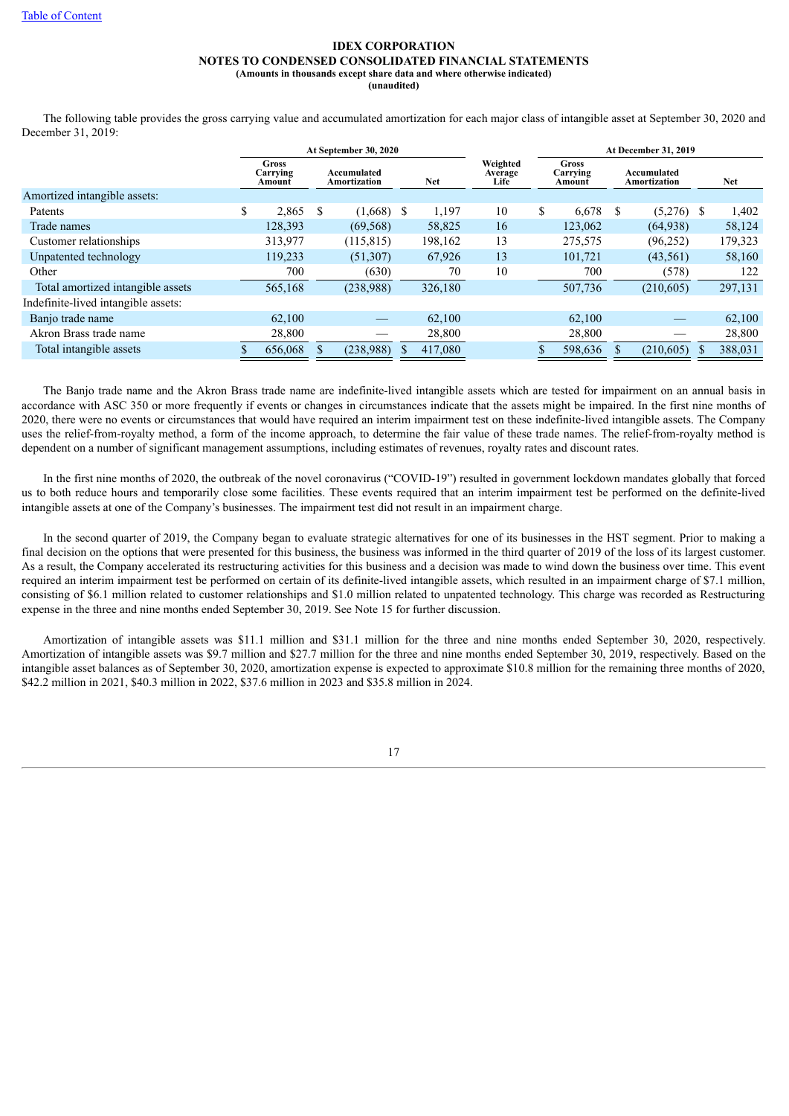The following table provides the gross carrying value and accumulated amortization for each major class of intangible asset at September 30, 2020 and December 31, 2019:

|                                     |                             |     | At September 30, 2020       |         |                             | <b>At December 31, 2019</b> |                                    |    |              |  |         |  |  |  |                             |  |  |  |            |
|-------------------------------------|-----------------------------|-----|-----------------------------|---------|-----------------------------|-----------------------------|------------------------------------|----|--------------|--|---------|--|--|--|-----------------------------|--|--|--|------------|
|                                     | Gross<br>Carrying<br>Amount |     | Accumulated<br>Amortization | Net     | Weighted<br>Average<br>Life |                             | <b>Gross</b><br>Carrving<br>Amount |    |              |  |         |  |  |  | Accumulated<br>Amortization |  |  |  | <b>Net</b> |
| Amortized intangible assets:        |                             |     |                             |         |                             |                             |                                    |    |              |  |         |  |  |  |                             |  |  |  |            |
| Patents                             | \$<br>2,865                 | \$. | $(1,668)$ \$                | 1,197   | 10                          | \$                          | 6,678                              | S. | $(5,276)$ \$ |  | 1,402   |  |  |  |                             |  |  |  |            |
| Trade names                         | 128,393                     |     | (69, 568)                   | 58,825  | 16                          |                             | 123,062                            |    | (64,938)     |  | 58,124  |  |  |  |                             |  |  |  |            |
| Customer relationships              | 313,977                     |     | (115, 815)                  | 198,162 | 13                          |                             | 275,575                            |    | (96, 252)    |  | 179,323 |  |  |  |                             |  |  |  |            |
| Unpatented technology               | 119,233                     |     | (51, 307)                   | 67,926  | 13                          |                             | 101.721                            |    | (43, 561)    |  | 58,160  |  |  |  |                             |  |  |  |            |
| Other                               | 700                         |     | (630)                       | 70      | 10                          |                             | 700                                |    | (578)        |  | 122     |  |  |  |                             |  |  |  |            |
| Total amortized intangible assets   | 565,168                     |     | (238,988)                   | 326,180 |                             |                             | 507,736                            |    | (210, 605)   |  | 297,131 |  |  |  |                             |  |  |  |            |
| Indefinite-lived intangible assets: |                             |     |                             |         |                             |                             |                                    |    |              |  |         |  |  |  |                             |  |  |  |            |
| Banjo trade name                    | 62.100                      |     |                             | 62,100  |                             |                             | 62.100                             |    |              |  | 62,100  |  |  |  |                             |  |  |  |            |
| Akron Brass trade name              | 28,800                      |     |                             | 28,800  |                             |                             | 28,800                             |    |              |  | 28,800  |  |  |  |                             |  |  |  |            |
| Total intangible assets             | 656,068                     |     | (238,988)                   | 417,080 |                             |                             | 598,636                            |    | (210, 605)   |  | 388,031 |  |  |  |                             |  |  |  |            |

The Banjo trade name and the Akron Brass trade name are indefinite-lived intangible assets which are tested for impairment on an annual basis in accordance with ASC 350 or more frequently if events or changes in circumstances indicate that the assets might be impaired. In the first nine months of 2020, there were no events or circumstances that would have required an interim impairment test on these indefinite-lived intangible assets. The Company uses the relief-from-royalty method, a form of the income approach, to determine the fair value of these trade names. The relief-from-royalty method is dependent on a number of significant management assumptions, including estimates of revenues, royalty rates and discount rates.

In the first nine months of 2020, the outbreak of the novel coronavirus ("COVID-19") resulted in government lockdown mandates globally that forced us to both reduce hours and temporarily close some facilities. These events required that an interim impairment test be performed on the definite-lived intangible assets at one of the Company's businesses. The impairment test did not result in an impairment charge.

In the second quarter of 2019, the Company began to evaluate strategic alternatives for one of its businesses in the HST segment. Prior to making a final decision on the options that were presented for this business, the business was informed in the third quarter of 2019 of the loss of its largest customer. As a result, the Company accelerated its restructuring activities for this business and a decision was made to wind down the business over time. This event required an interim impairment test be performed on certain of its definite-lived intangible assets, which resulted in an impairment charge of \$7.1 million, consisting of \$6.1 million related to customer relationships and \$1.0 million related to unpatented technology. This charge was recorded as Restructuring expense in the three and nine months ended September 30, 2019. See Note 15 for further discussion.

Amortization of intangible assets was \$11.1 million and \$31.1 million for the three and nine months ended September 30, 2020, respectively. Amortization of intangible assets was \$9.7 million and \$27.7 million for the three and nine months ended September 30, 2019, respectively. Based on the intangible asset balances as of September 30, 2020, amortization expense is expected to approximate \$10.8 million for the remaining three months of 2020, \$42.2 million in 2021, \$40.3 million in 2022, \$37.6 million in 2023 and \$35.8 million in 2024.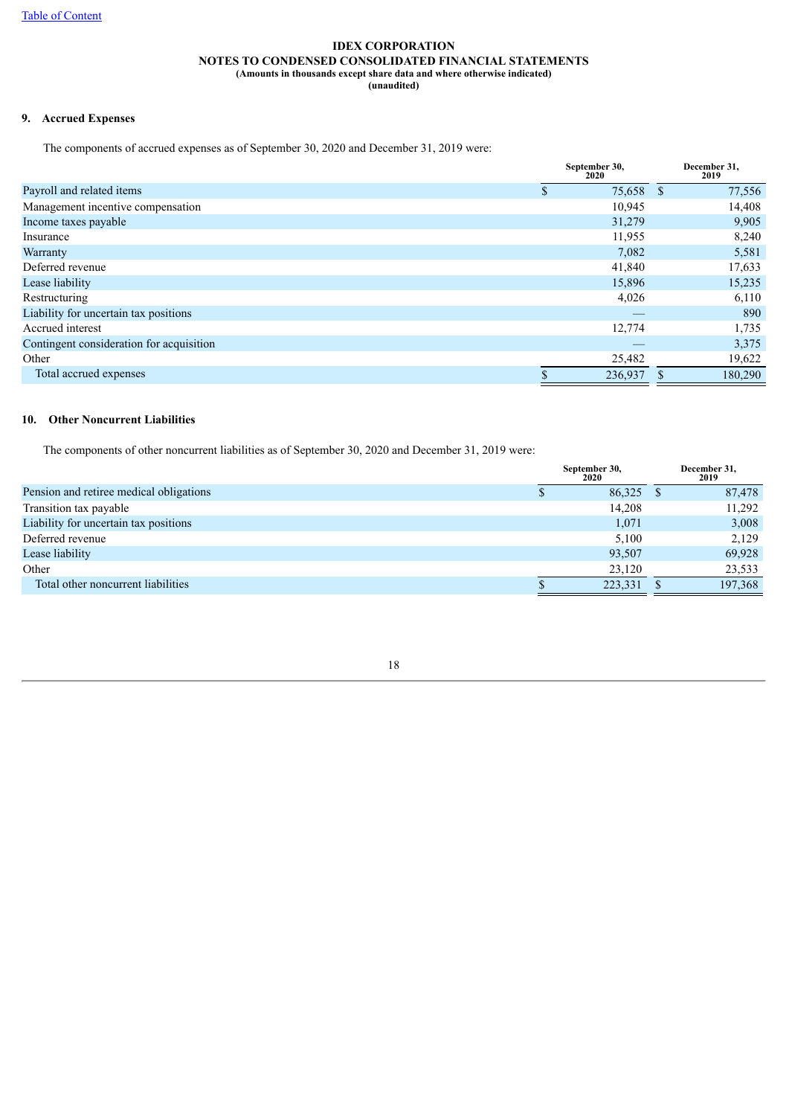**(unaudited)**

## **9. Accrued Expenses**

The components of accrued expenses as of September 30, 2020 and December 31, 2019 were:

|                                          | September 30,<br>2020 |    | December 31,<br>2019 |
|------------------------------------------|-----------------------|----|----------------------|
| Payroll and related items                | 75,658                | -S | 77,556               |
| Management incentive compensation        | 10,945                |    | 14,408               |
| Income taxes payable                     | 31,279                |    | 9,905                |
| Insurance                                | 11,955                |    | 8,240                |
| <b>Warranty</b>                          | 7,082                 |    | 5,581                |
| Deferred revenue                         | 41,840                |    | 17,633               |
| Lease liability                          | 15,896                |    | 15,235               |
| Restructuring                            | 4,026                 |    | 6,110                |
| Liability for uncertain tax positions    |                       |    | 890                  |
| Accrued interest                         | 12,774                |    | 1,735                |
| Contingent consideration for acquisition |                       |    | 3,375                |
| Other                                    | 25,482                |    | 19,622               |
| Total accrued expenses                   | 236,937               |    | 180,290              |

## **10. Other Noncurrent Liabilities**

The components of other noncurrent liabilities as of September 30, 2020 and December 31, 2019 were:

|                                         | September 30,<br>2020 | December 31,<br>2019 |
|-----------------------------------------|-----------------------|----------------------|
| Pension and retiree medical obligations | 86,325                | 87,478               |
| Transition tax payable                  | 14,208                | 11,292               |
| Liability for uncertain tax positions   | 1,071                 | 3,008                |
| Deferred revenue                        | 5,100                 | 2,129                |
| Lease liability                         | 93,507                | 69,928               |
| Other                                   | 23,120                | 23,533               |
| Total other noncurrent liabilities      | 223,331               | 197,368              |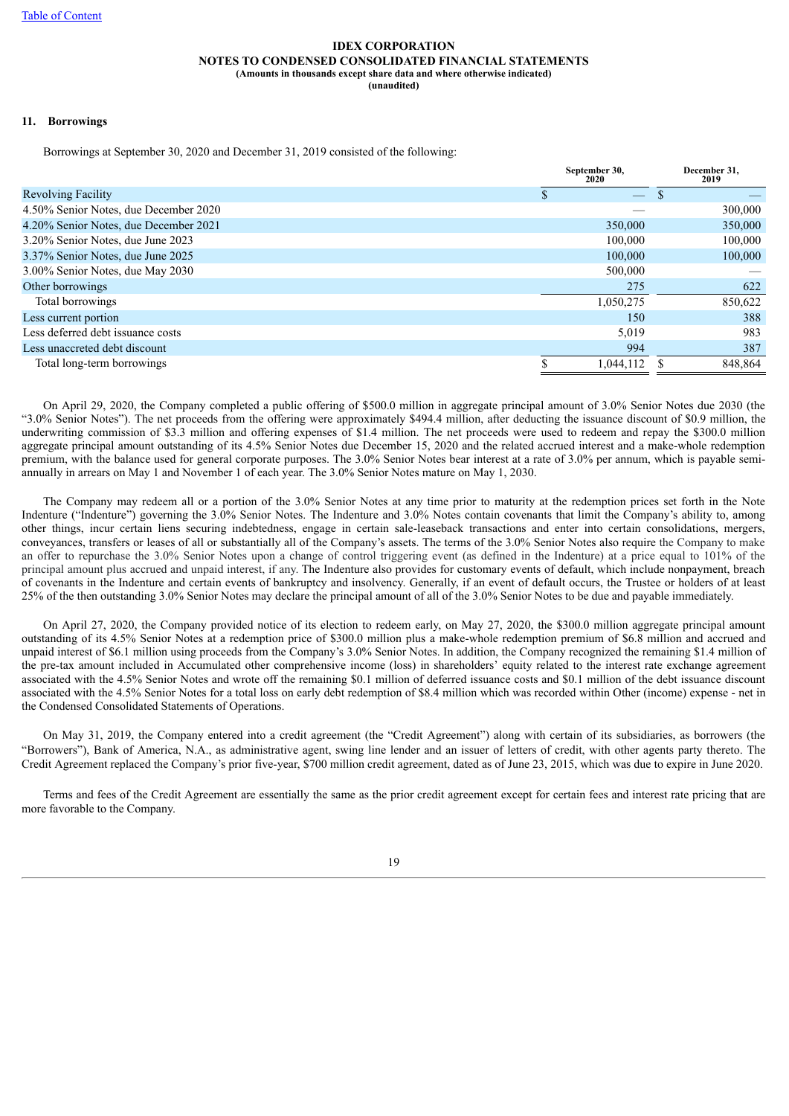**(unaudited)**

#### **11. Borrowings**

Borrowings at September 30, 2020 and December 31, 2019 consisted of the following:

|                                       |     | September 30,<br><b>2020</b> | December 31,<br>2019 |
|---------------------------------------|-----|------------------------------|----------------------|
| <b>Revolving Facility</b>             | аĐ. |                              |                      |
| 4.50% Senior Notes, due December 2020 |     |                              | 300,000              |
| 4.20% Senior Notes, due December 2021 |     | 350,000                      | 350,000              |
| 3.20% Senior Notes, due June 2023     |     | 100,000                      | 100,000              |
| 3.37% Senior Notes, due June 2025     |     | 100,000                      | 100,000              |
| 3.00% Senior Notes, due May 2030      |     | 500,000                      |                      |
| Other borrowings                      |     | 275                          | 622                  |
| Total borrowings                      |     | 1,050,275                    | 850,622              |
| Less current portion                  |     | 150                          | 388                  |
| Less deferred debt issuance costs     |     | 5,019                        | 983                  |
| Less unaccreted debt discount         |     | 994                          | 387                  |
| Total long-term borrowings            |     | 1,044,112                    | 848,864              |

On April 29, 2020, the Company completed a public offering of \$500.0 million in aggregate principal amount of 3.0% Senior Notes due 2030 (the "3.0% Senior Notes"). The net proceeds from the offering were approximately \$494.4 million, after deducting the issuance discount of \$0.9 million, the underwriting commission of \$3.3 million and offering expenses of \$1.4 million. The net proceeds were used to redeem and repay the \$300.0 million aggregate principal amount outstanding of its 4.5% Senior Notes due December 15, 2020 and the related accrued interest and a make-whole redemption premium, with the balance used for general corporate purposes. The 3.0% Senior Notes bear interest at a rate of 3.0% per annum, which is payable semiannually in arrears on May 1 and November 1 of each year. The 3.0% Senior Notes mature on May 1, 2030.

The Company may redeem all or a portion of the 3.0% Senior Notes at any time prior to maturity at the redemption prices set forth in the Note Indenture ("Indenture") governing the 3.0% Senior Notes. The Indenture and 3.0% Notes contain covenants that limit the Company's ability to, among other things, incur certain liens securing indebtedness, engage in certain sale-leaseback transactions and enter into certain consolidations, mergers, conveyances, transfers or leases of all or substantially all of the Company's assets. The terms of the 3.0% Senior Notes also require the Company to make an offer to repurchase the 3.0% Senior Notes upon a change of control triggering event (as defined in the Indenture) at a price equal to 101% of the principal amount plus accrued and unpaid interest, if any. The Indenture also provides for customary events of default, which include nonpayment, breach of covenants in the Indenture and certain events of bankruptcy and insolvency. Generally, if an event of default occurs, the Trustee or holders of at least 25% of the then outstanding 3.0% Senior Notes may declare the principal amount of all of the 3.0% Senior Notes to be due and payable immediately.

On April 27, 2020, the Company provided notice of its election to redeem early, on May 27, 2020, the \$300.0 million aggregate principal amount outstanding of its 4.5% Senior Notes at a redemption price of \$300.0 million plus a make-whole redemption premium of \$6.8 million and accrued and unpaid interest of \$6.1 million using proceeds from the Company's 3.0% Senior Notes. In addition, the Company recognized the remaining \$1.4 million of the pre-tax amount included in Accumulated other comprehensive income (loss) in shareholders' equity related to the interest rate exchange agreement associated with the 4.5% Senior Notes and wrote off the remaining \$0.1 million of deferred issuance costs and \$0.1 million of the debt issuance discount associated with the 4.5% Senior Notes for a total loss on early debt redemption of \$8.4 million which was recorded within Other (income) expense - net in the Condensed Consolidated Statements of Operations.

On May 31, 2019, the Company entered into a credit agreement (the "Credit Agreement") along with certain of its subsidiaries, as borrowers (the "Borrowers"), Bank of America, N.A., as administrative agent, swing line lender and an issuer of letters of credit, with other agents party thereto. The Credit Agreement replaced the Company's prior five-year, \$700 million credit agreement, dated as of June 23, 2015, which was due to expire in June 2020.

Terms and fees of the Credit Agreement are essentially the same as the prior credit agreement except for certain fees and interest rate pricing that are more favorable to the Company.

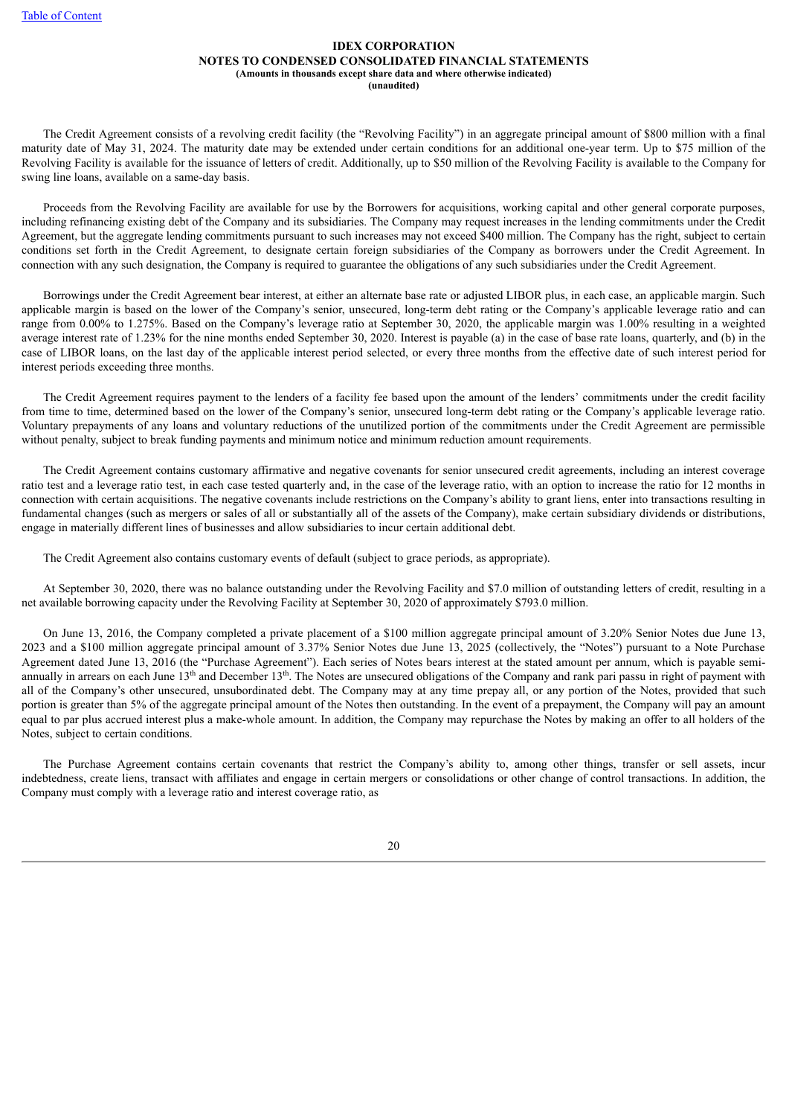The Credit Agreement consists of a revolving credit facility (the "Revolving Facility") in an aggregate principal amount of \$800 million with a final maturity date of May 31, 2024. The maturity date may be extended under certain conditions for an additional one-year term. Up to \$75 million of the Revolving Facility is available for the issuance of letters of credit. Additionally, up to \$50 million of the Revolving Facility is available to the Company for swing line loans, available on a same-day basis.

Proceeds from the Revolving Facility are available for use by the Borrowers for acquisitions, working capital and other general corporate purposes, including refinancing existing debt of the Company and its subsidiaries. The Company may request increases in the lending commitments under the Credit Agreement, but the aggregate lending commitments pursuant to such increases may not exceed \$400 million. The Company has the right, subject to certain conditions set forth in the Credit Agreement, to designate certain foreign subsidiaries of the Company as borrowers under the Credit Agreement. In connection with any such designation, the Company is required to guarantee the obligations of any such subsidiaries under the Credit Agreement.

Borrowings under the Credit Agreement bear interest, at either an alternate base rate or adjusted LIBOR plus, in each case, an applicable margin. Such applicable margin is based on the lower of the Company's senior, unsecured, long-term debt rating or the Company's applicable leverage ratio and can range from 0.00% to 1.275%. Based on the Company's leverage ratio at September 30, 2020, the applicable margin was 1.00% resulting in a weighted average interest rate of 1.23% for the nine months ended September 30, 2020. Interest is payable (a) in the case of base rate loans, quarterly, and (b) in the case of LIBOR loans, on the last day of the applicable interest period selected, or every three months from the effective date of such interest period for interest periods exceeding three months.

The Credit Agreement requires payment to the lenders of a facility fee based upon the amount of the lenders' commitments under the credit facility from time to time, determined based on the lower of the Company's senior, unsecured long-term debt rating or the Company's applicable leverage ratio. Voluntary prepayments of any loans and voluntary reductions of the unutilized portion of the commitments under the Credit Agreement are permissible without penalty, subject to break funding payments and minimum notice and minimum reduction amount requirements.

The Credit Agreement contains customary affirmative and negative covenants for senior unsecured credit agreements, including an interest coverage ratio test and a leverage ratio test, in each case tested quarterly and, in the case of the leverage ratio, with an option to increase the ratio for 12 months in connection with certain acquisitions. The negative covenants include restrictions on the Company's ability to grant liens, enter into transactions resulting in fundamental changes (such as mergers or sales of all or substantially all of the assets of the Company), make certain subsidiary dividends or distributions, engage in materially different lines of businesses and allow subsidiaries to incur certain additional debt.

The Credit Agreement also contains customary events of default (subject to grace periods, as appropriate).

At September 30, 2020, there was no balance outstanding under the Revolving Facility and \$7.0 million of outstanding letters of credit, resulting in a net available borrowing capacity under the Revolving Facility at September 30, 2020 of approximately \$793.0 million.

On June 13, 2016, the Company completed a private placement of a \$100 million aggregate principal amount of 3.20% Senior Notes due June 13, 2023 and a \$100 million aggregate principal amount of 3.37% Senior Notes due June 13, 2025 (collectively, the "Notes") pursuant to a Note Purchase Agreement dated June 13, 2016 (the "Purchase Agreement"). Each series of Notes bears interest at the stated amount per annum, which is payable semiannually in arrears on each June  $13<sup>th</sup>$  and December  $13<sup>th</sup>$ . The Notes are unsecured obligations of the Company and rank pari passu in right of payment with all of the Company's other unsecured, unsubordinated debt. The Company may at any time prepay all, or any portion of the Notes, provided that such portion is greater than 5% of the aggregate principal amount of the Notes then outstanding. In the event of a prepayment, the Company will pay an amount equal to par plus accrued interest plus a make-whole amount. In addition, the Company may repurchase the Notes by making an offer to all holders of the Notes, subject to certain conditions.

The Purchase Agreement contains certain covenants that restrict the Company's ability to, among other things, transfer or sell assets, incur indebtedness, create liens, transact with affiliates and engage in certain mergers or consolidations or other change of control transactions. In addition, the Company must comply with a leverage ratio and interest coverage ratio, as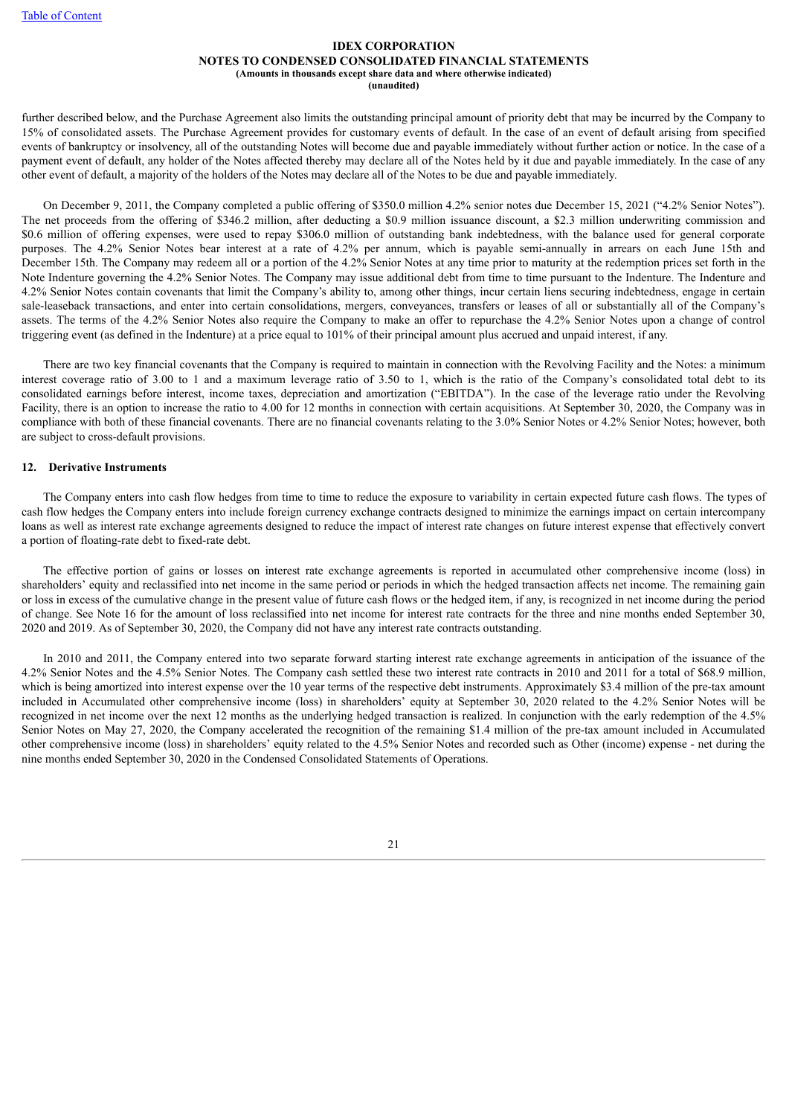further described below, and the Purchase Agreement also limits the outstanding principal amount of priority debt that may be incurred by the Company to 15% of consolidated assets. The Purchase Agreement provides for customary events of default. In the case of an event of default arising from specified events of bankruptcy or insolvency, all of the outstanding Notes will become due and payable immediately without further action or notice. In the case of a payment event of default, any holder of the Notes affected thereby may declare all of the Notes held by it due and payable immediately. In the case of any other event of default, a majority of the holders of the Notes may declare all of the Notes to be due and payable immediately.

On December 9, 2011, the Company completed a public offering of \$350.0 million 4.2% senior notes due December 15, 2021 ("4.2% Senior Notes"). The net proceeds from the offering of \$346.2 million, after deducting a \$0.9 million issuance discount, a \$2.3 million underwriting commission and \$0.6 million of offering expenses, were used to repay \$306.0 million of outstanding bank indebtedness, with the balance used for general corporate purposes. The 4.2% Senior Notes bear interest at a rate of 4.2% per annum, which is payable semi-annually in arrears on each June 15th and December 15th. The Company may redeem all or a portion of the 4.2% Senior Notes at any time prior to maturity at the redemption prices set forth in the Note Indenture governing the 4.2% Senior Notes. The Company may issue additional debt from time to time pursuant to the Indenture. The Indenture and 4.2% Senior Notes contain covenants that limit the Company's ability to, among other things, incur certain liens securing indebtedness, engage in certain sale-leaseback transactions, and enter into certain consolidations, mergers, conveyances, transfers or leases of all or substantially all of the Company's assets. The terms of the 4.2% Senior Notes also require the Company to make an offer to repurchase the 4.2% Senior Notes upon a change of control triggering event (as defined in the Indenture) at a price equal to 101% of their principal amount plus accrued and unpaid interest, if any.

There are two key financial covenants that the Company is required to maintain in connection with the Revolving Facility and the Notes: a minimum interest coverage ratio of 3.00 to 1 and a maximum leverage ratio of 3.50 to 1, which is the ratio of the Company's consolidated total debt to its consolidated earnings before interest, income taxes, depreciation and amortization ("EBITDA"). In the case of the leverage ratio under the Revolving Facility, there is an option to increase the ratio to 4.00 for 12 months in connection with certain acquisitions. At September 30, 2020, the Company was in compliance with both of these financial covenants. There are no financial covenants relating to the 3.0% Senior Notes or 4.2% Senior Notes; however, both are subject to cross-default provisions.

#### **12. Derivative Instruments**

The Company enters into cash flow hedges from time to time to reduce the exposure to variability in certain expected future cash flows. The types of cash flow hedges the Company enters into include foreign currency exchange contracts designed to minimize the earnings impact on certain intercompany loans as well as interest rate exchange agreements designed to reduce the impact of interest rate changes on future interest expense that effectively convert a portion of floating-rate debt to fixed-rate debt.

The effective portion of gains or losses on interest rate exchange agreements is reported in accumulated other comprehensive income (loss) in shareholders' equity and reclassified into net income in the same period or periods in which the hedged transaction affects net income. The remaining gain or loss in excess of the cumulative change in the present value of future cash flows or the hedged item, if any, is recognized in net income during the period of change. See Note 16 for the amount of loss reclassified into net income for interest rate contracts for the three and nine months ended September 30, 2020 and 2019. As of September 30, 2020, the Company did not have any interest rate contracts outstanding.

In 2010 and 2011, the Company entered into two separate forward starting interest rate exchange agreements in anticipation of the issuance of the 4.2% Senior Notes and the 4.5% Senior Notes. The Company cash settled these two interest rate contracts in 2010 and 2011 for a total of \$68.9 million, which is being amortized into interest expense over the 10 year terms of the respective debt instruments. Approximately \$3.4 million of the pre-tax amount included in Accumulated other comprehensive income (loss) in shareholders' equity at September 30, 2020 related to the 4.2% Senior Notes will be recognized in net income over the next 12 months as the underlying hedged transaction is realized. In conjunction with the early redemption of the 4.5% Senior Notes on May 27, 2020, the Company accelerated the recognition of the remaining \$1.4 million of the pre-tax amount included in Accumulated other comprehensive income (loss) in shareholders' equity related to the 4.5% Senior Notes and recorded such as Other (income) expense - net during the nine months ended September 30, 2020 in the Condensed Consolidated Statements of Operations.

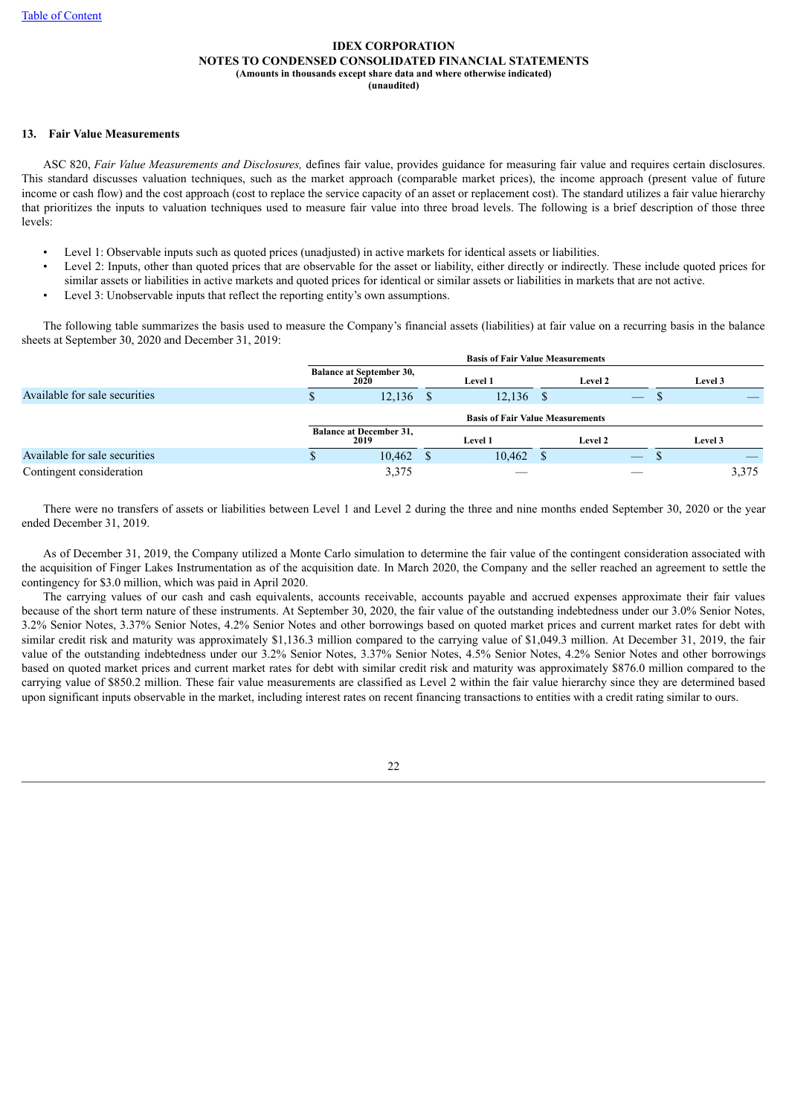#### **13. Fair Value Measurements**

ASC 820, *Fair Value Measurements and Disclosures,* defines fair value, provides guidance for measuring fair value and requires certain disclosures. This standard discusses valuation techniques, such as the market approach (comparable market prices), the income approach (present value of future income or cash flow) and the cost approach (cost to replace the service capacity of an asset or replacement cost). The standard utilizes a fair value hierarchy that prioritizes the inputs to valuation techniques used to measure fair value into three broad levels. The following is a brief description of those three levels:

- Level 1: Observable inputs such as quoted prices (unadjusted) in active markets for identical assets or liabilities.
- Level 2: Inputs, other than quoted prices that are observable for the asset or liability, either directly or indirectly. These include quoted prices for
- similar assets or liabilities in active markets and quoted prices for identical or similar assets or liabilities in markets that are not active.
- Level 3: Unobservable inputs that reflect the reporting entity's own assumptions.

The following table summarizes the basis used to measure the Company's financial assets (liabilities) at fair value on a recurring basis in the balance sheets at September 30, 2020 and December 31, 2019:

|                               |                                         | <b>Basis of Fair Value Measurements</b> |                |   |         |
|-------------------------------|-----------------------------------------|-----------------------------------------|----------------|---|---------|
|                               | <b>Balance at September 30,</b><br>2020 | <b>Level 1</b>                          | Level 2        |   | Level 3 |
| Available for sale securities | 12,136                                  | $12,136$ \$                             | $\equiv$       | D |         |
|                               |                                         | <b>Basis of Fair Value Measurements</b> |                |   |         |
|                               | <b>Balance at December 31,</b><br>2019  | <b>Level 1</b>                          | <b>Level 2</b> |   | Level 3 |
| Available for sale securities | 10,462                                  | 10,462                                  |                |   |         |
| Contingent consideration      | 3,375                                   |                                         |                |   | 3,375   |

There were no transfers of assets or liabilities between Level 1 and Level 2 during the three and nine months ended September 30, 2020 or the year ended December 31, 2019.

As of December 31, 2019, the Company utilized a Monte Carlo simulation to determine the fair value of the contingent consideration associated with the acquisition of Finger Lakes Instrumentation as of the acquisition date. In March 2020, the Company and the seller reached an agreement to settle the contingency for \$3.0 million, which was paid in April 2020.

The carrying values of our cash and cash equivalents, accounts receivable, accounts payable and accrued expenses approximate their fair values because of the short term nature of these instruments. At September 30, 2020, the fair value of the outstanding indebtedness under our 3.0% Senior Notes, 3.2% Senior Notes, 3.37% Senior Notes, 4.2% Senior Notes and other borrowings based on quoted market prices and current market rates for debt with similar credit risk and maturity was approximately \$1,136.3 million compared to the carrying value of \$1,049.3 million. At December 31, 2019, the fair value of the outstanding indebtedness under our 3.2% Senior Notes, 3.37% Senior Notes, 4.5% Senior Notes, 4.2% Senior Notes and other borrowings based on quoted market prices and current market rates for debt with similar credit risk and maturity was approximately \$876.0 million compared to the carrying value of \$850.2 million. These fair value measurements are classified as Level 2 within the fair value hierarchy since they are determined based upon significant inputs observable in the market, including interest rates on recent financing transactions to entities with a credit rating similar to ours.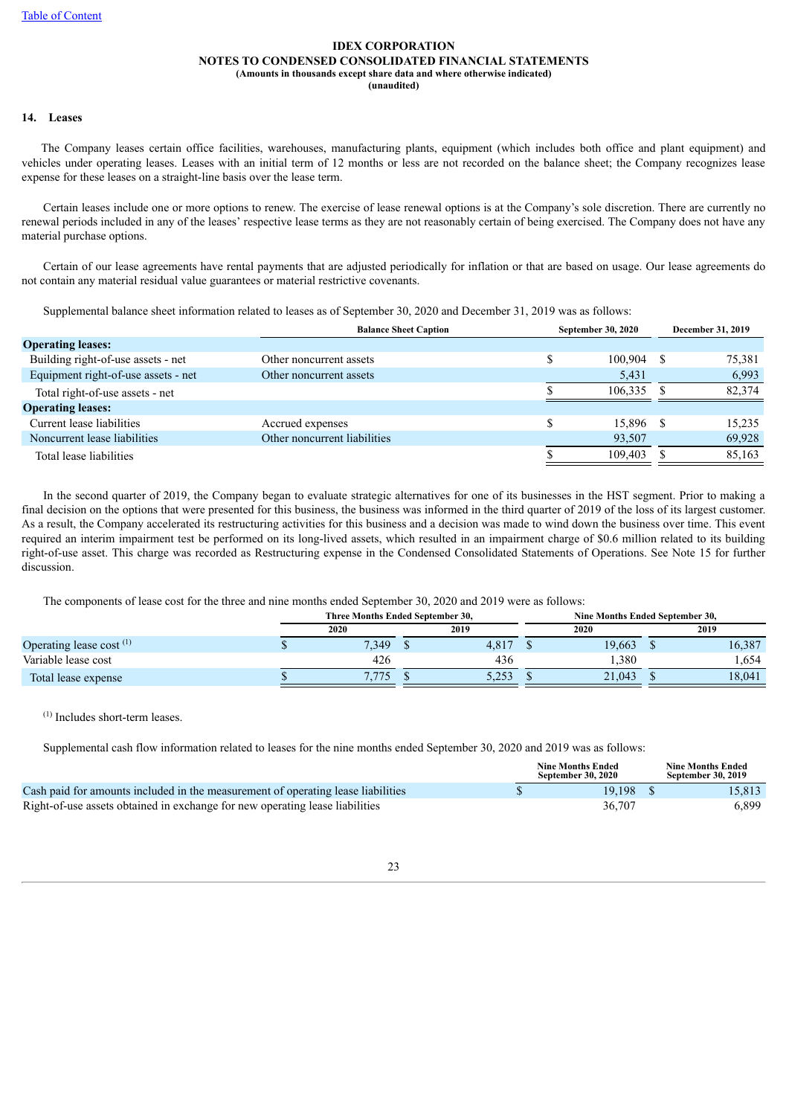## **14. Leases**

The Company leases certain office facilities, warehouses, manufacturing plants, equipment (which includes both office and plant equipment) and vehicles under operating leases. Leases with an initial term of 12 months or less are not recorded on the balance sheet; the Company recognizes lease expense for these leases on a straight-line basis over the lease term.

Certain leases include one or more options to renew. The exercise of lease renewal options is at the Company's sole discretion. There are currently no renewal periods included in any of the leases' respective lease terms as they are not reasonably certain of being exercised. The Company does not have any material purchase options.

Certain of our lease agreements have rental payments that are adjusted periodically for inflation or that are based on usage. Our lease agreements do not contain any material residual value guarantees or material restrictive covenants.

Supplemental balance sheet information related to leases as of September 30, 2020 and December 31, 2019 was as follows:

|                                     | <b>Balance Sheet Caption</b> | <b>September 30, 2020</b> |         |      | December 31, 2019 |
|-------------------------------------|------------------------------|---------------------------|---------|------|-------------------|
| <b>Operating leases:</b>            |                              |                           |         |      |                   |
| Building right-of-use assets - net  | Other noncurrent assets      |                           | 100,904 |      | 75,381            |
| Equipment right-of-use assets - net | Other noncurrent assets      |                           | 5,431   |      | 6,993             |
| Total right-of-use assets - net     |                              |                           | 106.335 |      | 82,374            |
| <b>Operating leases:</b>            |                              |                           |         |      |                   |
| Current lease liabilities           | Accrued expenses             |                           | 15,896  | - 85 | 15.235            |
| Noncurrent lease liabilities        | Other noncurrent liabilities |                           | 93,507  |      | 69,928            |
| Total lease liabilities             |                              |                           | 109,403 |      | 85,163            |

In the second quarter of 2019, the Company began to evaluate strategic alternatives for one of its businesses in the HST segment. Prior to making a final decision on the options that were presented for this business, the business was informed in the third quarter of 2019 of the loss of its largest customer. As a result, the Company accelerated its restructuring activities for this business and a decision was made to wind down the business over time. This event required an interim impairment test be performed on its long-lived assets, which resulted in an impairment charge of \$0.6 million related to its building right-of-use asset. This charge was recorded as Restructuring expense in the Condensed Consolidated Statements of Operations. See Note 15 for further discussion.

The components of lease cost for the three and nine months ended September 30, 2020 and 2019 were as follows:

|                            | Three Months Ended September 30, |       |      |       | Nine Months Ended September 30. |        |  |        |  |
|----------------------------|----------------------------------|-------|------|-------|---------------------------------|--------|--|--------|--|
|                            |                                  | 2020  | 2019 |       |                                 | 2020   |  | 2019   |  |
| Operating lease cost $(1)$ |                                  | 7,349 |      | 4.817 |                                 | 19,663 |  | 16,387 |  |
| Variable lease cost        |                                  | 426   |      | 436   |                                 | 1.380  |  | . 654  |  |
| Total lease expense        |                                  | 7.775 |      | 5.253 |                                 | 21,043 |  | 18.041 |  |

 $(1)$  Includes short-term leases.

Supplemental cash flow information related to leases for the nine months ended September 30, 2020 and 2019 was as follows:

|                                                                                  | <b>Nine Months Ended</b><br><b>September 30, 2020</b> | <b>Nine Months Ended</b><br><b>September 30, 2019</b> |
|----------------------------------------------------------------------------------|-------------------------------------------------------|-------------------------------------------------------|
| Cash paid for amounts included in the measurement of operating lease liabilities | 19.198                                                | 15,813                                                |
| Right-of-use assets obtained in exchange for new operating lease liabilities     | 36.707                                                | 6,899                                                 |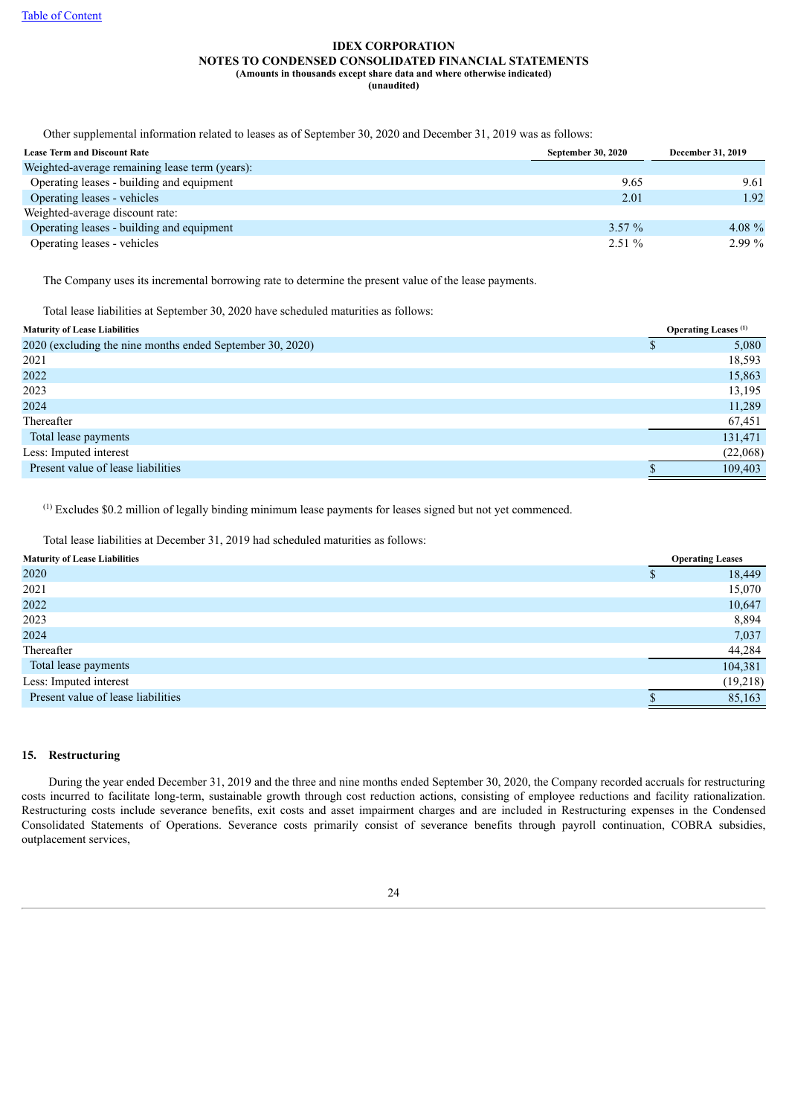**(unaudited)**

Other supplemental information related to leases as of September 30, 2020 and December 31, 2019 was as follows:

| <b>Lease Term and Discount Rate</b>            | <b>September 30, 2020</b> | December 31, 2019 |
|------------------------------------------------|---------------------------|-------------------|
| Weighted-average remaining lease term (years): |                           |                   |
| Operating leases - building and equipment      | 9.65                      | 9.61              |
| Operating leases - vehicles                    | 2.01                      | 1.92              |
| Weighted-average discount rate:                |                           |                   |
| Operating leases - building and equipment      | $3.57 \%$                 | 4.08 $%$          |
| Operating leases - vehicles                    | $2.51\%$                  | $2.99\%$          |
|                                                |                           |                   |

The Company uses its incremental borrowing rate to determine the present value of the lease payments.

Total lease liabilities at September 30, 2020 have scheduled maturities as follows:

| <b>Maturity of Lease Liabilities</b>                      | <b>Operating Leases</b> <sup>(1)</sup> |
|-----------------------------------------------------------|----------------------------------------|
| 2020 (excluding the nine months ended September 30, 2020) | 5,080                                  |
| 2021                                                      | 18,593                                 |
| 2022                                                      | 15,863                                 |
| 2023                                                      | 13,195                                 |
| 2024                                                      | 11,289                                 |
| Thereafter                                                | 67,451                                 |
| Total lease payments                                      | 131,471                                |
| Less: Imputed interest                                    | (22,068)                               |
| Present value of lease liabilities                        | 109,403                                |

 $<sup>(1)</sup>$  Excludes \$0.2 million of legally binding minimum lease payments for leases signed but not yet commenced.</sup>

Total lease liabilities at December 31, 2019 had scheduled maturities as follows:

| <b>Maturity of Lease Liabilities</b> | <b>Operating Leases</b> |          |
|--------------------------------------|-------------------------|----------|
| 2020                                 |                         | 18,449   |
| 2021                                 |                         | 15,070   |
| 2022                                 |                         | 10,647   |
| 2023                                 |                         | 8,894    |
| 2024                                 |                         | 7,037    |
| Thereafter                           |                         | 44,284   |
| Total lease payments                 |                         | 104,381  |
| Less: Imputed interest               |                         | (19,218) |
| Present value of lease liabilities   |                         | 85,163   |

### **15. Restructuring**

During the year ended December 31, 2019 and the three and nine months ended September 30, 2020, the Company recorded accruals for restructuring costs incurred to facilitate long-term, sustainable growth through cost reduction actions, consisting of employee reductions and facility rationalization. Restructuring costs include severance benefits, exit costs and asset impairment charges and are included in Restructuring expenses in the Condensed Consolidated Statements of Operations. Severance costs primarily consist of severance benefits through payroll continuation, COBRA subsidies, outplacement services,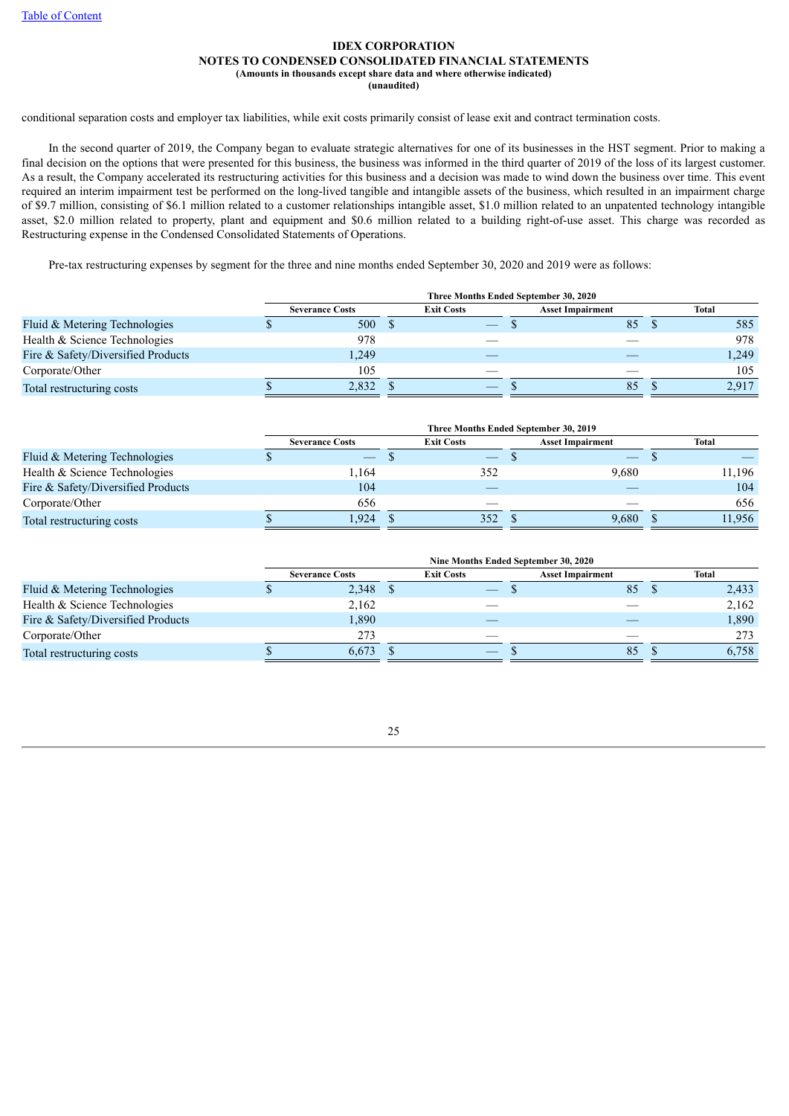conditional separation costs and employer tax liabilities, while exit costs primarily consist of lease exit and contract termination costs.

In the second quarter of 2019, the Company began to evaluate strategic alternatives for one of its businesses in the HST segment. Prior to making a final decision on the options that were presented for this business, the business was informed in the third quarter of 2019 of the loss of its largest customer. As a result, the Company accelerated its restructuring activities for this business and a decision was made to wind down the business over time. This event required an interim impairment test be performed on the long-lived tangible and intangible assets of the business, which resulted in an impairment charge of \$9.7 million, consisting of \$6.1 million related to a customer relationships intangible asset, \$1.0 million related to an unpatented technology intangible asset, \$2.0 million related to property, plant and equipment and \$0.6 million related to a building right-of-use asset. This charge was recorded as Restructuring expense in the Condensed Consolidated Statements of Operations.

Pre-tax restructuring expenses by segment for the three and nine months ended September 30, 2020 and 2019 were as follows:

|                                    | Three Months Ended September 30, 2020 |  |                   |  |                         |  |       |  |  |  |
|------------------------------------|---------------------------------------|--|-------------------|--|-------------------------|--|-------|--|--|--|
|                                    | <b>Severance Costs</b>                |  | <b>Exit Costs</b> |  | <b>Asset Impairment</b> |  | Total |  |  |  |
| Fluid & Metering Technologies      | 500                                   |  |                   |  | 85                      |  | 585   |  |  |  |
| Health & Science Technologies      | 978                                   |  |                   |  |                         |  | 978   |  |  |  |
| Fire & Safety/Diversified Products | 1,249                                 |  |                   |  |                         |  | 1,249 |  |  |  |
| Corporate/Other                    | 105                                   |  |                   |  |                         |  | 105   |  |  |  |
| Total restructuring costs          | 2,832                                 |  | $-$               |  | 85                      |  | 2.917 |  |  |  |

|                                    | Three Months Ended September 30, 2019 |  |                          |                         |       |  |        |  |  |
|------------------------------------|---------------------------------------|--|--------------------------|-------------------------|-------|--|--------|--|--|
|                                    | <b>Severance Costs</b>                |  | <b>Exit Costs</b>        | <b>Asset Impairment</b> |       |  | Total  |  |  |
| Fluid & Metering Technologies      |                                       |  | $\overline{\phantom{0}}$ |                         |       |  |        |  |  |
| Health & Science Technologies      | .164                                  |  | 352                      |                         | 9.680 |  | 11,196 |  |  |
| Fire & Safety/Diversified Products | 104                                   |  |                          |                         |       |  | 104    |  |  |
| Corporate/Other                    | 656                                   |  |                          |                         |       |  | 656    |  |  |
| Total restructuring costs          | .924                                  |  | 352                      |                         | 9.680 |  | 11,956 |  |  |

|                                    | Nine Months Ended September 30, 2020 |                        |  |                   |  |                         |  |       |  |  |  |
|------------------------------------|--------------------------------------|------------------------|--|-------------------|--|-------------------------|--|-------|--|--|--|
|                                    |                                      | <b>Severance Costs</b> |  | <b>Exit Costs</b> |  | <b>Asset Impairment</b> |  | Total |  |  |  |
| Fluid & Metering Technologies      |                                      | 2,348                  |  |                   |  | 85                      |  | 2,433 |  |  |  |
| Health & Science Technologies      |                                      | 2,162                  |  |                   |  |                         |  | 2,162 |  |  |  |
| Fire & Safety/Diversified Products |                                      | 1,890                  |  |                   |  |                         |  | 1,890 |  |  |  |
| Corporate/Other                    |                                      | 273                    |  |                   |  |                         |  | 273   |  |  |  |
| Total restructuring costs          |                                      | 6.673                  |  |                   |  | 85                      |  | 6.758 |  |  |  |

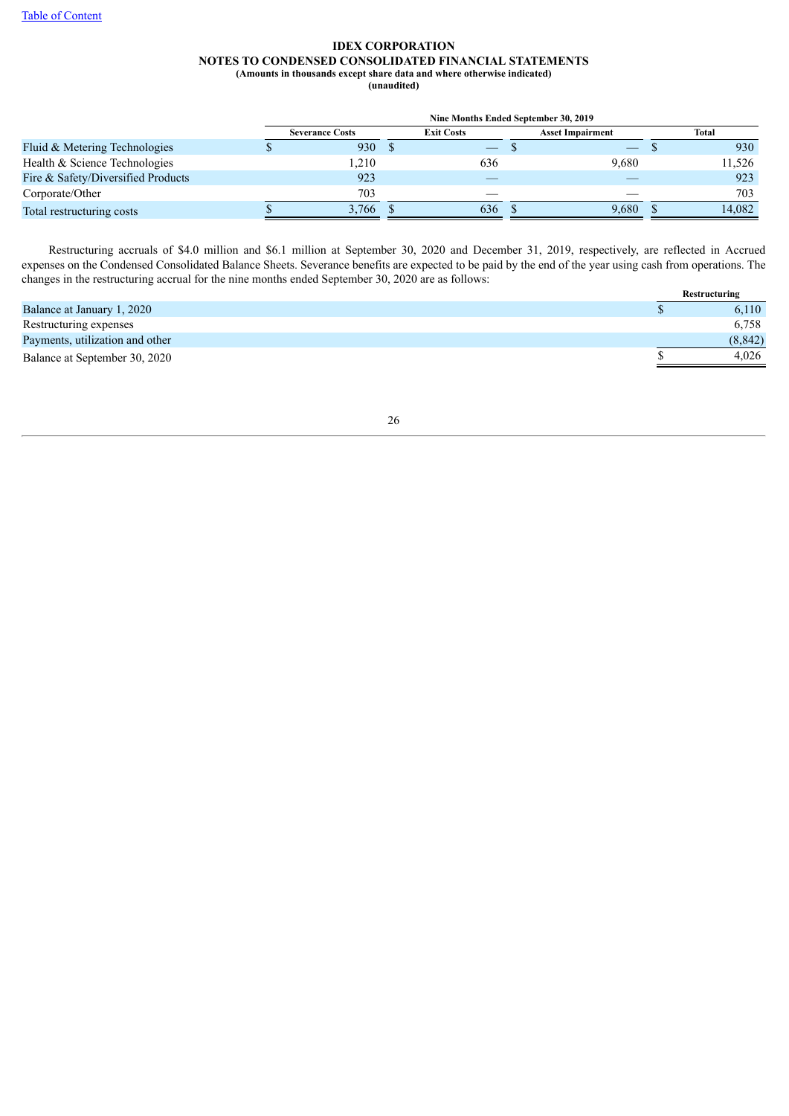**(unaudited)**

|                                    | Nine Months Ended September 30, 2019 |  |                   |  |                         |  |        |  |  |  |
|------------------------------------|--------------------------------------|--|-------------------|--|-------------------------|--|--------|--|--|--|
|                                    | <b>Severance Costs</b>               |  | <b>Exit Costs</b> |  | <b>Asset Impairment</b> |  | Total  |  |  |  |
| Fluid & Metering Technologies      | 930                                  |  |                   |  | –                       |  | 930    |  |  |  |
| Health & Science Technologies      | 0.210                                |  | 636               |  | 9.680                   |  | 11,526 |  |  |  |
| Fire & Safety/Diversified Products | 923                                  |  |                   |  |                         |  | 923    |  |  |  |
| Corporate/Other                    | 703                                  |  |                   |  |                         |  | 703    |  |  |  |
| Total restructuring costs          | 3,766                                |  | 636               |  | 9,680                   |  | 14,082 |  |  |  |

Restructuring accruals of \$4.0 million and \$6.1 million at September 30, 2020 and December 31, 2019, respectively, are reflected in Accrued expenses on the Condensed Consolidated Balance Sheets. Severance benefits are expected to be paid by the end of the year using cash from operations. The changes in the restructuring accrual for the nine months ended September 30, 2020 are as follows:

|                                 | Restructuring |
|---------------------------------|---------------|
| Balance at January 1, 2020      | 6.110         |
| Restructuring expenses          | 6,758         |
| Payments, utilization and other | (8, 842)      |
| Balance at September 30, 2020   | 4.026         |
|                                 |               |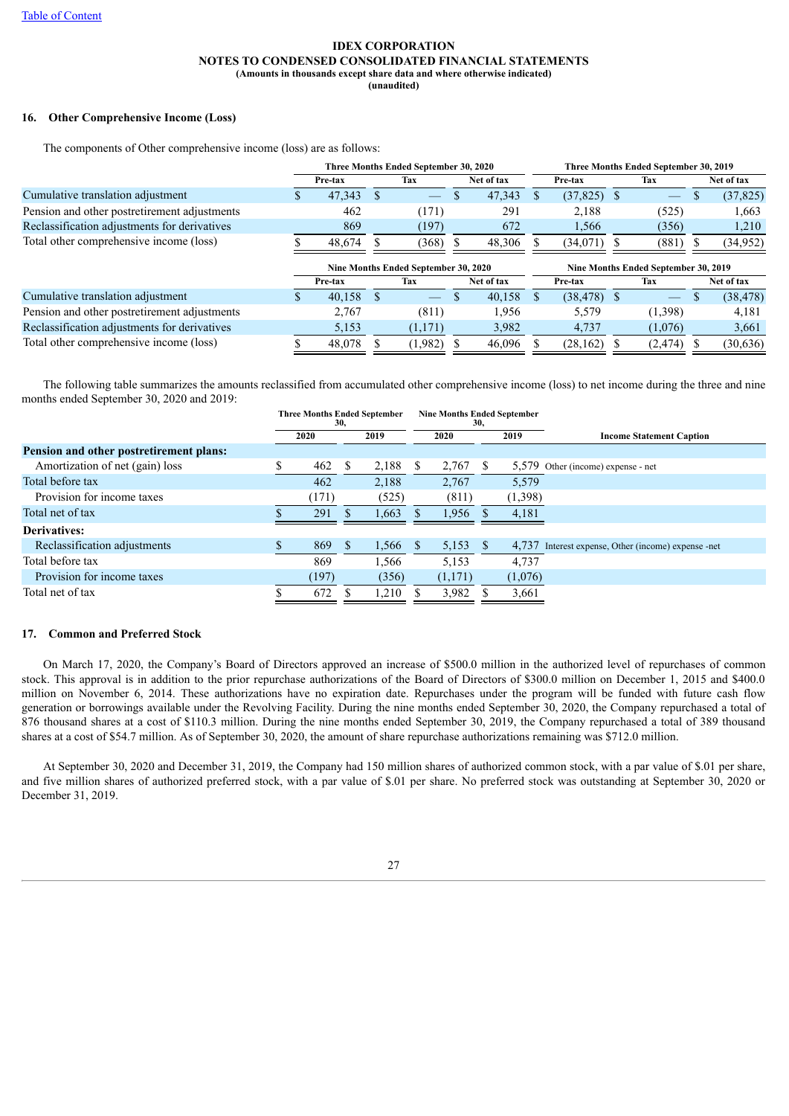#### **16. Other Comprehensive Income (Loss)**

The components of Other comprehensive income (loss) are as follows:

|                                              |         |      | Three Months Ended September 30, 2020 |    |            |      | Three Months Ended September 30, 2019 |  |                                      |   |            |  |
|----------------------------------------------|---------|------|---------------------------------------|----|------------|------|---------------------------------------|--|--------------------------------------|---|------------|--|
|                                              | Pre-tax |      | Tax                                   |    | Net of tax |      | Pre-tax                               |  | Tax                                  |   | Net of tax |  |
| Cumulative translation adjustment            | 47,343  |      |                                       |    | 47,343     |      | $(37,825)$ \$                         |  |                                      |   | (37, 825)  |  |
| Pension and other postretirement adjustments | 462     |      | (171)                                 |    | 291        |      | 2.188                                 |  | (525)                                |   | 1,663      |  |
| Reclassification adjustments for derivatives | 869     |      | (197)                                 |    | 672        |      | 1,566                                 |  | (356)                                |   | 1,210      |  |
| Total other comprehensive income (loss)      | 48,674  |      | (368)                                 |    | 48,306     |      | (34,071)                              |  | (881)                                |   | (34, 952)  |  |
|                                              |         |      | Nine Months Ended September 30, 2020  |    |            |      |                                       |  | Nine Months Ended September 30, 2019 |   |            |  |
|                                              | Pre-tax |      | Tax                                   |    | Net of tax |      | Pre-tax                               |  | Tax                                  |   | Net of tax |  |
| Cumulative translation adjustment            | 40,158  | - \$ |                                       | -S | 40,158     | - \$ | $(38, 478)$ \$                        |  | $\overline{\phantom{0}}$             | D | (38, 478)  |  |
| Pension and other postretirement adjustments | 2,767   |      | (811)                                 |    | 1,956      |      | 5,579                                 |  | (1,398)                              |   | 4,181      |  |
| Reclassification adjustments for derivatives | 5,153   |      | (1,171)                               |    | 3.982      |      | 4,737                                 |  | (1,076)                              |   | 3,661      |  |
| Total other comprehensive income (loss)      | 48,078  |      | (1,982)                               |    | 46,096     |      | (28, 162)                             |  | (2, 474)                             |   | (30,636)   |  |

The following table summarizes the amounts reclassified from accumulated other comprehensive income (loss) to net income during the three and nine months ended September 30, 2020 and 2019:

|                                         |       | 30, | <b>Three Months Ended September</b> | <b>Nine Months Ended September</b> | 30,  |         |                                               |  |  |  |  |  |  |  |  |  |  |  |  |  |  |  |  |  |  |  |  |  |  |  |  |  |  |  |  |  |  |  |                                 |
|-----------------------------------------|-------|-----|-------------------------------------|------------------------------------|------|---------|-----------------------------------------------|--|--|--|--|--|--|--|--|--|--|--|--|--|--|--|--|--|--|--|--|--|--|--|--|--|--|--|--|--|--|--|---------------------------------|
|                                         | 2020  |     | 2019                                | 2020                               | 2019 |         |                                               |  |  |  |  |  |  |  |  |  |  |  |  |  |  |  |  |  |  |  |  |  |  |  |  |  |  |  |  |  |  |  | <b>Income Statement Caption</b> |
| Pension and other postretirement plans: |       |     |                                     |                                    |      |         |                                               |  |  |  |  |  |  |  |  |  |  |  |  |  |  |  |  |  |  |  |  |  |  |  |  |  |  |  |  |  |  |  |                                 |
| Amortization of net (gain) loss         | 462   | S   | 2,188                               | 2,767                              |      | 5,579   | Other (income) expense - net                  |  |  |  |  |  |  |  |  |  |  |  |  |  |  |  |  |  |  |  |  |  |  |  |  |  |  |  |  |  |  |  |                                 |
| Total before tax                        | 462   |     | 2,188                               | 2,767                              |      | 5,579   |                                               |  |  |  |  |  |  |  |  |  |  |  |  |  |  |  |  |  |  |  |  |  |  |  |  |  |  |  |  |  |  |  |                                 |
| Provision for income taxes              | (171) |     | (525)                               | (811)                              |      | (1,398) |                                               |  |  |  |  |  |  |  |  |  |  |  |  |  |  |  |  |  |  |  |  |  |  |  |  |  |  |  |  |  |  |  |                                 |
| Total net of tax                        | 291   |     | 1,663                               | 1,956                              |      | 4,181   |                                               |  |  |  |  |  |  |  |  |  |  |  |  |  |  |  |  |  |  |  |  |  |  |  |  |  |  |  |  |  |  |  |                                 |
| Derivatives:                            |       |     |                                     |                                    |      |         |                                               |  |  |  |  |  |  |  |  |  |  |  |  |  |  |  |  |  |  |  |  |  |  |  |  |  |  |  |  |  |  |  |                                 |
| Reclassification adjustments            | 869   | -S  | 1,566                               | 5,153                              | -S   | 4.737   | Interest expense, Other (income) expense -net |  |  |  |  |  |  |  |  |  |  |  |  |  |  |  |  |  |  |  |  |  |  |  |  |  |  |  |  |  |  |  |                                 |
| Total before tax                        | 869   |     | 1,566                               | 5,153                              |      | 4,737   |                                               |  |  |  |  |  |  |  |  |  |  |  |  |  |  |  |  |  |  |  |  |  |  |  |  |  |  |  |  |  |  |  |                                 |
| Provision for income taxes              | (197) |     | (356)                               | (1,171)                            |      | (1,076) |                                               |  |  |  |  |  |  |  |  |  |  |  |  |  |  |  |  |  |  |  |  |  |  |  |  |  |  |  |  |  |  |  |                                 |
| Total net of tax                        | 672   |     | 1,210                               | 3,982                              |      | 3,661   |                                               |  |  |  |  |  |  |  |  |  |  |  |  |  |  |  |  |  |  |  |  |  |  |  |  |  |  |  |  |  |  |  |                                 |

#### **17. Common and Preferred Stock**

On March 17, 2020, the Company's Board of Directors approved an increase of \$500.0 million in the authorized level of repurchases of common stock. This approval is in addition to the prior repurchase authorizations of the Board of Directors of \$300.0 million on December 1, 2015 and \$400.0 million on November 6, 2014. These authorizations have no expiration date. Repurchases under the program will be funded with future cash flow generation or borrowings available under the Revolving Facility. During the nine months ended September 30, 2020, the Company repurchased a total of 876 thousand shares at a cost of \$110.3 million. During the nine months ended September 30, 2019, the Company repurchased a total of 389 thousand shares at a cost of \$54.7 million. As of September 30, 2020, the amount of share repurchase authorizations remaining was \$712.0 million.

At September 30, 2020 and December 31, 2019, the Company had 150 million shares of authorized common stock, with a par value of \$.01 per share, and five million shares of authorized preferred stock, with a par value of \$.01 per share. No preferred stock was outstanding at September 30, 2020 or December 31, 2019.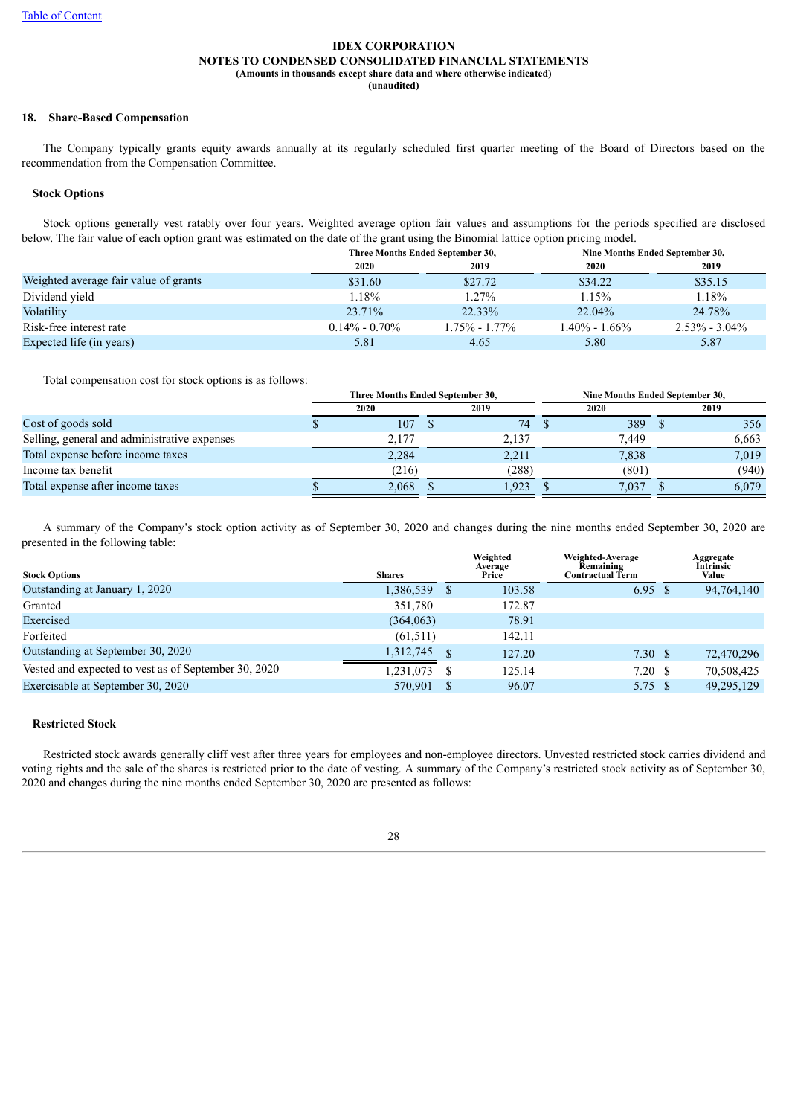#### **18. Share-Based Compensation**

The Company typically grants equity awards annually at its regularly scheduled first quarter meeting of the Board of Directors based on the recommendation from the Compensation Committee.

#### **Stock Options**

Stock options generally vest ratably over four years. Weighted average option fair values and assumptions for the periods specified are disclosed below. The fair value of each option grant was estimated on the date of the grant using the Binomial lattice option pricing model.

|                                       | Three Months Ended September 30, |                   | Nine Months Ended September 30, |                   |
|---------------------------------------|----------------------------------|-------------------|---------------------------------|-------------------|
|                                       | 2020                             | 2019              | 2020                            | 2019              |
| Weighted average fair value of grants | \$31.60                          | \$27.72           | \$34.22                         | \$35.15           |
| Dividend vield                        | 1.18%                            | $1.27\%$          | 1.15%                           | 1.18%             |
| Volatility                            | 23.71%                           | 22.33%            | $22.04\%$                       | 24.78%            |
| Risk-free interest rate               | $0.14\% - 0.70\%$                | $1.75\% - 1.77\%$ | $1.40\% - 1.66\%$               | $2.53\% - 3.04\%$ |
| Expected life (in years)              | 5.81                             | 4.65              | 5.80                            | 5.87              |

Total compensation cost for stock options is as follows:

|                                              |  |       | Nine Months Ended September 30, |  |       |  |       |
|----------------------------------------------|--|-------|---------------------------------|--|-------|--|-------|
|                                              |  | 2020  | 2019                            |  | 2020  |  | 2019  |
| Cost of goods sold                           |  | 107   | 74                              |  | 389   |  | 356   |
| Selling, general and administrative expenses |  | 2.177 | 2,137                           |  | 7.449 |  | 6,663 |
| Total expense before income taxes            |  | 2,284 | 2,211                           |  | 7,838 |  | 7,019 |
| Income tax benefit                           |  | (216) | (288)                           |  | (801) |  | (940) |
| Total expense after income taxes             |  | 2,068 | 1,923                           |  | 7.037 |  | 6.079 |

A summary of the Company's stock option activity as of September 30, 2020 and changes during the nine months ended September 30, 2020 are presented in the following table:

| <b>Stock Options</b>                                 | <b>Shares</b> | Weighted<br>Average<br>Price | Weighted-Average<br>Remaining<br><b>Contractual Term</b> | Aggregate<br>Intrinsic<br>Value |
|------------------------------------------------------|---------------|------------------------------|----------------------------------------------------------|---------------------------------|
| Outstanding at January 1, 2020                       | 1,386,539     | 103.58                       | 6.95 \$                                                  | 94,764,140                      |
| Granted                                              | 351,780       | 172.87                       |                                                          |                                 |
| Exercised                                            | (364, 063)    | 78.91                        |                                                          |                                 |
| Forfeited                                            | (61, 511)     | 142.11                       |                                                          |                                 |
| Outstanding at September 30, 2020                    | 1,312,745     | 127.20                       | 7.30 S                                                   | 72,470,296                      |
| Vested and expected to vest as of September 30, 2020 | 1,231,073     | 125.14                       | 7.20 S                                                   | 70,508,425                      |
| Exercisable at September 30, 2020                    | 570,901       | 96.07                        | 5.75 \$                                                  | 49.295.129                      |

## **Restricted Stock**

Restricted stock awards generally cliff vest after three years for employees and non-employee directors. Unvested restricted stock carries dividend and voting rights and the sale of the shares is restricted prior to the date of vesting. A summary of the Company's restricted stock activity as of September 30, 2020 and changes during the nine months ended September 30, 2020 are presented as follows: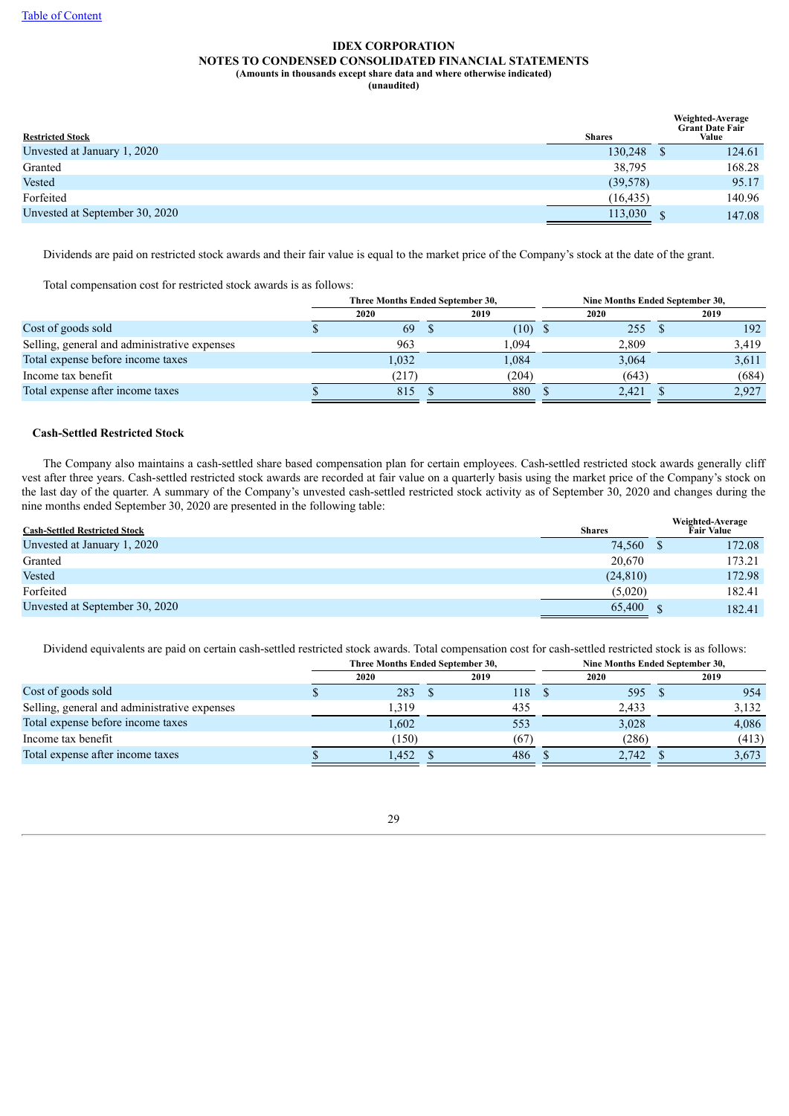**(unaudited)**

| <b>Restricted Stock</b>        | <b>Shares</b> | Weighted-Average<br><b>Grant Date Fair</b><br>Value |
|--------------------------------|---------------|-----------------------------------------------------|
| Unvested at January 1, 2020    | 130,248       | 124.61                                              |
| Granted                        | 38,795        | 168.28                                              |
| Vested                         | (39, 578)     | 95.17                                               |
| Forfeited                      | (16, 435)     | 140.96                                              |
| Unvested at September 30, 2020 | 113,030       | 147.08                                              |

Dividends are paid on restricted stock awards and their fair value is equal to the market price of the Company's stock at the date of the grant.

Total compensation cost for restricted stock awards is as follows:

|                                              | Three Months Ended September 30, |       |  |           | Nine Months Ended September 30, |       |  |       |
|----------------------------------------------|----------------------------------|-------|--|-----------|---------------------------------|-------|--|-------|
|                                              |                                  | 2020  |  | 2019      |                                 | 2020  |  | 2019  |
| Cost of goods sold                           |                                  | 69    |  | $(10)$ \$ |                                 | 255   |  | 192   |
| Selling, general and administrative expenses |                                  | 963   |  | .094      |                                 | 2,809 |  | 3,419 |
| Total expense before income taxes            |                                  | 1,032 |  | .084      |                                 | 3,064 |  | 3,611 |
| Income tax benefit                           |                                  | (217) |  | (204)     |                                 | (643) |  | (684) |
| Total expense after income taxes             |                                  | 815   |  | 880       |                                 | 2.421 |  | 2,927 |

## **Cash-Settled Restricted Stock**

The Company also maintains a cash-settled share based compensation plan for certain employees. Cash-settled restricted stock awards generally cliff vest after three years. Cash-settled restricted stock awards are recorded at fair value on a quarterly basis using the market price of the Company's stock on the last day of the quarter. A summary of the Company's unvested cash-settled restricted stock activity as of September 30, 2020 and changes during the nine months ended September 30, 2020 are presented in the following table:

| <b>Cash-Settled Restricted Stock</b> | <b>Shares</b> | Weighted-Average<br>Fair Value |
|--------------------------------------|---------------|--------------------------------|
| Unvested at January 1, 2020          | 74,560        | 172.08                         |
| Granted                              | 20,670        | 173.21                         |
| <b>Vested</b>                        | (24, 810)     | 172.98                         |
| Forfeited                            | (5,020)       | 182.41                         |
| Unvested at September 30, 2020       | 65,400        | 182.41                         |

Dividend equivalents are paid on certain cash-settled restricted stock awards. Total compensation cost for cash-settled restricted stock is as follows:

|                                              | Three Months Ended September 30, |       |  | Nine Months Ended September 30, |  |       |  |       |
|----------------------------------------------|----------------------------------|-------|--|---------------------------------|--|-------|--|-------|
|                                              |                                  | 2020  |  | 2019                            |  | 2020  |  | 2019  |
| Cost of goods sold                           |                                  | 283   |  | 118                             |  | 595   |  | 954   |
| Selling, general and administrative expenses |                                  | .319  |  | 435                             |  | 2,433 |  | 3,132 |
| Total expense before income taxes            |                                  | 1,602 |  | 553                             |  | 3,028 |  | 4,086 |
| Income tax benefit                           |                                  | (150) |  | (67)                            |  | (286) |  | (413) |
| Total expense after income taxes             |                                  | .452  |  | 486                             |  | 2.742 |  | 3,673 |

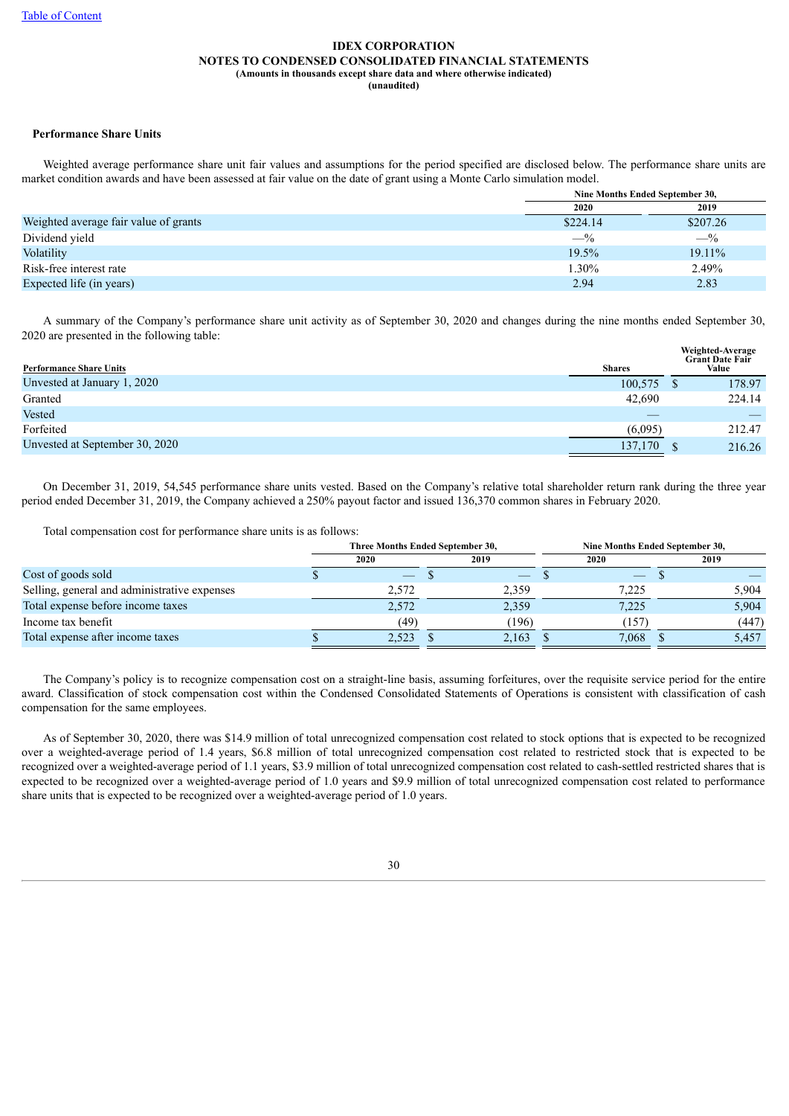**(unaudited)**

## **Performance Share Units**

Weighted average performance share unit fair values and assumptions for the period specified are disclosed below. The performance share units are market condition awards and have been assessed at fair value on the date of grant using a Monte Carlo simulation model.

|                                       |          | Nine Months Ended September 30, |
|---------------------------------------|----------|---------------------------------|
|                                       | 2020     | 2019                            |
| Weighted average fair value of grants | \$224.14 | \$207.26                        |
| Dividend yield                        | $-$ %    | $-$ %                           |
| Volatility                            | 19.5%    | 19.11\%                         |
| Risk-free interest rate               | 1.30%    | 2.49%                           |
| Expected life (in years)              | 2.94     | 2.83                            |

A summary of the Company's performance share unit activity as of September 30, 2020 and changes during the nine months ended September 30, 2020 are presented in the following table:

| <b>Performance Share Units</b> | <b>Shares</b> | Weighted-Average<br><b>Grant Date Fair</b><br>Value |
|--------------------------------|---------------|-----------------------------------------------------|
| Unvested at January 1, 2020    | 100,575       | 178.97                                              |
| Granted                        | 42.690        | 224.14                                              |
| <b>Vested</b>                  |               |                                                     |
| Forfeited                      | (6,095)       | 212.47                                              |
| Unvested at September 30, 2020 | 137,170       | 216.26                                              |

On December 31, 2019, 54,545 performance share units vested. Based on the Company's relative total shareholder return rank during the three year period ended December 31, 2019, the Company achieved a 250% payout factor and issued 136,370 common shares in February 2020.

Total compensation cost for performance share units is as follows:

|                                              | Three Months Ended September 30, |                               |      | Nine Months Ended September 30, |                                |  |       |
|----------------------------------------------|----------------------------------|-------------------------------|------|---------------------------------|--------------------------------|--|-------|
|                                              | 2020                             |                               | 2019 |                                 | 2020                           |  | 2019  |
| Cost of goods sold                           |                                  | $\overbrace{\phantom{13333}}$ |      | $\overline{\phantom{0}}$        | $\qquad \qquad \longleftarrow$ |  |       |
| Selling, general and administrative expenses |                                  | 2.572                         |      | 2,359                           | 7.225                          |  | 5.904 |
| Total expense before income taxes            |                                  | 2,572                         |      | 2,359                           | 7,225                          |  | 5,904 |
| Income tax benefit                           |                                  | (49)                          |      | (196)                           | (157)                          |  | (447) |
| Total expense after income taxes             |                                  | 2.523                         |      | 2,163                           | 7,068                          |  | 5,457 |

The Company's policy is to recognize compensation cost on a straight-line basis, assuming forfeitures, over the requisite service period for the entire award. Classification of stock compensation cost within the Condensed Consolidated Statements of Operations is consistent with classification of cash compensation for the same employees.

As of September 30, 2020, there was \$14.9 million of total unrecognized compensation cost related to stock options that is expected to be recognized over a weighted-average period of 1.4 years, \$6.8 million of total unrecognized compensation cost related to restricted stock that is expected to be recognized over a weighted-average period of 1.1 years, \$3.9 million of total unrecognized compensation cost related to cash-settled restricted shares that is expected to be recognized over a weighted-average period of 1.0 years and \$9.9 million of total unrecognized compensation cost related to performance share units that is expected to be recognized over a weighted-average period of 1.0 years.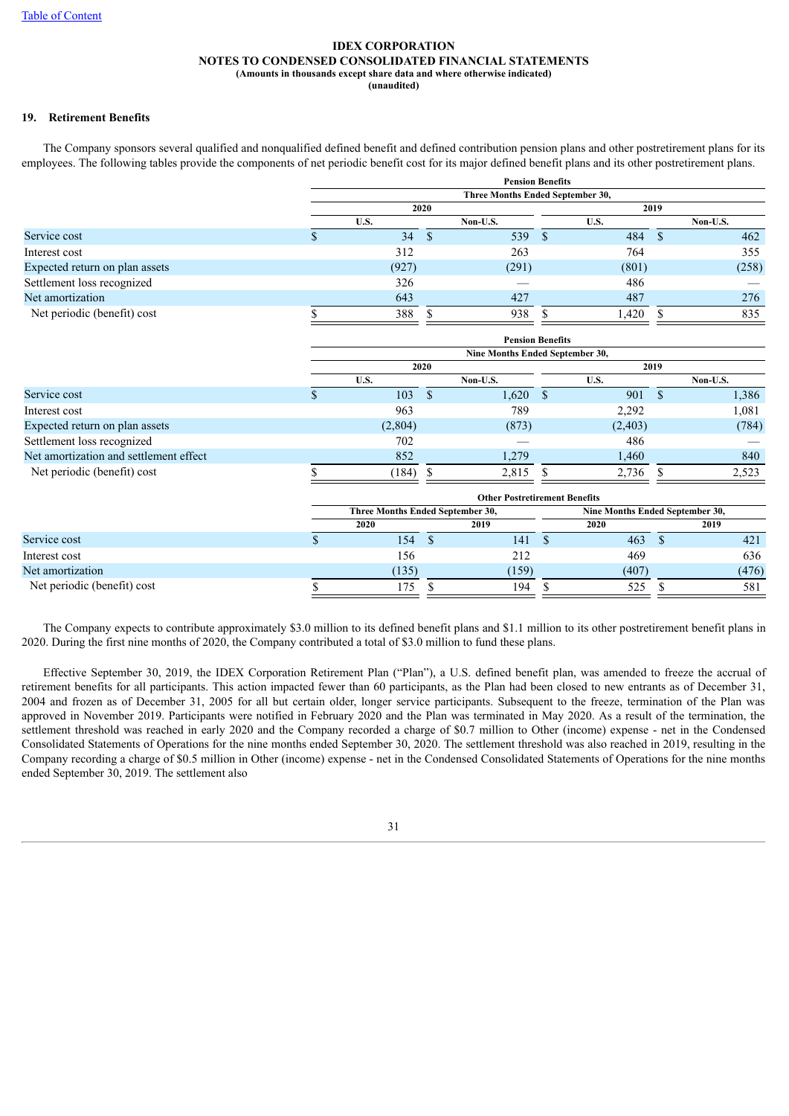**(unaudited)**

#### **19. Retirement Benefits**

The Company sponsors several qualified and nonqualified defined benefit and defined contribution pension plans and other postretirement plans for its employees. The following tables provide the components of net periodic benefit cost for its major defined benefit plans and its other postretirement plans.

|                                |       |      | <b>Pension Benefits</b>          |       |  |          |
|--------------------------------|-------|------|----------------------------------|-------|--|----------|
|                                |       |      | Three Months Ended September 30, |       |  |          |
|                                |       | 2020 |                                  | 2019  |  |          |
|                                | U.S.  |      | Non-U.S.                         | U.S.  |  | Non-U.S. |
| Service cost                   | 34    |      | 539                              | 484   |  | 462      |
| Interest cost                  | 312   |      | 263                              | 764   |  | 355      |
| Expected return on plan assets | (927) |      | (291)                            | (801) |  | (258)    |
| Settlement loss recognized     | 326   |      | _                                | 486   |  |          |
| Net amortization               | 643   |      | 427                              | 487   |  | 276      |
| Net periodic (benefit) cost    | 388   |      | 938                              | l.420 |  | 835      |

|                                        |         |      | <b>Pension Benefits</b>         |         |      |          |
|----------------------------------------|---------|------|---------------------------------|---------|------|----------|
|                                        |         |      | Nine Months Ended September 30, |         |      |          |
|                                        |         | 2020 |                                 |         | 2019 |          |
|                                        | U.S.    |      | Non-U.S.                        | U.S.    |      | Non-U.S. |
| Service cost                           | 103     |      | 1,620                           | 901     |      | 1,386    |
| Interest cost                          | 963     |      | 789                             | 2,292   |      | 1,081    |
| Expected return on plan assets         | (2,804) |      | (873)                           | (2,403) |      | (784)    |
| Settlement loss recognized             | 702     |      |                                 | 486     |      |          |
| Net amortization and settlement effect | 852     |      | .279                            | 1,460   |      | 840      |
| Net periodic (benefit) cost            | (184)   |      | 2,815                           | 2,736   |      | 2,523    |

|       |       |                                  |       | Nine Months Ended September 30,      |       |  |
|-------|-------|----------------------------------|-------|--------------------------------------|-------|--|
| 2020  | 2019  |                                  | 2020  |                                      | 2019  |  |
| 154   | 141   |                                  | 463   |                                      | 421   |  |
| 156   | 212   |                                  | 469   |                                      | 636   |  |
| (135) | (159) |                                  | (407) |                                      | (476) |  |
| 175   | 194   |                                  | 525   |                                      | 581   |  |
|       |       | Three Months Ended September 30, |       | <b>Other Postretirement Benefits</b> |       |  |

The Company expects to contribute approximately \$3.0 million to its defined benefit plans and \$1.1 million to its other postretirement benefit plans in 2020. During the first nine months of 2020, the Company contributed a total of \$3.0 million to fund these plans.

Effective September 30, 2019, the IDEX Corporation Retirement Plan ("Plan"), a U.S. defined benefit plan, was amended to freeze the accrual of retirement benefits for all participants. This action impacted fewer than 60 participants, as the Plan had been closed to new entrants as of December 31, 2004 and frozen as of December 31, 2005 for all but certain older, longer service participants. Subsequent to the freeze, termination of the Plan was approved in November 2019. Participants were notified in February 2020 and the Plan was terminated in May 2020. As a result of the termination, the settlement threshold was reached in early 2020 and the Company recorded a charge of \$0.7 million to Other (income) expense - net in the Condensed Consolidated Statements of Operations for the nine months ended September 30, 2020. The settlement threshold was also reached in 2019, resulting in the Company recording a charge of \$0.5 million in Other (income) expense - net in the Condensed Consolidated Statements of Operations for the nine months ended September 30, 2019. The settlement also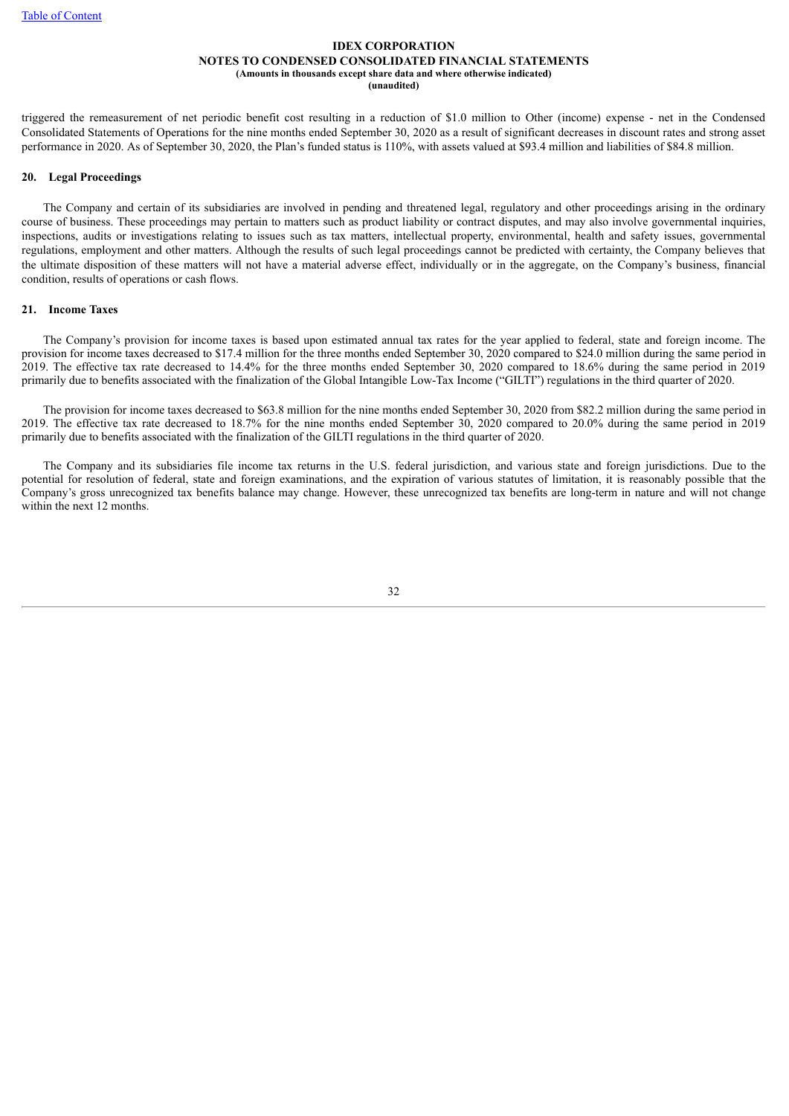triggered the remeasurement of net periodic benefit cost resulting in a reduction of \$1.0 million to Other (income) expense - net in the Condensed Consolidated Statements of Operations for the nine months ended September 30, 2020 as a result of significant decreases in discount rates and strong asset performance in 2020. As of September 30, 2020, the Plan's funded status is 110%, with assets valued at \$93.4 million and liabilities of \$84.8 million.

#### **20. Legal Proceedings**

The Company and certain of its subsidiaries are involved in pending and threatened legal, regulatory and other proceedings arising in the ordinary course of business. These proceedings may pertain to matters such as product liability or contract disputes, and may also involve governmental inquiries, inspections, audits or investigations relating to issues such as tax matters, intellectual property, environmental, health and safety issues, governmental regulations, employment and other matters. Although the results of such legal proceedings cannot be predicted with certainty, the Company believes that the ultimate disposition of these matters will not have a material adverse effect, individually or in the aggregate, on the Company's business, financial condition, results of operations or cash flows.

#### **21. Income Taxes**

The Company's provision for income taxes is based upon estimated annual tax rates for the year applied to federal, state and foreign income. The provision for income taxes decreased to \$17.4 million for the three months ended September 30, 2020 compared to \$24.0 million during the same period in 2019. The effective tax rate decreased to 14.4% for the three months ended September 30, 2020 compared to 18.6% during the same period in 2019 primarily due to benefits associated with the finalization of the Global Intangible Low-Tax Income ("GILTI") regulations in the third quarter of 2020.

The provision for income taxes decreased to \$63.8 million for the nine months ended September 30, 2020 from \$82.2 million during the same period in 2019. The effective tax rate decreased to 18.7% for the nine months ended September 30, 2020 compared to 20.0% during the same period in 2019 primarily due to benefits associated with the finalization of the GILTI regulations in the third quarter of 2020.

<span id="page-34-0"></span>The Company and its subsidiaries file income tax returns in the U.S. federal jurisdiction, and various state and foreign jurisdictions. Due to the potential for resolution of federal, state and foreign examinations, and the expiration of various statutes of limitation, it is reasonably possible that the Company's gross unrecognized tax benefits balance may change. However, these unrecognized tax benefits are long-term in nature and will not change within the next 12 months.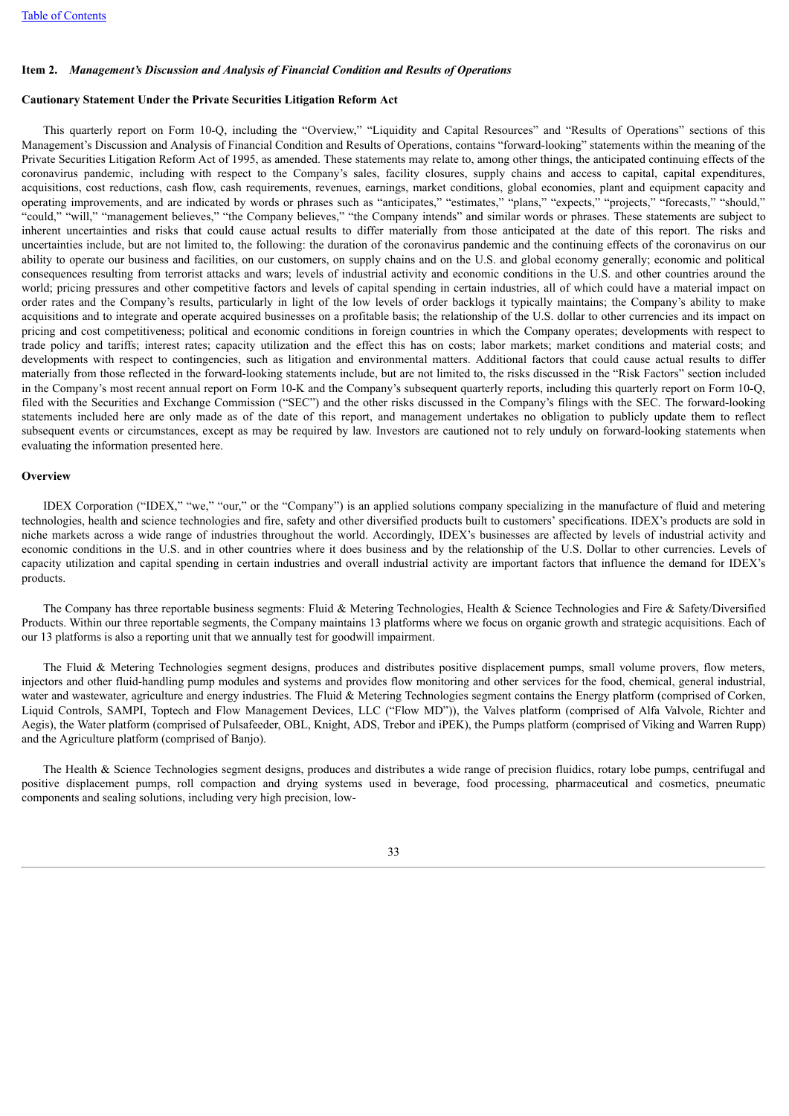#### **Item 2.** *Management's Discussion and Analysis of Financial Condition and Results of Operations*

#### **Cautionary Statement Under the Private Securities Litigation Reform Act**

This quarterly report on Form 10-Q, including the "Overview," "Liquidity and Capital Resources" and "Results of Operations" sections of this Management's Discussion and Analysis of Financial Condition and Results of Operations, contains "forward-looking" statements within the meaning of the Private Securities Litigation Reform Act of 1995, as amended. These statements may relate to, among other things, the anticipated continuing effects of the coronavirus pandemic, including with respect to the Company's sales, facility closures, supply chains and access to capital, capital expenditures, acquisitions, cost reductions, cash flow, cash requirements, revenues, earnings, market conditions, global economies, plant and equipment capacity and operating improvements, and are indicated by words or phrases such as "anticipates," "estimates," "plans," "expects," "projects," "forecasts," "should," "could," "will," "management believes," "the Company believes," "the Company intends" and similar words or phrases. These statements are subject to inherent uncertainties and risks that could cause actual results to differ materially from those anticipated at the date of this report. The risks and uncertainties include, but are not limited to, the following: the duration of the coronavirus pandemic and the continuing effects of the coronavirus on our ability to operate our business and facilities, on our customers, on supply chains and on the U.S. and global economy generally; economic and political consequences resulting from terrorist attacks and wars; levels of industrial activity and economic conditions in the U.S. and other countries around the world; pricing pressures and other competitive factors and levels of capital spending in certain industries, all of which could have a material impact on order rates and the Company's results, particularly in light of the low levels of order backlogs it typically maintains; the Company's ability to make acquisitions and to integrate and operate acquired businesses on a profitable basis; the relationship of the U.S. dollar to other currencies and its impact on pricing and cost competitiveness; political and economic conditions in foreign countries in which the Company operates; developments with respect to trade policy and tariffs; interest rates; capacity utilization and the effect this has on costs; labor markets; market conditions and material costs; and developments with respect to contingencies, such as litigation and environmental matters. Additional factors that could cause actual results to differ materially from those reflected in the forward-looking statements include, but are not limited to, the risks discussed in the "Risk Factors" section included in the Company's most recent annual report on Form 10-K and the Company's subsequent quarterly reports, including this quarterly report on Form 10-Q, filed with the Securities and Exchange Commission ("SEC") and the other risks discussed in the Company's filings with the SEC. The forward-looking statements included here are only made as of the date of this report, and management undertakes no obligation to publicly update them to reflect subsequent events or circumstances, except as may be required by law. Investors are cautioned not to rely unduly on forward-looking statements when evaluating the information presented here.

#### <span id="page-35-0"></span>**Overview**

IDEX Corporation ("IDEX," "we," "our," or the "Company") is an applied solutions company specializing in the manufacture of fluid and metering technologies, health and science technologies and fire, safety and other diversified products built to customers' specifications. IDEX's products are sold in niche markets across a wide range of industries throughout the world. Accordingly, IDEX's businesses are affected by levels of industrial activity and economic conditions in the U.S. and in other countries where it does business and by the relationship of the U.S. Dollar to other currencies. Levels of capacity utilization and capital spending in certain industries and overall industrial activity are important factors that influence the demand for IDEX's products.

The Company has three reportable business segments: Fluid & Metering Technologies, Health & Science Technologies and Fire & Safety/Diversified Products. Within our three reportable segments, the Company maintains 13 platforms where we focus on organic growth and strategic acquisitions. Each of our 13 platforms is also a reporting unit that we annually test for goodwill impairment.

The Fluid & Metering Technologies segment designs, produces and distributes positive displacement pumps, small volume provers, flow meters, injectors and other fluid-handling pump modules and systems and provides flow monitoring and other services for the food, chemical, general industrial, water and wastewater, agriculture and energy industries. The Fluid & Metering Technologies segment contains the Energy platform (comprised of Corken, Liquid Controls, SAMPI, Toptech and Flow Management Devices, LLC ("Flow MD")), the Valves platform (comprised of Alfa Valvole, Richter and Aegis), the Water platform (comprised of Pulsafeeder, OBL, Knight, ADS, Trebor and iPEK), the Pumps platform (comprised of Viking and Warren Rupp) and the Agriculture platform (comprised of Banjo).

The Health & Science Technologies segment designs, produces and distributes a wide range of precision fluidics, rotary lobe pumps, centrifugal and positive displacement pumps, roll compaction and drying systems used in beverage, food processing, pharmaceutical and cosmetics, pneumatic components and sealing solutions, including very high precision, low-

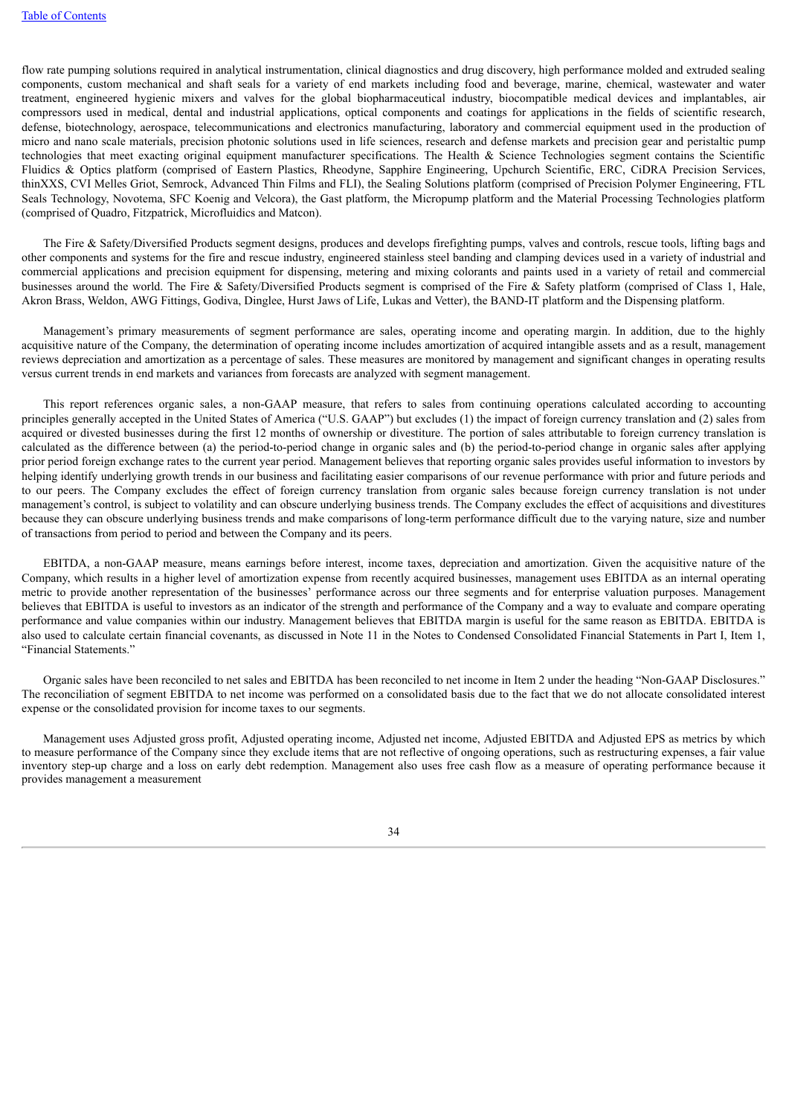flow rate pumping solutions required in analytical instrumentation, clinical diagnostics and drug discovery, high performance molded and extruded sealing components, custom mechanical and shaft seals for a variety of end markets including food and beverage, marine, chemical, wastewater and water treatment, engineered hygienic mixers and valves for the global biopharmaceutical industry, biocompatible medical devices and implantables, air compressors used in medical, dental and industrial applications, optical components and coatings for applications in the fields of scientific research, defense, biotechnology, aerospace, telecommunications and electronics manufacturing, laboratory and commercial equipment used in the production of micro and nano scale materials, precision photonic solutions used in life sciences, research and defense markets and precision gear and peristaltic pump technologies that meet exacting original equipment manufacturer specifications. The Health & Science Technologies segment contains the Scientific Fluidics & Optics platform (comprised of Eastern Plastics, Rheodyne, Sapphire Engineering, Upchurch Scientific, ERC, CiDRA Precision Services, thinXXS, CVI Melles Griot, Semrock, Advanced Thin Films and FLI), the Sealing Solutions platform (comprised of Precision Polymer Engineering, FTL Seals Technology, Novotema, SFC Koenig and Velcora), the Gast platform, the Micropump platform and the Material Processing Technologies platform (comprised of Quadro, Fitzpatrick, Microfluidics and Matcon).

The Fire & Safety/Diversified Products segment designs, produces and develops firefighting pumps, valves and controls, rescue tools, lifting bags and other components and systems for the fire and rescue industry, engineered stainless steel banding and clamping devices used in a variety of industrial and commercial applications and precision equipment for dispensing, metering and mixing colorants and paints used in a variety of retail and commercial businesses around the world. The Fire & Safety/Diversified Products segment is comprised of the Fire & Safety platform (comprised of Class 1, Hale, Akron Brass, Weldon, AWG Fittings, Godiva, Dinglee, Hurst Jaws of Life, Lukas and Vetter), the BAND-IT platform and the Dispensing platform.

Management's primary measurements of segment performance are sales, operating income and operating margin. In addition, due to the highly acquisitive nature of the Company, the determination of operating income includes amortization of acquired intangible assets and as a result, management reviews depreciation and amortization as a percentage of sales. These measures are monitored by management and significant changes in operating results versus current trends in end markets and variances from forecasts are analyzed with segment management.

This report references organic sales, a non-GAAP measure, that refers to sales from continuing operations calculated according to accounting principles generally accepted in the United States of America ("U.S. GAAP") but excludes (1) the impact of foreign currency translation and (2) sales from acquired or divested businesses during the first 12 months of ownership or divestiture. The portion of sales attributable to foreign currency translation is calculated as the difference between (a) the period-to-period change in organic sales and (b) the period-to-period change in organic sales after applying prior period foreign exchange rates to the current year period. Management believes that reporting organic sales provides useful information to investors by helping identify underlying growth trends in our business and facilitating easier comparisons of our revenue performance with prior and future periods and to our peers. The Company excludes the effect of foreign currency translation from organic sales because foreign currency translation is not under management's control, is subject to volatility and can obscure underlying business trends. The Company excludes the effect of acquisitions and divestitures because they can obscure underlying business trends and make comparisons of long-term performance difficult due to the varying nature, size and number of transactions from period to period and between the Company and its peers.

EBITDA, a non-GAAP measure, means earnings before interest, income taxes, depreciation and amortization. Given the acquisitive nature of the Company, which results in a higher level of amortization expense from recently acquired businesses, management uses EBITDA as an internal operating metric to provide another representation of the businesses' performance across our three segments and for enterprise valuation purposes. Management believes that EBITDA is useful to investors as an indicator of the strength and performance of the Company and a way to evaluate and compare operating performance and value companies within our industry. Management believes that EBITDA margin is useful for the same reason as EBITDA. EBITDA is also used to calculate certain financial covenants, as discussed in Note 11 in the Notes to Condensed Consolidated Financial Statements in Part I, Item 1, "Financial Statements."

Organic sales have been reconciled to net sales and EBITDA has been reconciled to net income in Item 2 under the heading "Non-GAAP Disclosures." The reconciliation of segment EBITDA to net income was performed on a consolidated basis due to the fact that we do not allocate consolidated interest expense or the consolidated provision for income taxes to our segments.

Management uses Adjusted gross profit, Adjusted operating income, Adjusted net income, Adjusted EBITDA and Adjusted EPS as metrics by which to measure performance of the Company since they exclude items that are not reflective of ongoing operations, such as restructuring expenses, a fair value inventory step-up charge and a loss on early debt redemption. Management also uses free cash flow as a measure of operating performance because it provides management a measurement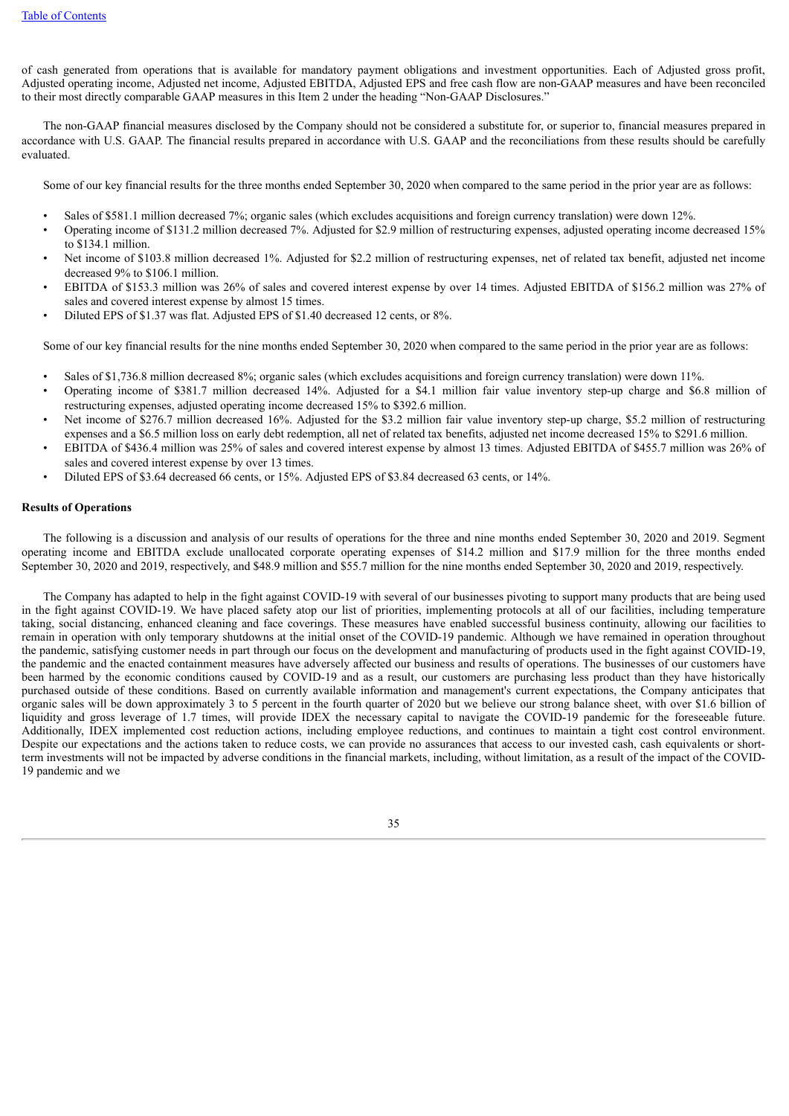of cash generated from operations that is available for mandatory payment obligations and investment opportunities. Each of Adjusted gross profit, Adjusted operating income, Adjusted net income, Adjusted EBITDA, Adjusted EPS and free cash flow are non-GAAP measures and have been reconciled to their most directly comparable GAAP measures in this Item 2 under the heading "Non-GAAP Disclosures."

The non-GAAP financial measures disclosed by the Company should not be considered a substitute for, or superior to, financial measures prepared in accordance with U.S. GAAP. The financial results prepared in accordance with U.S. GAAP and the reconciliations from these results should be carefully evaluated.

Some of our key financial results for the three months ended September 30, 2020 when compared to the same period in the prior year are as follows:

- Sales of \$581.1 million decreased 7%; organic sales (which excludes acquisitions and foreign currency translation) were down 12%.
- Operating income of \$131.2 million decreased 7%. Adjusted for \$2.9 million of restructuring expenses, adjusted operating income decreased 15% to \$134.1 million.
- Net income of \$103.8 million decreased 1%. Adjusted for \$2.2 million of restructuring expenses, net of related tax benefit, adjusted net income decreased 9% to \$106.1 million.
- EBITDA of \$153.3 million was 26% of sales and covered interest expense by over 14 times. Adjusted EBITDA of \$156.2 million was 27% of sales and covered interest expense by almost 15 times.
- Diluted EPS of \$1.37 was flat. Adjusted EPS of \$1.40 decreased 12 cents, or 8%.

Some of our key financial results for the nine months ended September 30, 2020 when compared to the same period in the prior year are as follows:

- Sales of \$1,736.8 million decreased 8%; organic sales (which excludes acquisitions and foreign currency translation) were down 11%.
- Operating income of \$381.7 million decreased 14%. Adjusted for a \$4.1 million fair value inventory step-up charge and \$6.8 million of restructuring expenses, adjusted operating income decreased 15% to \$392.6 million.
- Net income of \$276.7 million decreased 16%. Adjusted for the \$3.2 million fair value inventory step-up charge, \$5.2 million of restructuring expenses and a \$6.5 million loss on early debt redemption, all net of related tax benefits, adjusted net income decreased 15% to \$291.6 million.
- EBITDA of \$436.4 million was 25% of sales and covered interest expense by almost 13 times. Adjusted EBITDA of \$455.7 million was 26% of sales and covered interest expense by over 13 times.
- Diluted EPS of \$3.64 decreased 66 cents, or 15%. Adjusted EPS of \$3.84 decreased 63 cents, or 14%.

#### <span id="page-37-0"></span>**Results of Operations**

The following is a discussion and analysis of our results of operations for the three and nine months ended September 30, 2020 and 2019. Segment operating income and EBITDA exclude unallocated corporate operating expenses of \$14.2 million and \$17.9 million for the three months ended September 30, 2020 and 2019, respectively, and \$48.9 million and \$55.7 million for the nine months ended September 30, 2020 and 2019, respectively.

The Company has adapted to help in the fight against COVID-19 with several of our businesses pivoting to support many products that are being used in the fight against COVID-19. We have placed safety atop our list of priorities, implementing protocols at all of our facilities, including temperature taking, social distancing, enhanced cleaning and face coverings. These measures have enabled successful business continuity, allowing our facilities to remain in operation with only temporary shutdowns at the initial onset of the COVID-19 pandemic. Although we have remained in operation throughout the pandemic, satisfying customer needs in part through our focus on the development and manufacturing of products used in the fight against COVID-19, the pandemic and the enacted containment measures have adversely affected our business and results of operations. The businesses of our customers have been harmed by the economic conditions caused by COVID-19 and as a result, our customers are purchasing less product than they have historically purchased outside of these conditions. Based on currently available information and management's current expectations, the Company anticipates that organic sales will be down approximately 3 to 5 percent in the fourth quarter of 2020 but we believe our strong balance sheet, with over \$1.6 billion of liquidity and gross leverage of 1.7 times, will provide IDEX the necessary capital to navigate the COVID-19 pandemic for the foreseeable future. Additionally, IDEX implemented cost reduction actions, including employee reductions, and continues to maintain a tight cost control environment. Despite our expectations and the actions taken to reduce costs, we can provide no assurances that access to our invested cash, cash equivalents or shortterm investments will not be impacted by adverse conditions in the financial markets, including, without limitation, as a result of the impact of the COVID-19 pandemic and we

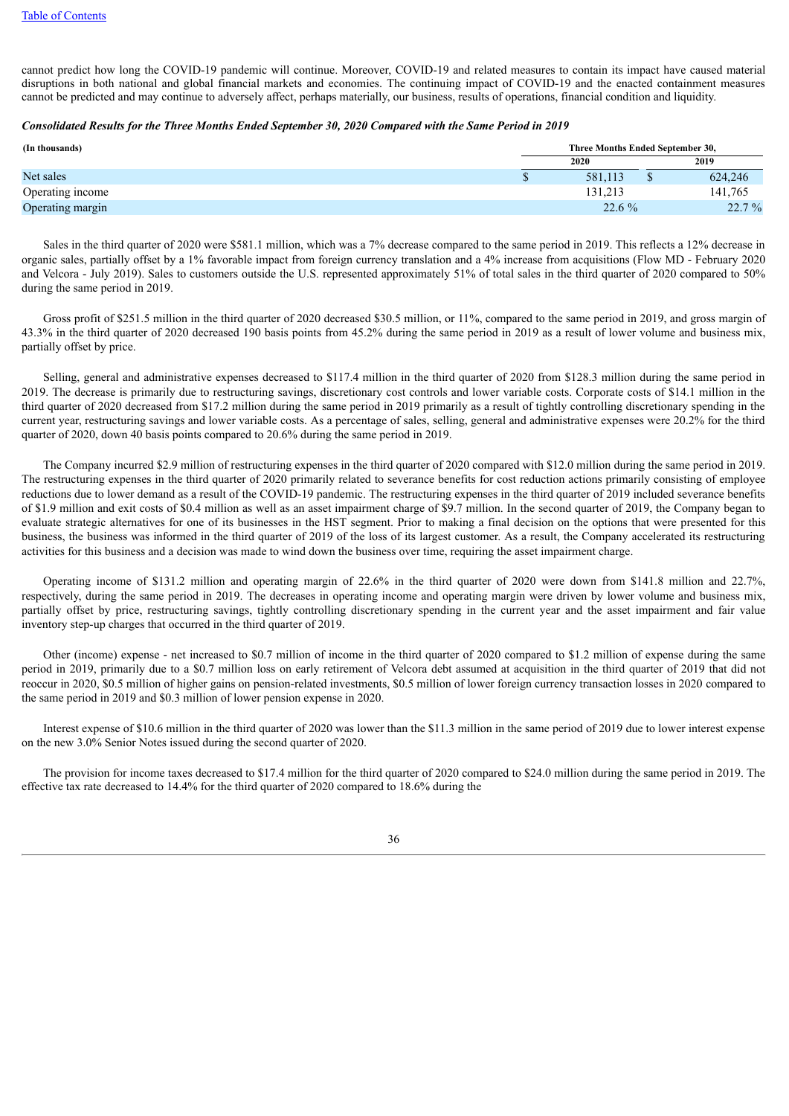cannot predict how long the COVID-19 pandemic will continue. Moreover, COVID-19 and related measures to contain its impact have caused material disruptions in both national and global financial markets and economies. The continuing impact of COVID-19 and the enacted containment measures cannot be predicted and may continue to adversely affect, perhaps materially, our business, results of operations, financial condition and liquidity.

#### *Consolidated Results for the Three Months Ended September 30, 2020 Compared with the Same Period in 2019*

| (In thousands)   | Three Months Ended September 30, |  |         |  |
|------------------|----------------------------------|--|---------|--|
|                  | 2020                             |  |         |  |
| Net sales        | 581,113                          |  | 624,246 |  |
| Operating income | 131,213                          |  | 141,765 |  |
| Operating margin | $22.6\%$                         |  | 22.7%   |  |

Sales in the third quarter of 2020 were \$581.1 million, which was a 7% decrease compared to the same period in 2019. This reflects a 12% decrease in organic sales, partially offset by a 1% favorable impact from foreign currency translation and a 4% increase from acquisitions (Flow MD - February 2020 and Velcora - July 2019). Sales to customers outside the U.S. represented approximately 51% of total sales in the third quarter of 2020 compared to 50% during the same period in 2019.

Gross profit of \$251.5 million in the third quarter of 2020 decreased \$30.5 million, or 11%, compared to the same period in 2019, and gross margin of 43.3% in the third quarter of 2020 decreased 190 basis points from 45.2% during the same period in 2019 as a result of lower volume and business mix, partially offset by price.

Selling, general and administrative expenses decreased to \$117.4 million in the third quarter of 2020 from \$128.3 million during the same period in 2019. The decrease is primarily due to restructuring savings, discretionary cost controls and lower variable costs. Corporate costs of \$14.1 million in the third quarter of 2020 decreased from \$17.2 million during the same period in 2019 primarily as a result of tightly controlling discretionary spending in the current year, restructuring savings and lower variable costs. As a percentage of sales, selling, general and administrative expenses were 20.2% for the third quarter of 2020, down 40 basis points compared to 20.6% during the same period in 2019.

The Company incurred \$2.9 million of restructuring expenses in the third quarter of 2020 compared with \$12.0 million during the same period in 2019. The restructuring expenses in the third quarter of 2020 primarily related to severance benefits for cost reduction actions primarily consisting of employee reductions due to lower demand as a result of the COVID-19 pandemic. The restructuring expenses in the third quarter of 2019 included severance benefits of \$1.9 million and exit costs of \$0.4 million as well as an asset impairment charge of \$9.7 million. In the second quarter of 2019, the Company began to evaluate strategic alternatives for one of its businesses in the HST segment. Prior to making a final decision on the options that were presented for this business, the business was informed in the third quarter of 2019 of the loss of its largest customer. As a result, the Company accelerated its restructuring activities for this business and a decision was made to wind down the business over time, requiring the asset impairment charge.

Operating income of \$131.2 million and operating margin of 22.6% in the third quarter of 2020 were down from \$141.8 million and 22.7%, respectively, during the same period in 2019. The decreases in operating income and operating margin were driven by lower volume and business mix, partially offset by price, restructuring savings, tightly controlling discretionary spending in the current year and the asset impairment and fair value inventory step-up charges that occurred in the third quarter of 2019.

Other (income) expense - net increased to \$0.7 million of income in the third quarter of 2020 compared to \$1.2 million of expense during the same period in 2019, primarily due to a \$0.7 million loss on early retirement of Velcora debt assumed at acquisition in the third quarter of 2019 that did not reoccur in 2020, \$0.5 million of higher gains on pension-related investments, \$0.5 million of lower foreign currency transaction losses in 2020 compared to the same period in 2019 and \$0.3 million of lower pension expense in 2020.

Interest expense of \$10.6 million in the third quarter of 2020 was lower than the \$11.3 million in the same period of 2019 due to lower interest expense on the new 3.0% Senior Notes issued during the second quarter of 2020.

The provision for income taxes decreased to \$17.4 million for the third quarter of 2020 compared to \$24.0 million during the same period in 2019. The effective tax rate decreased to 14.4% for the third quarter of 2020 compared to 18.6% during the

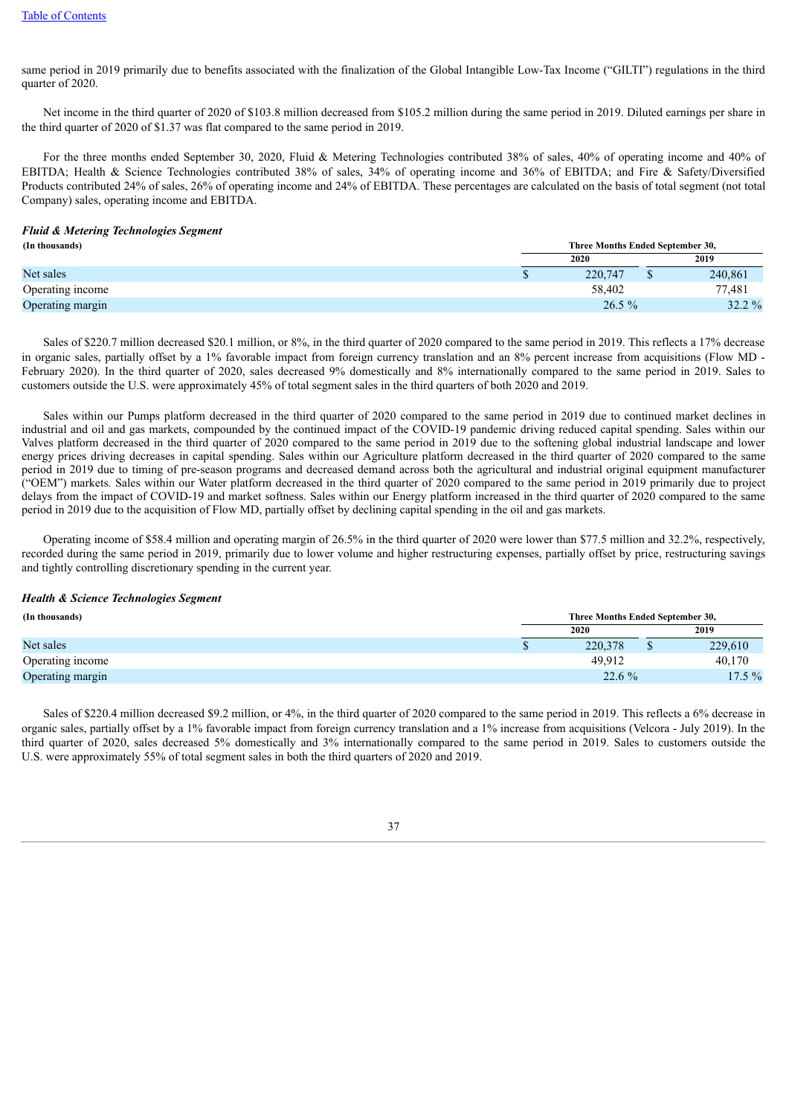same period in 2019 primarily due to benefits associated with the finalization of the Global Intangible Low-Tax Income ("GILTI") regulations in the third quarter of 2020.

Net income in the third quarter of 2020 of \$103.8 million decreased from \$105.2 million during the same period in 2019. Diluted earnings per share in the third quarter of 2020 of \$1.37 was flat compared to the same period in 2019.

For the three months ended September 30, 2020. Fluid & Metering Technologies contributed 38% of sales, 40% of operating income and 40% of EBITDA: Health & Science Technologies contributed 38% of sales, 34% of operating income and 36% of EBITDA; and Fire & Safety/Diversified Products contributed 24% of sales, 26% of operating income and 24% of EBITDA. These percentages are calculated on the basis of total segment (not total Company) sales, operating income and EBITDA.

#### *Fluid & Metering Technologies Segment*

**(In thousands) Three Months Ended September 30,**

| .                | .<br>.   |  |           |  |  |  |
|------------------|----------|--|-----------|--|--|--|
|                  | 2020     |  | 2019      |  |  |  |
| Net sales        | 220,747  |  | 240,861   |  |  |  |
| Operating income | 58,402   |  | 77,481    |  |  |  |
| Operating margin | $26.5\%$ |  | $32.2 \%$ |  |  |  |

Sales of \$220.7 million decreased \$20.1 million, or 8%, in the third quarter of 2020 compared to the same period in 2019. This reflects a 17% decrease in organic sales, partially offset by a 1% favorable impact from foreign currency translation and an 8% percent increase from acquisitions (Flow MD - February 2020). In the third quarter of 2020, sales decreased 9% domestically and 8% internationally compared to the same period in 2019. Sales to customers outside the U.S. were approximately 45% of total segment sales in the third quarters of both 2020 and 2019.

Sales within our Pumps platform decreased in the third quarter of 2020 compared to the same period in 2019 due to continued market declines in industrial and oil and gas markets, compounded by the continued impact of the COVID-19 pandemic driving reduced capital spending. Sales within our Valves platform decreased in the third quarter of 2020 compared to the same period in 2019 due to the softening global industrial landscape and lower energy prices driving decreases in capital spending. Sales within our Agriculture platform decreased in the third quarter of 2020 compared to the same period in 2019 due to timing of pre-season programs and decreased demand across both the agricultural and industrial original equipment manufacturer ("OEM") markets. Sales within our Water platform decreased in the third quarter of 2020 compared to the same period in 2019 primarily due to project delays from the impact of COVID-19 and market softness. Sales within our Energy platform increased in the third quarter of 2020 compared to the same period in 2019 due to the acquisition of Flow MD, partially offset by declining capital spending in the oil and gas markets.

Operating income of \$58.4 million and operating margin of 26.5% in the third quarter of 2020 were lower than \$77.5 million and 32.2%, respectively, recorded during the same period in 2019, primarily due to lower volume and higher restructuring expenses, partially offset by price, restructuring savings and tightly controlling discretionary spending in the current year.

#### *Health & Science Technologies Segment*

| (In thousands)   |      | Three Months Ended September 30, |      |          |  |  |
|------------------|------|----------------------------------|------|----------|--|--|
|                  | 2020 |                                  | 2019 |          |  |  |
| Net sales        |      | 220,378                          |      | 229,610  |  |  |
| Operating income |      | 49,912                           |      | 40,170   |  |  |
| Operating margin |      | $22.6 \%$                        |      | $17.5\%$ |  |  |

Sales of \$220.4 million decreased \$9.2 million, or 4%, in the third quarter of 2020 compared to the same period in 2019. This reflects a 6% decrease in organic sales, partially offset by a 1% favorable impact from foreign currency translation and a 1% increase from acquisitions (Velcora - July 2019). In the third quarter of 2020, sales decreased 5% domestically and 3% internationally compared to the same period in 2019. Sales to customers outside the U.S. were approximately 55% of total segment sales in both the third quarters of 2020 and 2019.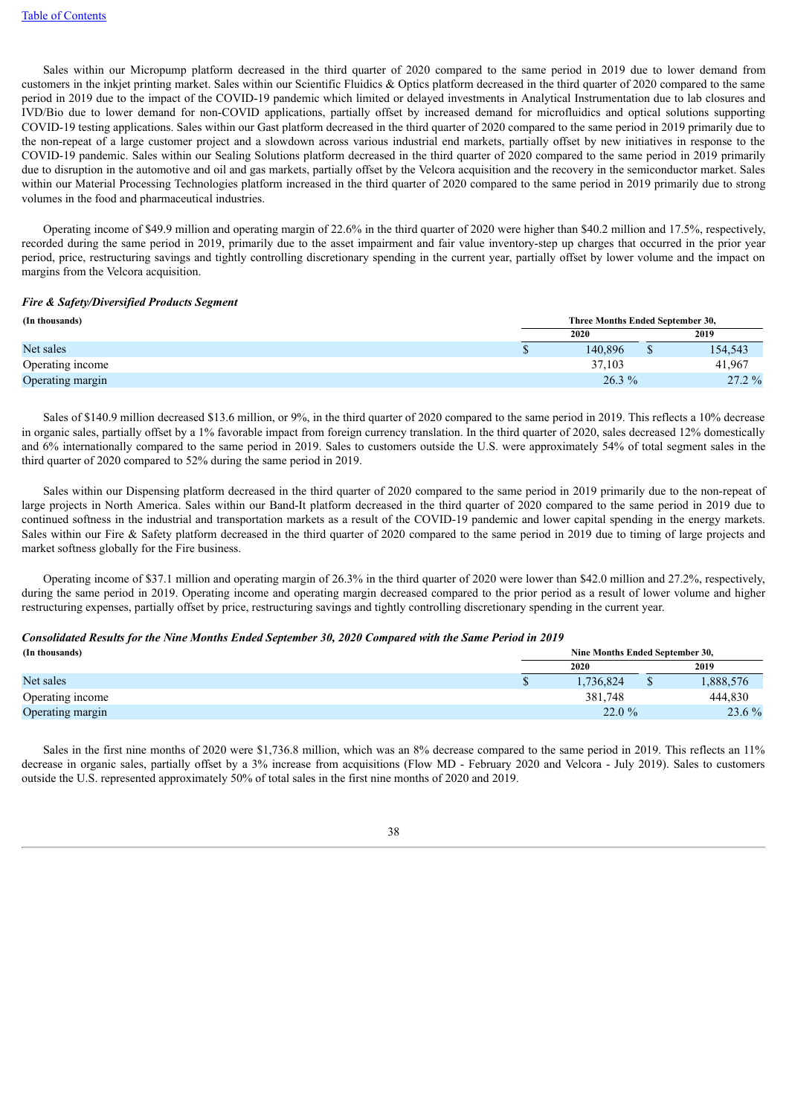Sales within our Micropump platform decreased in the third quarter of 2020 compared to the same period in 2019 due to lower demand from customers in the inkjet printing market. Sales within our Scientific Fluidics & Optics platform decreased in the third quarter of 2020 compared to the same period in 2019 due to the impact of the COVID-19 pandemic which limited or delayed investments in Analytical Instrumentation due to lab closures and IVD/Bio due to lower demand for non-COVID applications, partially offset by increased demand for microfluidics and optical solutions supporting COVID-19 testing applications. Sales within our Gast platform decreased in the third quarter of 2020 compared to the same period in 2019 primarily due to the non-repeat of a large customer project and a slowdown across various industrial end markets, partially offset by new initiatives in response to the COVID-19 pandemic. Sales within our Sealing Solutions platform decreased in the third quarter of 2020 compared to the same period in 2019 primarily due to disruption in the automotive and oil and gas markets, partially offset by the Velcora acquisition and the recovery in the semiconductor market. Sales within our Material Processing Technologies platform increased in the third quarter of 2020 compared to the same period in 2019 primarily due to strong volumes in the food and pharmaceutical industries.

Operating income of \$49.9 million and operating margin of 22.6% in the third quarter of 2020 were higher than \$40.2 million and 17.5%, respectively, recorded during the same period in 2019, primarily due to the asset impairment and fair value inventory-step up charges that occurred in the prior year period, price, restructuring savings and tightly controlling discretionary spending in the current year, partially offset by lower volume and the impact on margins from the Velcora acquisition.

#### *Fire & Safety/Diversified Products Segment*

| (In thousands)   | Three Months Ended September 30. |  |           |  |  |  |  |  |  |
|------------------|----------------------------------|--|-----------|--|--|--|--|--|--|
|                  | 2020                             |  | 2019      |  |  |  |  |  |  |
| Net sales        | 140.896                          |  | 154,543   |  |  |  |  |  |  |
| Operating income | 37,103                           |  | 41,967    |  |  |  |  |  |  |
| Operating margin | $26.3\%$                         |  | $27.2 \%$ |  |  |  |  |  |  |

Sales of \$140.9 million decreased \$13.6 million, or 9%, in the third quarter of 2020 compared to the same period in 2019. This reflects a 10% decrease in organic sales, partially offset by a 1% favorable impact from foreign currency translation. In the third quarter of 2020, sales decreased 12% domestically and 6% internationally compared to the same period in 2019. Sales to customers outside the U.S. were approximately 54% of total segment sales in the third quarter of 2020 compared to 52% during the same period in 2019.

Sales within our Dispensing platform decreased in the third quarter of 2020 compared to the same period in 2019 primarily due to the non-repeat of large projects in North America. Sales within our Band-It platform decreased in the third quarter of 2020 compared to the same period in 2019 due to continued softness in the industrial and transportation markets as a result of the COVID-19 pandemic and lower capital spending in the energy markets. Sales within our Fire & Safety platform decreased in the third quarter of 2020 compared to the same period in 2019 due to timing of large projects and market softness globally for the Fire business.

Operating income of \$37.1 million and operating margin of 26.3% in the third quarter of 2020 were lower than \$42.0 million and 27.2%, respectively, during the same period in 2019. Operating income and operating margin decreased compared to the prior period as a result of lower volume and higher restructuring expenses, partially offset by price, restructuring savings and tightly controlling discretionary spending in the current year.

#### *Consolidated Results for the Nine Months Ended September 30, 2020 Compared with the Same Period in 2019*

| (In thousands)   | Nine Months Ended September 30. |      |          |  |  |  |  |  |  |
|------------------|---------------------------------|------|----------|--|--|--|--|--|--|
|                  | 2020                            | 2019 |          |  |  |  |  |  |  |
| Net sales        | 1.736.824                       |      | .888,576 |  |  |  |  |  |  |
| Operating income | 381,748                         |      | 444,830  |  |  |  |  |  |  |
| Operating margin | 22.0%                           |      | $23.6\%$ |  |  |  |  |  |  |

Sales in the first nine months of 2020 were \$1,736.8 million, which was an 8% decrease compared to the same period in 2019. This reflects an 11% decrease in organic sales, partially offset by a 3% increase from acquisitions (Flow MD - February 2020 and Velcora - July 2019). Sales to customers outside the U.S. represented approximately 50% of total sales in the first nine months of 2020 and 2019.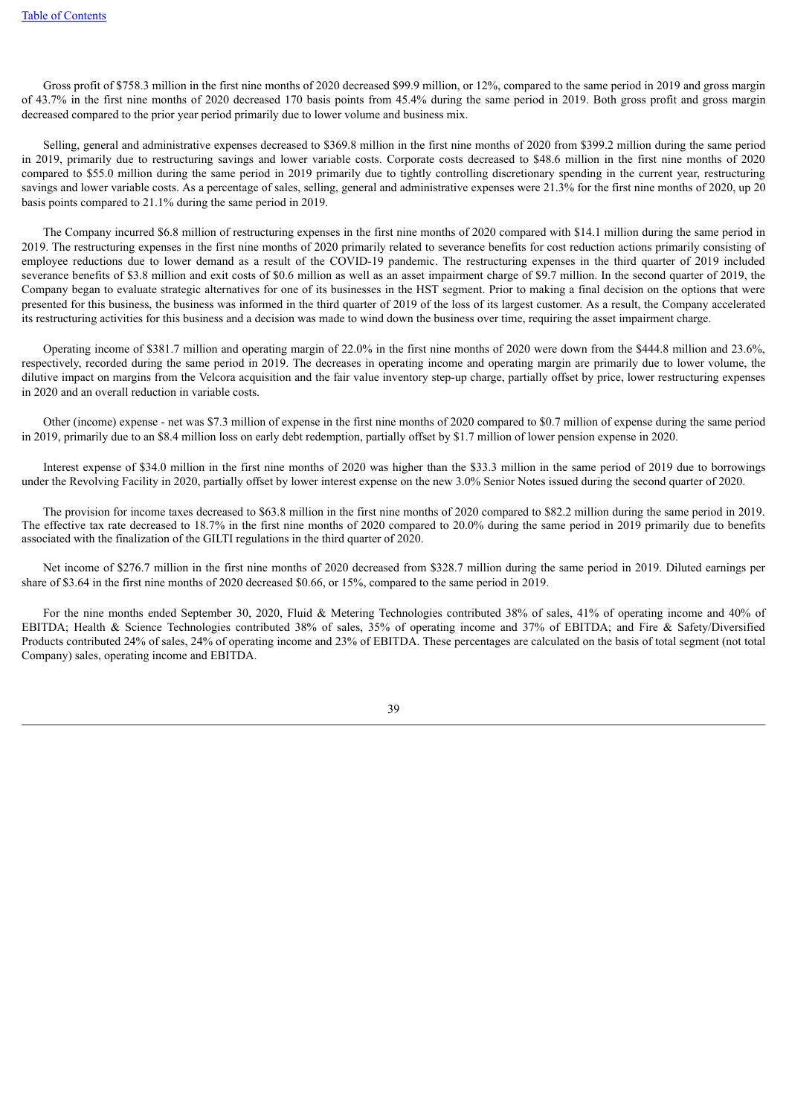Gross profit of \$758.3 million in the first nine months of 2020 decreased \$99.9 million, or 12%, compared to the same period in 2019 and gross margin of 43.7% in the first nine months of 2020 decreased 170 basis points from 45.4% during the same period in 2019. Both gross profit and gross margin decreased compared to the prior year period primarily due to lower volume and business mix.

Selling, general and administrative expenses decreased to \$369.8 million in the first nine months of 2020 from \$399.2 million during the same period in 2019, primarily due to restructuring savings and lower variable costs. Corporate costs decreased to \$48.6 million in the first nine months of 2020 compared to \$55.0 million during the same period in 2019 primarily due to tightly controlling discretionary spending in the current year, restructuring savings and lower variable costs. As a percentage of sales, selling, general and administrative expenses were 21.3% for the first nine months of 2020, up 20 basis points compared to 21.1% during the same period in 2019.

The Company incurred \$6.8 million of restructuring expenses in the first nine months of 2020 compared with \$14.1 million during the same period in 2019. The restructuring expenses in the first nine months of 2020 primarily related to severance benefits for cost reduction actions primarily consisting of employee reductions due to lower demand as a result of the COVID-19 pandemic. The restructuring expenses in the third quarter of 2019 included severance benefits of \$3.8 million and exit costs of \$0.6 million as well as an asset impairment charge of \$9.7 million. In the second quarter of 2019, the Company began to evaluate strategic alternatives for one of its businesses in the HST segment. Prior to making a final decision on the options that were presented for this business, the business was informed in the third quarter of 2019 of the loss of its largest customer. As a result, the Company accelerated its restructuring activities for this business and a decision was made to wind down the business over time, requiring the asset impairment charge.

Operating income of \$381.7 million and operating margin of 22.0% in the first nine months of 2020 were down from the \$444.8 million and 23.6%, respectively, recorded during the same period in 2019. The decreases in operating income and operating margin are primarily due to lower volume, the dilutive impact on margins from the Velcora acquisition and the fair value inventory step-up charge, partially offset by price, lower restructuring expenses in 2020 and an overall reduction in variable costs.

Other (income) expense - net was \$7.3 million of expense in the first nine months of 2020 compared to \$0.7 million of expense during the same period in 2019, primarily due to an \$8.4 million loss on early debt redemption, partially offset by \$1.7 million of lower pension expense in 2020.

Interest expense of \$34.0 million in the first nine months of 2020 was higher than the \$33.3 million in the same period of 2019 due to borrowings under the Revolving Facility in 2020, partially offset by lower interest expense on the new 3.0% Senior Notes issued during the second quarter of 2020.

The provision for income taxes decreased to \$63.8 million in the first nine months of 2020 compared to \$82.2 million during the same period in 2019. The effective tax rate decreased to 18.7% in the first nine months of 2020 compared to 20.0% during the same period in 2019 primarily due to benefits associated with the finalization of the GILTI regulations in the third quarter of 2020.

Net income of \$276.7 million in the first nine months of 2020 decreased from \$328.7 million during the same period in 2019. Diluted earnings per share of \$3.64 in the first nine months of 2020 decreased \$0.66, or 15%, compared to the same period in 2019.

For the nine months ended September 30, 2020, Fluid & Metering Technologies contributed 38% of sales, 41% of operating income and 40% of EBITDA; Health & Science Technologies contributed 38% of sales, 35% of operating income and 37% of EBITDA; and Fire & Safety/Diversified Products contributed 24% of sales, 24% of operating income and 23% of EBITDA. These percentages are calculated on the basis of total segment (not total Company) sales, operating income and EBITDA.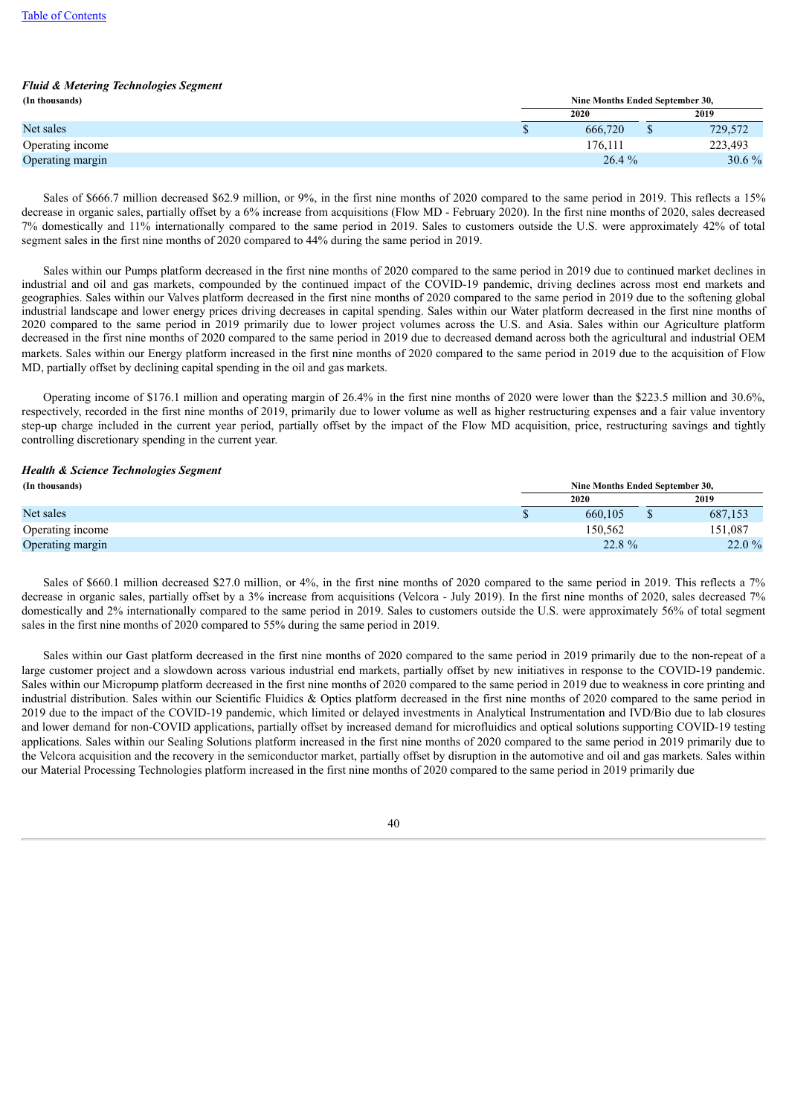# *Fluid & Metering Technologies Segment*

| (In thousands)   | Nine Months Ended September 30, |      |          |  |  |  |  |  |  |
|------------------|---------------------------------|------|----------|--|--|--|--|--|--|
|                  | 2020                            | 2019 |          |  |  |  |  |  |  |
| Net sales        | 666,720                         |      | 729,572  |  |  |  |  |  |  |
| Operating income | 176.111                         |      | 223,493  |  |  |  |  |  |  |
| Operating margin | 26.4%                           |      | $30.6\%$ |  |  |  |  |  |  |

Sales of \$666.7 million decreased \$62.9 million, or 9%, in the first nine months of 2020 compared to the same period in 2019. This reflects a 15% decrease in organic sales, partially offset by a 6% increase from acquisitions (Flow MD - February 2020). In the first nine months of 2020, sales decreased 7% domestically and 11% internationally compared to the same period in 2019. Sales to customers outside the U.S. were approximately 42% of total segment sales in the first nine months of 2020 compared to 44% during the same period in 2019.

Sales within our Pumps platform decreased in the first nine months of 2020 compared to the same period in 2019 due to continued market declines in industrial and oil and gas markets, compounded by the continued impact of the COVID-19 pandemic, driving declines across most end markets and geographies. Sales within our Valves platform decreased in the first nine months of 2020 compared to the same period in 2019 due to the softening global industrial landscape and lower energy prices driving decreases in capital spending. Sales within our Water platform decreased in the first nine months of 2020 compared to the same period in 2019 primarily due to lower project volumes across the U.S. and Asia. Sales within our Agriculture platform decreased in the first nine months of 2020 compared to the same period in 2019 due to decreased demand across both the agricultural and industrial OEM markets. Sales within our Energy platform increased in the first nine months of 2020 compared to the same period in 2019 due to the acquisition of Flow MD, partially offset by declining capital spending in the oil and gas markets.

Operating income of \$176.1 million and operating margin of 26.4% in the first nine months of 2020 were lower than the \$223.5 million and 30.6%, respectively, recorded in the first nine months of 2019, primarily due to lower volume as well as higher restructuring expenses and a fair value inventory step-up charge included in the current year period, partially offset by the impact of the Flow MD acquisition, price, restructuring savings and tightly controlling discretionary spending in the current year.

## *Health & Science Technologies Segment*

| (In thousands)   |  | Nine Months Ended September 30, |      |           |  |
|------------------|--|---------------------------------|------|-----------|--|
|                  |  | 2020                            | 2019 |           |  |
| Net sales        |  | 660,105                         |      | 687,153   |  |
| Operating income |  | 150.562                         |      | 151,087   |  |
| Operating margin |  | 22.8%                           |      | $22.0 \%$ |  |

Sales of \$660.1 million decreased \$27.0 million, or 4%, in the first nine months of 2020 compared to the same period in 2019. This reflects a 7% decrease in organic sales, partially offset by a 3% increase from acquisitions (Velcora - July 2019). In the first nine months of 2020, sales decreased 7% domestically and 2% internationally compared to the same period in 2019. Sales to customers outside the U.S. were approximately 56% of total segment sales in the first nine months of 2020 compared to 55% during the same period in 2019.

Sales within our Gast platform decreased in the first nine months of 2020 compared to the same period in 2019 primarily due to the non-repeat of a large customer project and a slowdown across various industrial end markets, partially offset by new initiatives in response to the COVID-19 pandemic. Sales within our Micropump platform decreased in the first nine months of 2020 compared to the same period in 2019 due to weakness in core printing and industrial distribution. Sales within our Scientific Fluidics & Optics platform decreased in the first nine months of 2020 compared to the same period in 2019 due to the impact of the COVID-19 pandemic, which limited or delayed investments in Analytical Instrumentation and IVD/Bio due to lab closures and lower demand for non-COVID applications, partially offset by increased demand for microfluidics and optical solutions supporting COVID-19 testing applications. Sales within our Sealing Solutions platform increased in the first nine months of 2020 compared to the same period in 2019 primarily due to the Velcora acquisition and the recovery in the semiconductor market, partially offset by disruption in the automotive and oil and gas markets. Sales within our Material Processing Technologies platform increased in the first nine months of 2020 compared to the same period in 2019 primarily due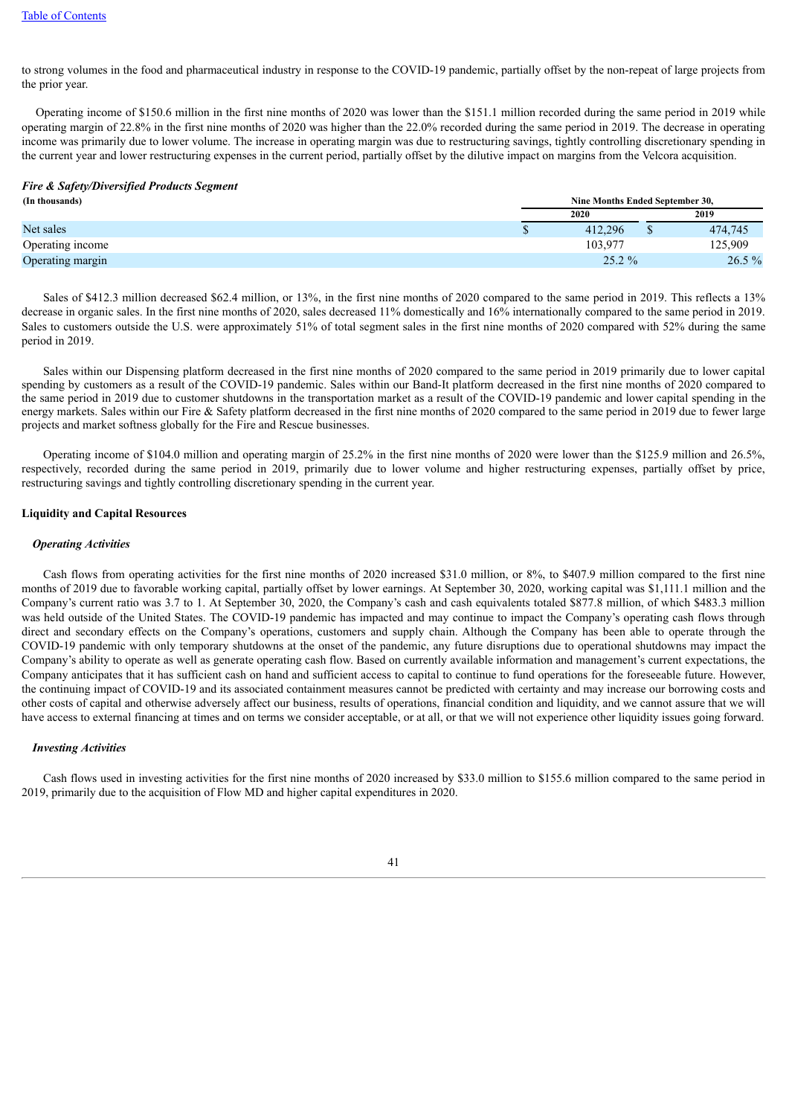to strong volumes in the food and pharmaceutical industry in response to the COVID-19 pandemic, partially offset by the non-repeat of large projects from the prior year.

Operating income of \$150.6 million in the first nine months of 2020 was lower than the \$151.1 million recorded during the same period in 2019 while operating margin of 22.8% in the first nine months of 2020 was higher than the 22.0% recorded during the same period in 2019. The decrease in operating income was primarily due to lower volume. The increase in operating margin was due to restructuring savings, tightly controlling discretionary spending in the current year and lower restructuring expenses in the current period, partially offset by the dilutive impact on margins from the Velcora acquisition.

## *Fire & Safety/Diversified Products Segment*

| (In thousands)   | Nine Months Ended September 30, |  |           |  |  |  |  |
|------------------|---------------------------------|--|-----------|--|--|--|--|
|                  | 2020                            |  | 2019      |  |  |  |  |
| Net sales        | 412.296                         |  | 474.745   |  |  |  |  |
| Operating income | 103,977                         |  | 125,909   |  |  |  |  |
| Operating margin | $25.2\%$                        |  | $26.5 \%$ |  |  |  |  |

Sales of \$412.3 million decreased \$62.4 million, or 13%, in the first nine months of 2020 compared to the same period in 2019. This reflects a 13% decrease in organic sales. In the first nine months of 2020, sales decreased 11% domestically and 16% internationally compared to the same period in 2019. Sales to customers outside the U.S. were approximately 51% of total segment sales in the first nine months of 2020 compared with 52% during the same period in 2019.

Sales within our Dispensing platform decreased in the first nine months of 2020 compared to the same period in 2019 primarily due to lower capital spending by customers as a result of the COVID-19 pandemic. Sales within our Band-It platform decreased in the first nine months of 2020 compared to the same period in 2019 due to customer shutdowns in the transportation market as a result of the COVID-19 pandemic and lower capital spending in the energy markets. Sales within our Fire & Safety platform decreased in the first nine months of 2020 compared to the same period in 2019 due to fewer large projects and market softness globally for the Fire and Rescue businesses.

Operating income of \$104.0 million and operating margin of 25.2% in the first nine months of 2020 were lower than the \$125.9 million and 26.5%, respectively, recorded during the same period in 2019, primarily due to lower volume and higher restructuring expenses, partially offset by price, restructuring savings and tightly controlling discretionary spending in the current year.

#### <span id="page-43-0"></span>**Liquidity and Capital Resources**

#### *Operating Activities*

Cash flows from operating activities for the first nine months of 2020 increased \$31.0 million, or 8%, to \$407.9 million compared to the first nine months of 2019 due to favorable working capital, partially offset by lower earnings. At September 30, 2020, working capital was \$1,111.1 million and the Company's current ratio was 3.7 to 1. At September 30, 2020, the Company's cash and cash equivalents totaled \$877.8 million, of which \$483.3 million was held outside of the United States. The COVID-19 pandemic has impacted and may continue to impact the Company's operating cash flows through direct and secondary effects on the Company's operations, customers and supply chain. Although the Company has been able to operate through the COVID-19 pandemic with only temporary shutdowns at the onset of the pandemic, any future disruptions due to operational shutdowns may impact the Company's ability to operate as well as generate operating cash flow. Based on currently available information and management's current expectations, the Company anticipates that it has sufficient cash on hand and sufficient access to capital to continue to fund operations for the foreseeable future. However, the continuing impact of COVID-19 and its associated containment measures cannot be predicted with certainty and may increase our borrowing costs and other costs of capital and otherwise adversely affect our business, results of operations, financial condition and liquidity, and we cannot assure that we will have access to external financing at times and on terms we consider acceptable, or at all, or that we will not experience other liquidity issues going forward.

## *Investing Activities*

Cash flows used in investing activities for the first nine months of 2020 increased by \$33.0 million to \$155.6 million compared to the same period in 2019, primarily due to the acquisition of Flow MD and higher capital expenditures in 2020.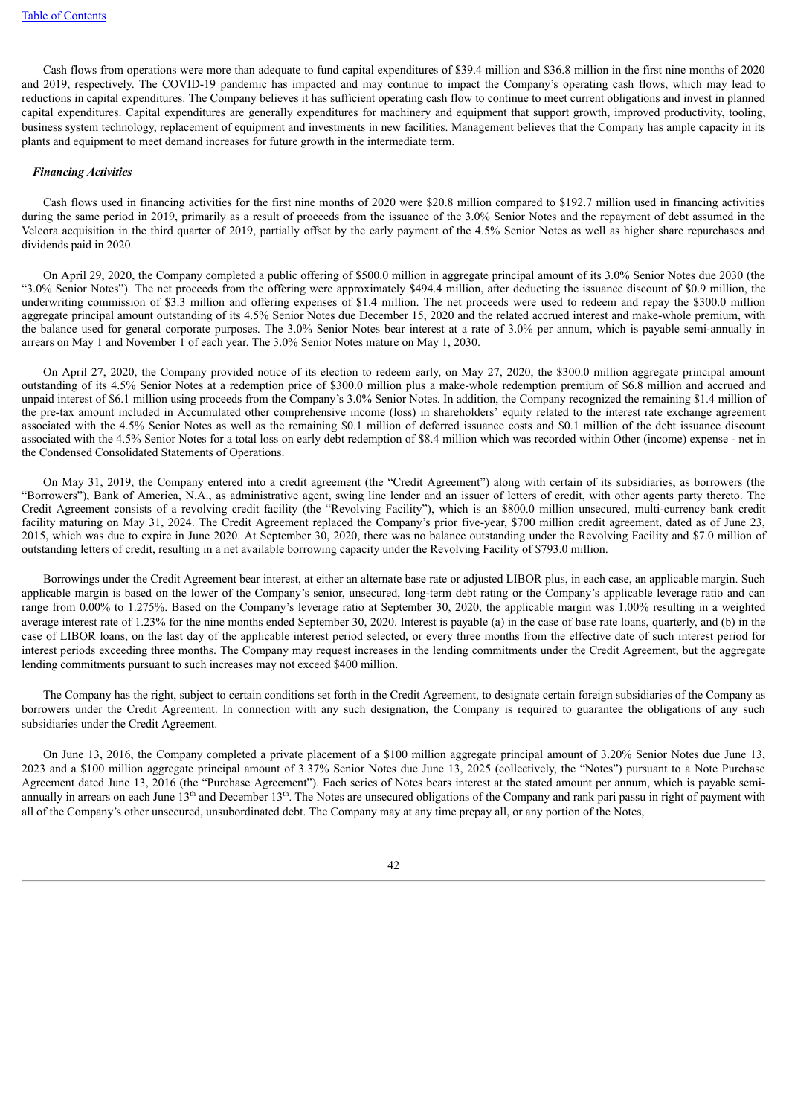Cash flows from operations were more than adequate to fund capital expenditures of \$39.4 million and \$36.8 million in the first nine months of 2020 and 2019, respectively. The COVID-19 pandemic has impacted and may continue to impact the Company's operating cash flows, which may lead to reductions in capital expenditures. The Company believes it has sufficient operating cash flow to continue to meet current obligations and invest in planned capital expenditures. Capital expenditures are generally expenditures for machinery and equipment that support growth, improved productivity, tooling, business system technology, replacement of equipment and investments in new facilities. Management believes that the Company has ample capacity in its plants and equipment to meet demand increases for future growth in the intermediate term.

#### *Financing Activities*

Cash flows used in financing activities for the first nine months of 2020 were \$20.8 million compared to \$192.7 million used in financing activities during the same period in 2019, primarily as a result of proceeds from the issuance of the 3.0% Senior Notes and the repayment of debt assumed in the Velcora acquisition in the third quarter of 2019, partially offset by the early payment of the 4.5% Senior Notes as well as higher share repurchases and dividends paid in 2020.

On April 29, 2020, the Company completed a public offering of \$500.0 million in aggregate principal amount of its 3.0% Senior Notes due 2030 (the "3.0% Senior Notes"). The net proceeds from the offering were approximately \$494.4 million, after deducting the issuance discount of \$0.9 million, the underwriting commission of \$3.3 million and offering expenses of \$1.4 million. The net proceeds were used to redeem and repay the \$300.0 million aggregate principal amount outstanding of its 4.5% Senior Notes due December 15, 2020 and the related accrued interest and make-whole premium, with the balance used for general corporate purposes. The 3.0% Senior Notes bear interest at a rate of 3.0% per annum, which is payable semi-annually in arrears on May 1 and November 1 of each year. The 3.0% Senior Notes mature on May 1, 2030.

On April 27, 2020, the Company provided notice of its election to redeem early, on May 27, 2020, the \$300.0 million aggregate principal amount outstanding of its 4.5% Senior Notes at a redemption price of \$300.0 million plus a make-whole redemption premium of \$6.8 million and accrued and unpaid interest of \$6.1 million using proceeds from the Company's 3.0% Senior Notes. In addition, the Company recognized the remaining \$1.4 million of the pre-tax amount included in Accumulated other comprehensive income (loss) in shareholders' equity related to the interest rate exchange agreement associated with the 4.5% Senior Notes as well as the remaining \$0.1 million of deferred issuance costs and \$0.1 million of the debt issuance discount associated with the 4.5% Senior Notes for a total loss on early debt redemption of \$8.4 million which was recorded within Other (income) expense - net in the Condensed Consolidated Statements of Operations.

On May 31, 2019, the Company entered into a credit agreement (the "Credit Agreement") along with certain of its subsidiaries, as borrowers (the "Borrowers"), Bank of America, N.A., as administrative agent, swing line lender and an issuer of letters of credit, with other agents party thereto. The Credit Agreement consists of a revolving credit facility (the "Revolving Facility"), which is an \$800.0 million unsecured, multi-currency bank credit facility maturing on May 31, 2024. The Credit Agreement replaced the Company's prior five-year, \$700 million credit agreement, dated as of June 23, 2015, which was due to expire in June 2020. At September 30, 2020, there was no balance outstanding under the Revolving Facility and \$7.0 million of outstanding letters of credit, resulting in a net available borrowing capacity under the Revolving Facility of \$793.0 million.

Borrowings under the Credit Agreement bear interest, at either an alternate base rate or adjusted LIBOR plus, in each case, an applicable margin. Such applicable margin is based on the lower of the Company's senior, unsecured, long-term debt rating or the Company's applicable leverage ratio and can range from 0.00% to 1.275%. Based on the Company's leverage ratio at September 30, 2020, the applicable margin was 1.00% resulting in a weighted average interest rate of 1.23% for the nine months ended September 30, 2020. Interest is payable (a) in the case of base rate loans, quarterly, and (b) in the case of LIBOR loans, on the last day of the applicable interest period selected, or every three months from the effective date of such interest period for interest periods exceeding three months. The Company may request increases in the lending commitments under the Credit Agreement, but the aggregate lending commitments pursuant to such increases may not exceed \$400 million.

The Company has the right, subject to certain conditions set forth in the Credit Agreement, to designate certain foreign subsidiaries of the Company as borrowers under the Credit Agreement. In connection with any such designation, the Company is required to guarantee the obligations of any such subsidiaries under the Credit Agreement.

On June 13, 2016, the Company completed a private placement of a \$100 million aggregate principal amount of 3.20% Senior Notes due June 13, 2023 and a \$100 million aggregate principal amount of 3.37% Senior Notes due June 13, 2025 (collectively, the "Notes") pursuant to a Note Purchase Agreement dated June 13, 2016 (the "Purchase Agreement"). Each series of Notes bears interest at the stated amount per annum, which is payable semiannually in arrears on each June  $13<sup>th</sup>$  and December  $13<sup>th</sup>$ . The Notes are unsecured obligations of the Company and rank pari passu in right of payment with all of the Company's other unsecured, unsubordinated debt. The Company may at any time prepay all, or any portion of the Notes,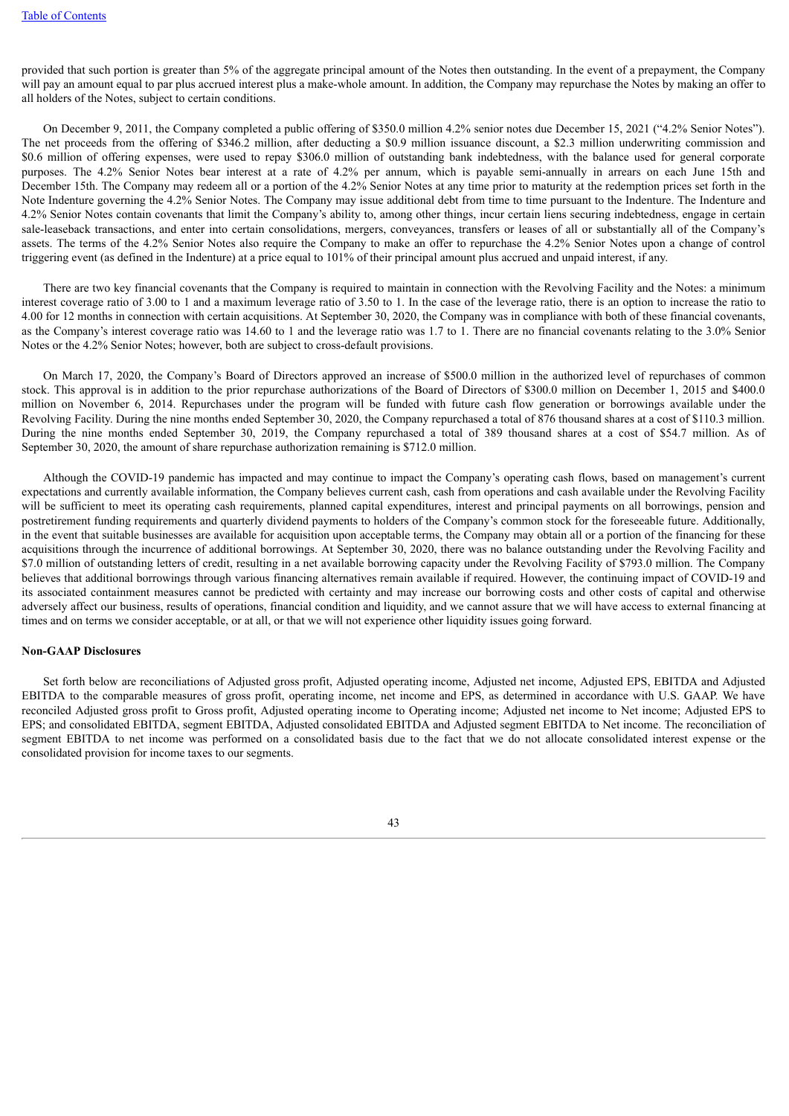provided that such portion is greater than 5% of the aggregate principal amount of the Notes then outstanding. In the event of a prepayment, the Company will pay an amount equal to par plus accrued interest plus a make-whole amount. In addition, the Company may repurchase the Notes by making an offer to all holders of the Notes, subject to certain conditions.

On December 9, 2011, the Company completed a public offering of \$350.0 million 4.2% senior notes due December 15, 2021 ("4.2% Senior Notes"). The net proceeds from the offering of \$346.2 million, after deducting a \$0.9 million issuance discount, a \$2.3 million underwriting commission and \$0.6 million of offering expenses, were used to repay \$306.0 million of outstanding bank indebtedness, with the balance used for general corporate purposes. The 4.2% Senior Notes bear interest at a rate of 4.2% per annum, which is payable semi-annually in arrears on each June 15th and December 15th. The Company may redeem all or a portion of the 4.2% Senior Notes at any time prior to maturity at the redemption prices set forth in the Note Indenture governing the 4.2% Senior Notes. The Company may issue additional debt from time to time pursuant to the Indenture. The Indenture and 4.2% Senior Notes contain covenants that limit the Company's ability to, among other things, incur certain liens securing indebtedness, engage in certain sale-leaseback transactions, and enter into certain consolidations, mergers, conveyances, transfers or leases of all or substantially all of the Company's assets. The terms of the 4.2% Senior Notes also require the Company to make an offer to repurchase the 4.2% Senior Notes upon a change of control triggering event (as defined in the Indenture) at a price equal to 101% of their principal amount plus accrued and unpaid interest, if any.

There are two key financial covenants that the Company is required to maintain in connection with the Revolving Facility and the Notes: a minimum interest coverage ratio of 3.00 to 1 and a maximum leverage ratio of 3.50 to 1. In the case of the leverage ratio, there is an option to increase the ratio to 4.00 for 12 months in connection with certain acquisitions. At September 30, 2020, the Company was in compliance with both of these financial covenants, as the Company's interest coverage ratio was 14.60 to 1 and the leverage ratio was 1.7 to 1. There are no financial covenants relating to the 3.0% Senior Notes or the 4.2% Senior Notes; however, both are subject to cross-default provisions.

On March 17, 2020, the Company's Board of Directors approved an increase of \$500.0 million in the authorized level of repurchases of common stock. This approval is in addition to the prior repurchase authorizations of the Board of Directors of \$300.0 million on December 1, 2015 and \$400.0 million on November 6, 2014. Repurchases under the program will be funded with future cash flow generation or borrowings available under the Revolving Facility. During the nine months ended September 30, 2020, the Company repurchased a total of 876 thousand shares at a cost of \$110.3 million. During the nine months ended September 30, 2019, the Company repurchased a total of 389 thousand shares at a cost of \$54.7 million. As of September 30, 2020, the amount of share repurchase authorization remaining is \$712.0 million.

Although the COVID-19 pandemic has impacted and may continue to impact the Company's operating cash flows, based on management's current expectations and currently available information, the Company believes current cash, cash from operations and cash available under the Revolving Facility will be sufficient to meet its operating cash requirements, planned capital expenditures, interest and principal payments on all borrowings, pension and postretirement funding requirements and quarterly dividend payments to holders of the Company's common stock for the foreseeable future. Additionally, in the event that suitable businesses are available for acquisition upon acceptable terms, the Company may obtain all or a portion of the financing for these acquisitions through the incurrence of additional borrowings. At September 30, 2020, there was no balance outstanding under the Revolving Facility and \$7.0 million of outstanding letters of credit, resulting in a net available borrowing capacity under the Revolving Facility of \$793.0 million. The Company believes that additional borrowings through various financing alternatives remain available if required. However, the continuing impact of COVID-19 and its associated containment measures cannot be predicted with certainty and may increase our borrowing costs and other costs of capital and otherwise adversely affect our business, results of operations, financial condition and liquidity, and we cannot assure that we will have access to external financing at times and on terms we consider acceptable, or at all, or that we will not experience other liquidity issues going forward.

## <span id="page-45-0"></span>**Non-GAAP Disclosures**

Set forth below are reconciliations of Adjusted gross profit, Adjusted operating income, Adjusted net income, Adjusted EPS, EBITDA and Adjusted EBITDA to the comparable measures of gross profit, operating income, net income and EPS, as determined in accordance with U.S. GAAP. We have reconciled Adjusted gross profit to Gross profit, Adjusted operating income to Operating income; Adjusted net income to Net income; Adjusted EPS to EPS; and consolidated EBITDA, segment EBITDA, Adjusted consolidated EBITDA and Adjusted segment EBITDA to Net income. The reconciliation of segment EBITDA to net income was performed on a consolidated basis due to the fact that we do not allocate consolidated interest expense or the consolidated provision for income taxes to our segments.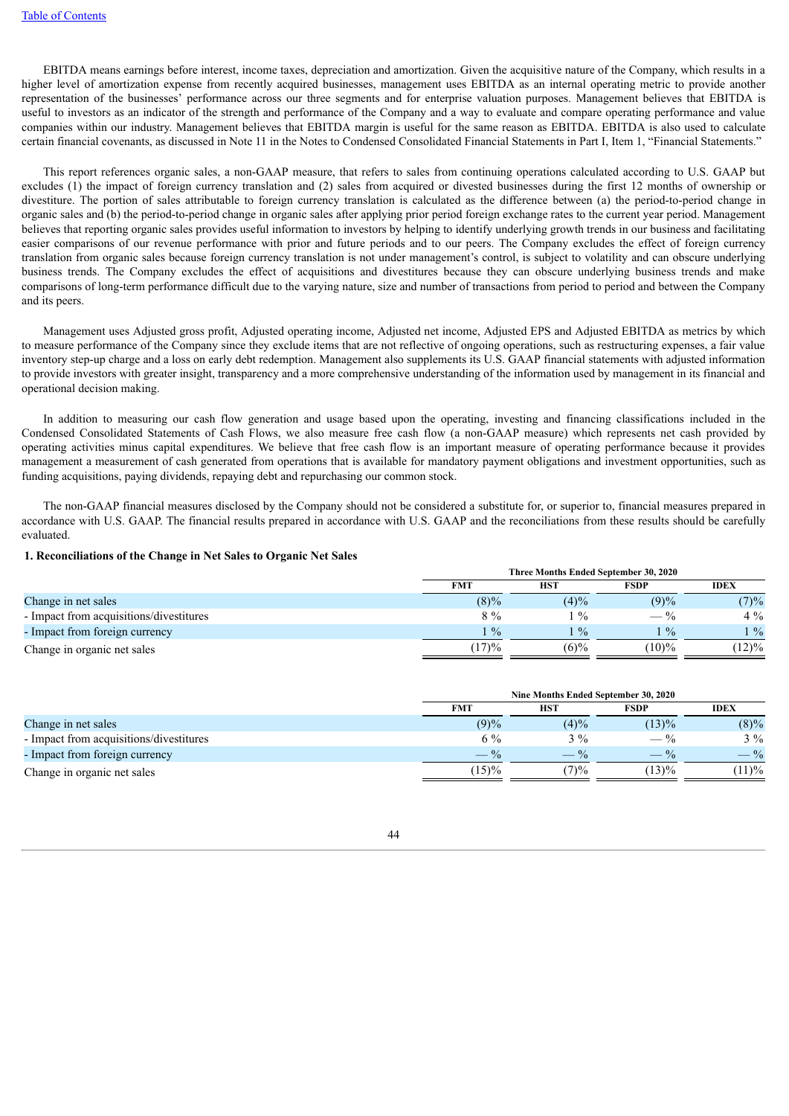EBITDA means earnings before interest, income taxes, depreciation and amortization. Given the acquisitive nature of the Company, which results in a higher level of amortization expense from recently acquired businesses, management uses EBITDA as an internal operating metric to provide another representation of the businesses' performance across our three segments and for enterprise valuation purposes. Management believes that EBITDA is useful to investors as an indicator of the strength and performance of the Company and a way to evaluate and compare operating performance and value companies within our industry. Management believes that EBITDA margin is useful for the same reason as EBITDA. EBITDA is also used to calculate certain financial covenants, as discussed in Note 11 in the Notes to Condensed Consolidated Financial Statements in Part I, Item 1, "Financial Statements."

This report references organic sales, a non-GAAP measure, that refers to sales from continuing operations calculated according to U.S. GAAP but excludes (1) the impact of foreign currency translation and (2) sales from acquired or divested businesses during the first 12 months of ownership or divestiture. The portion of sales attributable to foreign currency translation is calculated as the difference between (a) the period-to-period change in organic sales and (b) the period-to-period change in organic sales after applying prior period foreign exchange rates to the current year period. Management believes that reporting organic sales provides useful information to investors by helping to identify underlying growth trends in our business and facilitating easier comparisons of our revenue performance with prior and future periods and to our peers. The Company excludes the effect of foreign currency translation from organic sales because foreign currency translation is not under management's control, is subject to volatility and can obscure underlying business trends. The Company excludes the effect of acquisitions and divestitures because they can obscure underlying business trends and make comparisons of long-term performance difficult due to the varying nature, size and number of transactions from period to period and between the Company and its peers.

Management uses Adjusted gross profit, Adjusted operating income, Adjusted net income, Adjusted EPS and Adjusted EBITDA as metrics by which to measure performance of the Company since they exclude items that are not reflective of ongoing operations, such as restructuring expenses, a fair value inventory step-up charge and a loss on early debt redemption. Management also supplements its U.S. GAAP financial statements with adjusted information to provide investors with greater insight, transparency and a more comprehensive understanding of the information used by management in its financial and operational decision making.

In addition to measuring our cash flow generation and usage based upon the operating, investing and financing classifications included in the Condensed Consolidated Statements of Cash Flows, we also measure free cash flow (a non-GAAP measure) which represents net cash provided by operating activities minus capital expenditures. We believe that free cash flow is an important measure of operating performance because it provides management a measurement of cash generated from operations that is available for mandatory payment obligations and investment opportunities, such as funding acquisitions, paying dividends, repaying debt and repurchasing our common stock.

The non-GAAP financial measures disclosed by the Company should not be considered a substitute for, or superior to, financial measures prepared in accordance with U.S. GAAP. The financial results prepared in accordance with U.S. GAAP and the reconciliations from these results should be carefully evaluated.

#### **1. Reconciliations of the Change in Net Sales to Organic Net Sales**

|                                         | Three Months Ended September 30, 2020 |               |                 |               |  |  |  |
|-----------------------------------------|---------------------------------------|---------------|-----------------|---------------|--|--|--|
|                                         | <b>FMT</b>                            | <b>HST</b>    | <b>FSDP</b>     | <b>IDEX</b>   |  |  |  |
| Change in net sales                     | $(8)\%$                               | (4)%          | $(9)\%$         | (7)%          |  |  |  |
| - Impact from acquisitions/divestitures | $8\%$                                 | $\frac{0}{0}$ | $- \frac{9}{6}$ | $4\%$         |  |  |  |
| - Impact from foreign currency          | $\frac{0}{0}$                         | $\frac{1}{2}$ | $\frac{0}{0}$   | $\frac{0}{0}$ |  |  |  |
| Change in organic net sales             | (17)%                                 | $(6)\%$       | $(10)\%$        | $(12)\%$      |  |  |  |

|                                         | Nine Months Ended September 30, 2020 |            |                 |                 |  |  |  |
|-----------------------------------------|--------------------------------------|------------|-----------------|-----------------|--|--|--|
|                                         | <b>FMT</b>                           | <b>HST</b> | <b>FSDP</b>     | <b>IDEX</b>     |  |  |  |
| Change in net sales                     | (9)%                                 | $(4)\%$    | $(13)\%$        | $(8)\%$         |  |  |  |
| - Impact from acquisitions/divestitures | $6\%$                                | $3\%$      | $-$ %           | $3\%$           |  |  |  |
| - Impact from foreign currency          | $- \frac{9}{6}$                      | $-$ %      | $- \frac{9}{6}$ | $- \frac{9}{6}$ |  |  |  |
| Change in organic net sales             | (15)%                                | $7) \%$    | (13)%           | (11)%           |  |  |  |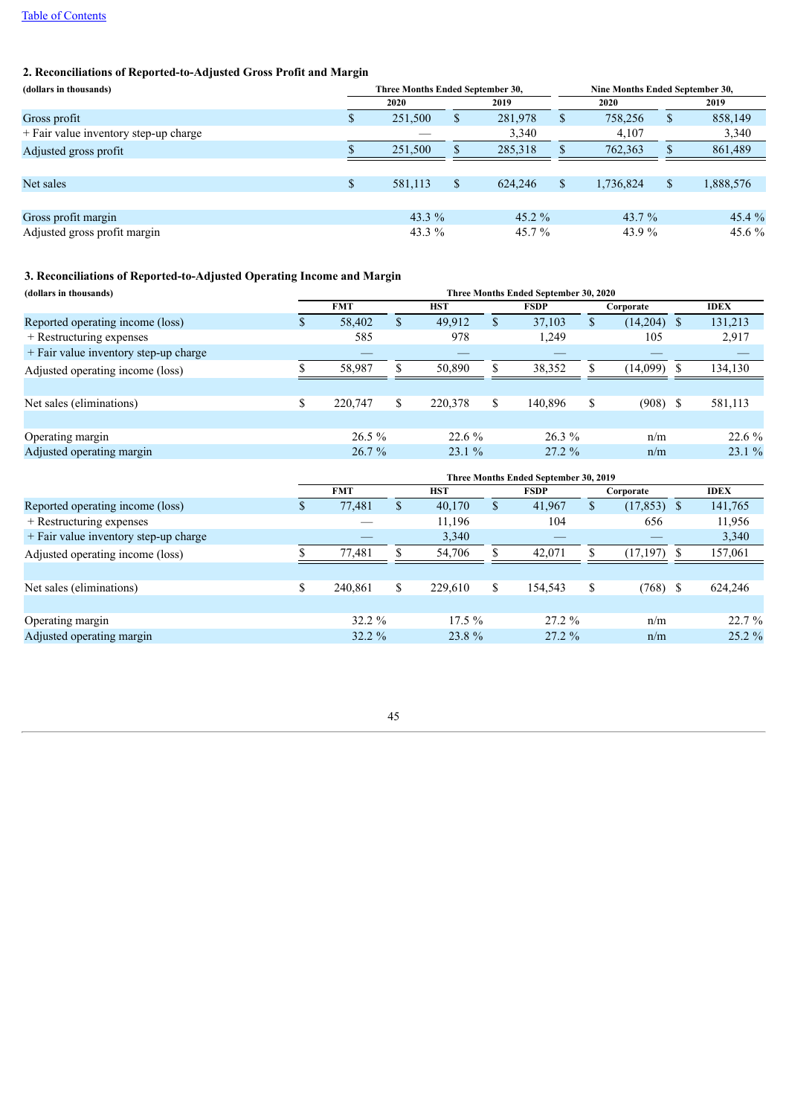# **2. Reconciliations of Reported-to-Adjusted Gross Profit and Margin**

| (dollars in thousands)                |  | Three Months Ended September 30, |   |          |      | Nine Months Ended September 30, |     |           |  |
|---------------------------------------|--|----------------------------------|---|----------|------|---------------------------------|-----|-----------|--|
|                                       |  | 2020                             |   | 2019     | 2020 |                                 |     | 2019      |  |
| Gross profit                          |  | 251,500                          | S | 281,978  | S    | 758,256                         | \$. | 858,149   |  |
| + Fair value inventory step-up charge |  |                                  |   | 3,340    |      | 4,107                           |     | 3,340     |  |
| Adjusted gross profit                 |  | 251,500                          |   | 285,318  | ۰D.  | 762,363                         |     | 861,489   |  |
|                                       |  |                                  |   |          |      |                                 |     |           |  |
| Net sales                             |  | 581,113                          |   | 624,246  | \$   | 1,736,824                       |     | 1,888,576 |  |
|                                       |  |                                  |   |          |      |                                 |     |           |  |
| Gross profit margin                   |  | 43.3 $%$                         |   | 45.2 $%$ |      | 43.7 $%$                        |     | 45.4 $%$  |  |
| Adjusted gross profit margin          |  | 43.3 $%$                         |   | 45.7 %   |      | 43.9 %                          |     | 45.6 $%$  |  |

# **3. Reconciliations of Reported-to-Adjusted Operating Income and Margin**

| (dollars in thousands)                | Three Months Ended September 30, 2020 |            |    |            |    |             |   |            |     |             |
|---------------------------------------|---------------------------------------|------------|----|------------|----|-------------|---|------------|-----|-------------|
|                                       |                                       | <b>FMT</b> |    | <b>HST</b> |    | <b>FSDP</b> |   | Corporate  |     | <b>IDEX</b> |
| Reported operating income (loss)      |                                       | 58,402     | S  | 49,912     |    | 37,103      | S | (14,204)   |     | 131,213     |
| + Restructuring expenses              |                                       | 585        |    | 978        |    | 1,249       |   | 105        |     | 2,917       |
| + Fair value inventory step-up charge |                                       |            |    |            |    |             |   |            |     |             |
| Adjusted operating income (loss)      |                                       | 58,987     |    | 50,890     | .ъ | 38,352      |   | (14,099)   | Эħ. | 134,130     |
|                                       |                                       |            |    |            |    |             |   |            |     |             |
| Net sales (eliminations)              |                                       | 220,747    | \$ | 220,378    | \$ | 140,896     |   | $(908)$ \$ |     | 581,113     |
|                                       |                                       |            |    |            |    |             |   |            |     |             |
| Operating margin                      |                                       | $26.5\%$   |    | $22.6\%$   |    | $26.3\%$    |   | n/m        |     | $22.6\%$    |
| Adjusted operating margin             |                                       | $26.7\%$   |    | $23.1\%$   |    | $27.2 \%$   |   | n/m        |     | 23.1%       |
|                                       |                                       |            |    |            |    |             |   |            |     |             |

|                                       | Three Months Ended September 30, 2019 |            |    |            |    |                             |    |                |  |             |
|---------------------------------------|---------------------------------------|------------|----|------------|----|-----------------------------|----|----------------|--|-------------|
|                                       |                                       | <b>FMT</b> |    | <b>HST</b> |    | <b>FSDP</b>                 |    | Corporate      |  | <b>IDEX</b> |
| Reported operating income (loss)      |                                       | 77,481     | S  | 40,170     | S  | 41,967                      |    | $(17,853)$ \$  |  | 141,765     |
| + Restructuring expenses              |                                       |            |    | 11,196     |    | 104                         |    | 656            |  | 11,956      |
| + Fair value inventory step-up charge |                                       | __         |    | 3,340      |    | $\overbrace{\hspace{15em}}$ |    |                |  | 3,340       |
| Adjusted operating income (loss)      |                                       | 77,481     |    | 54,706     |    | 42.071                      |    | $(17, 197)$ \$ |  | 157,061     |
|                                       |                                       |            |    |            |    |                             |    |                |  |             |
| Net sales (eliminations)              |                                       | 240,861    | \$ | 229.610    | \$ | 154,543                     | \$ | $(768)$ \$     |  | 624,246     |
|                                       |                                       |            |    |            |    |                             |    |                |  |             |
| Operating margin                      |                                       | $32.2 \%$  |    | $17.5 \%$  |    | $27.2 \%$                   |    | n/m            |  | $22.7\%$    |
| Adjusted operating margin             |                                       | $32.2 \%$  |    | 23.8%      |    | $27.2 \%$                   |    | n/m            |  | $25.2\%$    |
|                                       |                                       |            |    |            |    |                             |    |                |  |             |

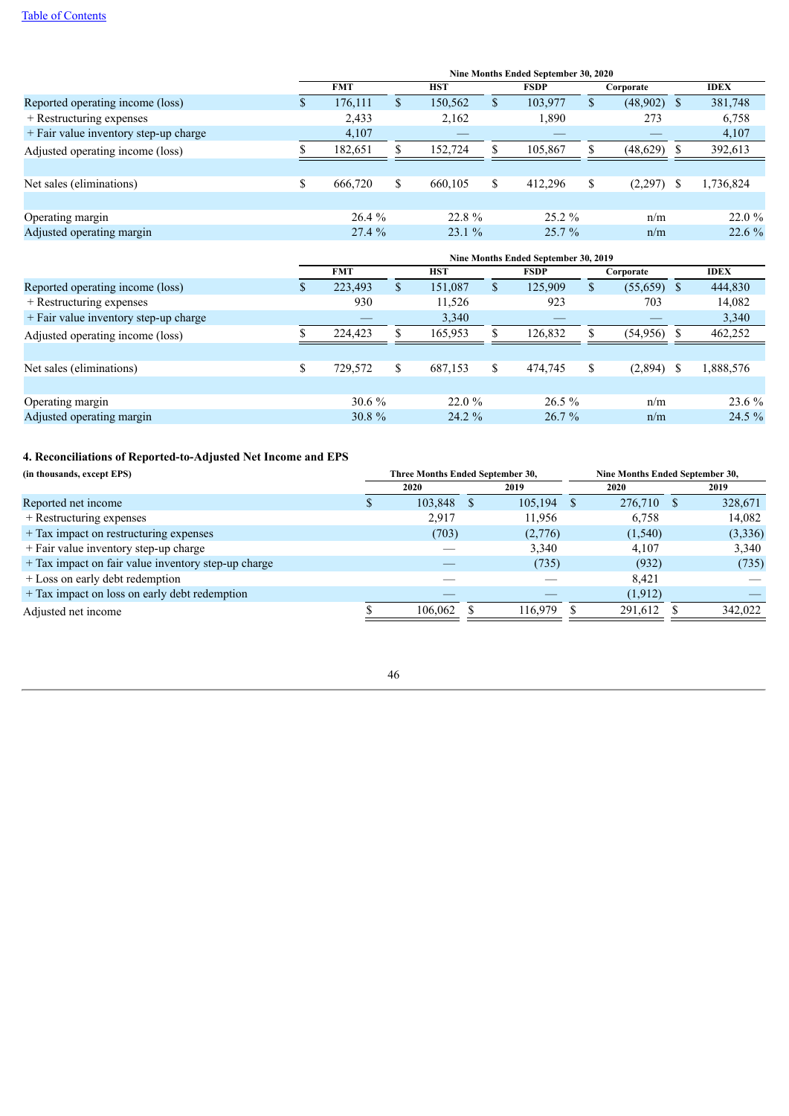# Table of [Contents](#page-1-0)

|                                       | Nine Months Ended September 30, 2020 |            |    |            |    |             |     |               |  |             |  |
|---------------------------------------|--------------------------------------|------------|----|------------|----|-------------|-----|---------------|--|-------------|--|
|                                       |                                      | <b>FMT</b> |    | <b>HST</b> |    | <b>FSDP</b> |     | Corporate     |  | <b>IDEX</b> |  |
| Reported operating income (loss)      | аĐ.                                  | 176,111    | S  | 150,562    | \$ | 103,977     | ۰D. | $(48,902)$ \$ |  | 381,748     |  |
| + Restructuring expenses              |                                      | 2,433      |    | 2,162      |    | 1,890       |     | 273           |  | 6,758       |  |
| + Fair value inventory step-up charge |                                      | 4,107      |    | __         |    |             |     |               |  | 4,107       |  |
| Adjusted operating income (loss)      |                                      | 182,651    |    | 152,724    |    | 105,867     |     | (48, 629)     |  | 392,613     |  |
|                                       |                                      |            |    |            |    |             |     |               |  |             |  |
| Net sales (eliminations)              | \$                                   | 666,720    | \$ | 660,105    | \$ | 412,296     | \$  | $(2,297)$ \$  |  | 1,736,824   |  |
|                                       |                                      |            |    |            |    |             |     |               |  |             |  |
| Operating margin                      |                                      | $26.4 \%$  |    | 22.8 %     |    | $25.2\%$    |     | n/m           |  | $22.0 \%$   |  |
| Adjusted operating margin             |                                      | 27.4%      |    | $23.1\%$   |    | $25.7\%$    |     | n/m           |  | $22.6\%$    |  |

|                                       | Nine Months Ended September 30, 2019 |            |    |            |    |             |  |               |  |             |  |
|---------------------------------------|--------------------------------------|------------|----|------------|----|-------------|--|---------------|--|-------------|--|
|                                       |                                      | <b>FMT</b> |    | <b>HST</b> |    | <b>FSDP</b> |  | Corporate     |  | <b>IDEX</b> |  |
| Reported operating income (loss)      |                                      | 223,493    | S  | 151,087    |    | 125,909     |  | $(55,659)$ \$ |  | 444,830     |  |
| + Restructuring expenses              |                                      | 930        |    | 11,526     |    | 923         |  | 703           |  | 14,082      |  |
| + Fair value inventory step-up charge |                                      | –          |    | 3,340      |    |             |  |               |  | 3,340       |  |
| Adjusted operating income (loss)      |                                      | 224.423    |    | 165,953    |    | 126,832     |  | $(54,956)$ \$ |  | 462,252     |  |
|                                       |                                      |            |    |            |    |             |  |               |  |             |  |
| Net sales (eliminations)              | \$                                   | 729,572    | \$ | 687,153    | \$ | 474,745     |  | $(2,894)$ \$  |  | .888,576    |  |
|                                       |                                      |            |    |            |    |             |  |               |  |             |  |
| Operating margin                      |                                      | $30.6\%$   |    | $22.0 \%$  |    | $26.5\%$    |  | n/m           |  | 23.6 %      |  |
| Adjusted operating margin             |                                      | $30.8 \%$  |    | $24.2 \%$  |    | $26.7\%$    |  | n/m           |  | $24.5\%$    |  |

## **4. Reconciliations of Reported-to-Adjusted Net Income and EPS**

| (in thousands, except EPS)                          | Three Months Ended September 30, |  | Nine Months Ended September 30, |  |         |  |         |
|-----------------------------------------------------|----------------------------------|--|---------------------------------|--|---------|--|---------|
|                                                     | 2020                             |  | 2019                            |  | 2020    |  | 2019    |
| Reported net income                                 | 103,848                          |  | 105,194                         |  | 276.710 |  | 328,671 |
| + Restructuring expenses                            | 2,917                            |  | 11,956                          |  | 6,758   |  | 14,082  |
| + Tax impact on restructuring expenses              | (703)                            |  | (2,776)                         |  | (1,540) |  | (3,336) |
| + Fair value inventory step-up charge               |                                  |  | 3,340                           |  | 4.107   |  | 3,340   |
| + Tax impact on fair value inventory step-up charge |                                  |  | (735)                           |  | (932)   |  | (735)   |
| + Loss on early debt redemption                     |                                  |  |                                 |  | 8.421   |  |         |
| + Tax impact on loss on early debt redemption       |                                  |  |                                 |  | (1,912) |  |         |
| Adjusted net income                                 | 106.062                          |  | 116.979                         |  | 291,612 |  | 342,022 |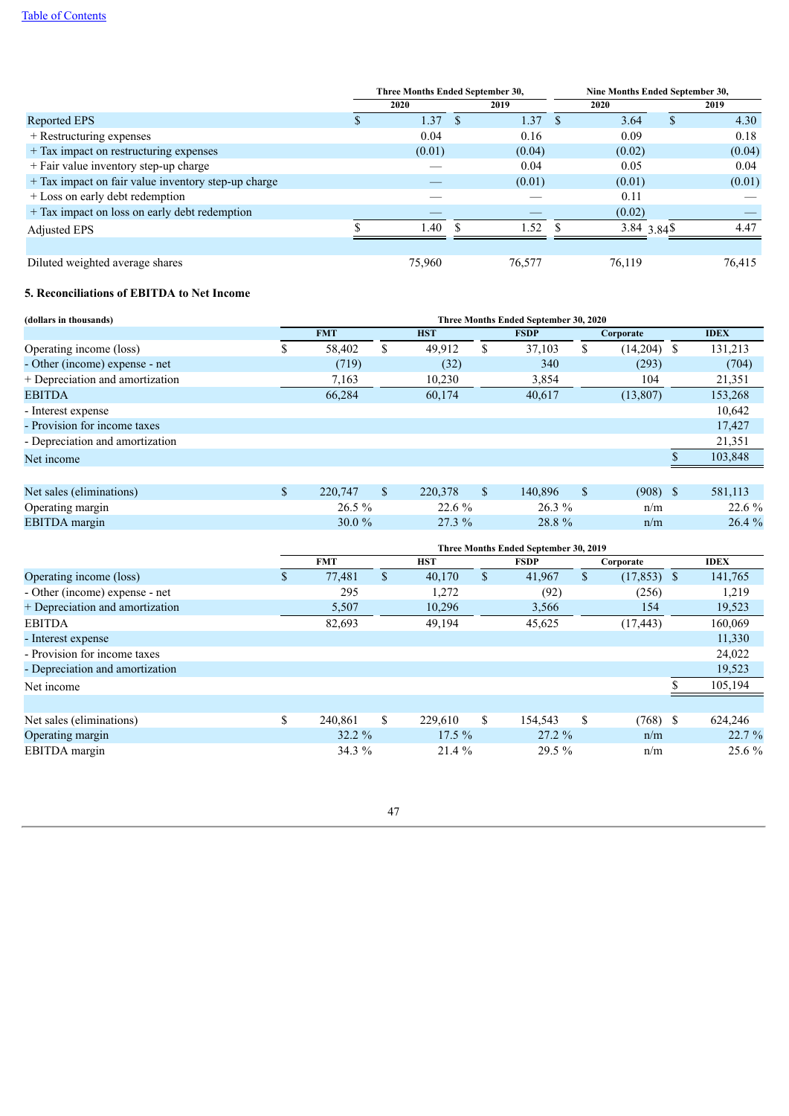|                                                     | Three Months Ended September 30, |        |  | Nine Months Ended September 30, |   |        |
|-----------------------------------------------------|----------------------------------|--------|--|---------------------------------|---|--------|
|                                                     | 2020                             | 2019   |  | 2020                            |   | 2019   |
| Reported EPS                                        | .37                              | 1.37   |  | 3.64                            | S | 4.30   |
| + Restructuring expenses                            | 0.04                             | 0.16   |  | 0.09                            |   | 0.18   |
| + Tax impact on restructuring expenses              | (0.01)                           | (0.04) |  | (0.02)                          |   | (0.04) |
| + Fair value inventory step-up charge               |                                  | 0.04   |  | 0.05                            |   | 0.04   |
| + Tax impact on fair value inventory step-up charge |                                  | (0.01) |  | (0.01)                          |   | (0.01) |
| + Loss on early debt redemption                     |                                  |        |  | 0.11                            |   |        |
| + Tax impact on loss on early debt redemption       |                                  |        |  | (0.02)                          |   |        |
| <b>Adjusted EPS</b>                                 | .40                              | l.52   |  | $3.84$ 3.84\$                   |   | 4.47   |
|                                                     |                                  |        |  |                                 |   |        |
| Diluted weighted average shares                     | 75,960                           | 76,577 |  | 76,119                          |   | 76,415 |

## **5. Reconciliations of EBITDA to Net Income**

| (dollars in thousands)                                                                            | Three Months Ended September 30, 2020 |            |             |            |             |         |             |                 |  |             |
|---------------------------------------------------------------------------------------------------|---------------------------------------|------------|-------------|------------|-------------|---------|-------------|-----------------|--|-------------|
|                                                                                                   |                                       | <b>FMT</b> |             | <b>HST</b> | <b>FSDP</b> |         |             | Corporate       |  | <b>IDEX</b> |
| Operating income (loss)                                                                           |                                       | 58,402     | S           | 49,912     | C           | 37,103  |             | $(14,204)$ \$   |  | 131,213     |
| - Other (income) expense - net                                                                    |                                       | (719)      |             | (32)       |             | 340     |             | (293)           |  | (704)       |
| + Depreciation and amortization                                                                   |                                       | 7,163      |             | 10,230     |             | 3,854   |             | 104             |  | 21,351      |
| <b>EBITDA</b>                                                                                     |                                       | 66,284     |             | 60,174     |             | 40,617  |             | (13,807)        |  | 153,268     |
| - Interest expense                                                                                |                                       |            |             |            |             |         |             |                 |  | 10,642      |
| - Provision for income taxes                                                                      |                                       |            |             |            |             |         |             |                 |  | 17,427      |
| - Depreciation and amortization                                                                   |                                       |            |             |            |             |         |             |                 |  | 21,351      |
| Net income                                                                                        |                                       |            |             |            |             |         |             |                 |  | 103,848     |
|                                                                                                   |                                       |            |             |            |             |         |             |                 |  |             |
| $\mathbf{M}$ and $\mathbf{M}$ and $\mathbf{M}$ and $\mathbf{M}$ are $\mathbf{M}$ and $\mathbf{M}$ | $\triangle$                           | 220.717    | $\triangle$ | 220.270    | $\triangle$ | 1.40.00 | $\triangle$ | $(0.00)$ $\phi$ |  | FQ111Q      |

| Net sales (eliminations) | 220,747   | 220,378      | 140.896  | (908) | 581.113 |
|--------------------------|-----------|--------------|----------|-------|---------|
| Operating margin         | 26.5 %    | 22.6 %       | $26.3\%$ | n/m   | 22.6 %  |
| <b>EBITDA</b> margin     | $30.0 \%$ | 27.<br>$3\%$ | 28.8%    | n/m   | 26.4 %  |

|                                 | Three Months Ended September 30, 2019 |            |    |            |    |             |   |               |  |             |  |
|---------------------------------|---------------------------------------|------------|----|------------|----|-------------|---|---------------|--|-------------|--|
|                                 |                                       | <b>FMT</b> |    | <b>HST</b> |    | <b>FSDP</b> |   | Corporate     |  | <b>IDEX</b> |  |
| Operating income (loss)         | S                                     | 77,481     | \$ | 40,170     | \$ | 41,967      | S | $(17,853)$ \$ |  | 141,765     |  |
| - Other (income) expense - net  |                                       | 295        |    | 1,272      |    | (92)        |   | (256)         |  | 1,219       |  |
| + Depreciation and amortization |                                       | 5,507      |    | 10,296     |    | 3,566       |   | 154           |  | 19,523      |  |
| <b>EBITDA</b>                   |                                       | 82,693     |    | 49,194     |    | 45,625      |   | (17, 443)     |  | 160,069     |  |
| - Interest expense              |                                       |            |    |            |    |             |   |               |  | 11,330      |  |
| - Provision for income taxes    |                                       |            |    |            |    |             |   |               |  | 24,022      |  |
| - Depreciation and amortization |                                       |            |    |            |    |             |   |               |  | 19,523      |  |
| Net income                      |                                       |            |    |            |    |             |   |               |  | 105,194     |  |
|                                 |                                       |            |    |            |    |             |   |               |  |             |  |
| Net sales (eliminations)        | \$                                    | 240.861    | \$ | 229,610    | \$ | 154.543     | S | $(768)$ \$    |  | 624,246     |  |
| Operating margin                |                                       | $32.2 \%$  |    | $17.5\%$   |    | $27.2 \%$   |   | n/m           |  | 22.7%       |  |
| EBITDA margin                   |                                       | $34.3\%$   |    | 21.4 %     |    | 29.5 %      |   | n/m           |  | $25.6\%$    |  |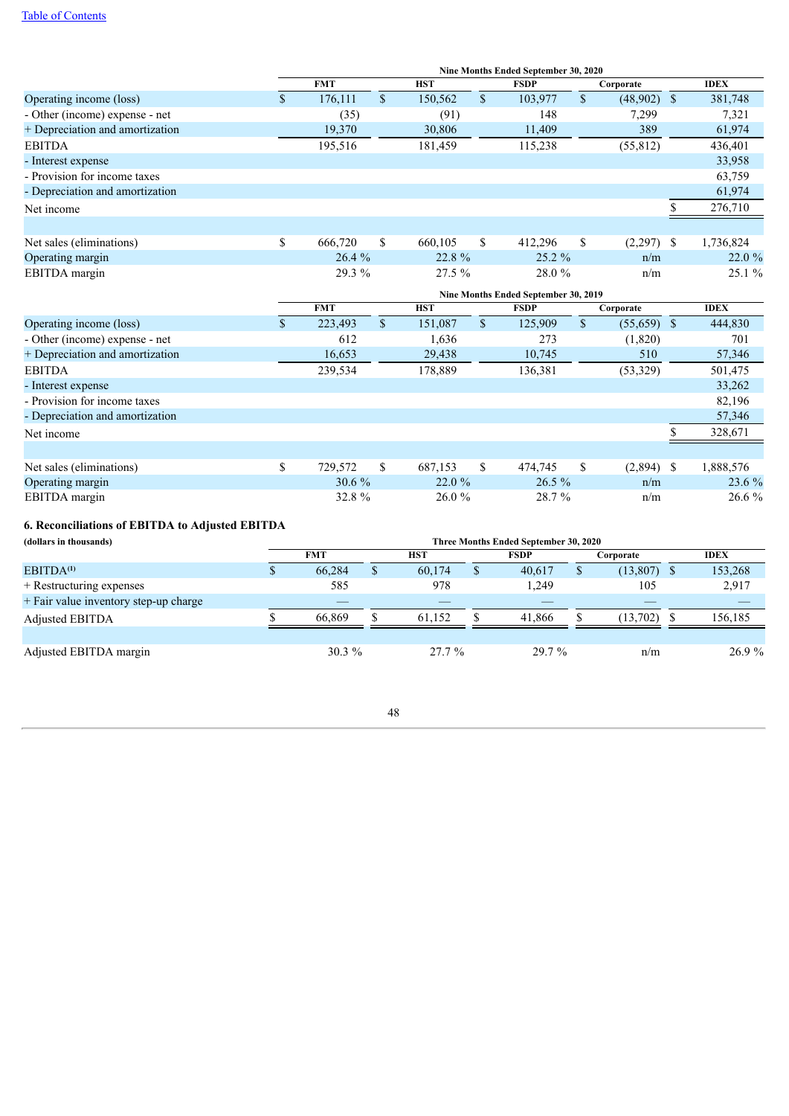# Table of [Contents](#page-1-0)

|                                 | Nine Months Ended September 30, 2020 |            |    |            |              |                                      |              |               |              |             |  |
|---------------------------------|--------------------------------------|------------|----|------------|--------------|--------------------------------------|--------------|---------------|--------------|-------------|--|
|                                 |                                      | <b>FMT</b> |    | <b>HST</b> |              | <b>FSDP</b>                          |              | Corporate     |              | <b>IDEX</b> |  |
| Operating income (loss)         | \$                                   | 176,111    | \$ | 150,562    | $\mathbb{S}$ | 103,977                              | $\mathbb{S}$ | (48,902)      | $\mathbf{s}$ | 381,748     |  |
| - Other (income) expense - net  |                                      | (35)       |    | (91)       |              | 148                                  |              | 7,299         |              | 7,321       |  |
| + Depreciation and amortization |                                      | 19,370     |    | 30,806     |              | 11,409                               |              | 389           |              | 61,974      |  |
| <b>EBITDA</b>                   |                                      | 195,516    |    | 181,459    |              | 115,238                              |              | (55, 812)     |              | 436,401     |  |
| - Interest expense              |                                      |            |    |            |              |                                      |              |               |              | 33,958      |  |
| - Provision for income taxes    |                                      |            |    |            |              |                                      |              |               |              | 63,759      |  |
| - Depreciation and amortization |                                      |            |    |            |              |                                      |              |               |              | 61,974      |  |
| Net income                      |                                      |            |    |            |              |                                      |              |               |              | 276,710     |  |
|                                 |                                      |            |    |            |              |                                      |              |               |              |             |  |
| Net sales (eliminations)        | \$                                   | 666,720    | \$ | 660,105    | \$           | 412,296                              | \$           | $(2,297)$ \$  |              | 1,736,824   |  |
| Operating margin                |                                      | 26.4%      |    | $22.8\%$   |              | $25.2\%$                             |              | n/m           |              | 22.0%       |  |
| EBITDA margin                   |                                      | 29.3 %     |    | $27.5\%$   |              | 28.0 %                               |              | n/m           |              | 25.1%       |  |
|                                 |                                      |            |    |            |              | Nine Months Ended September 30, 2019 |              |               |              |             |  |
|                                 |                                      | <b>FMT</b> |    | <b>HST</b> |              | <b>FSDP</b>                          |              | Corporate     |              | <b>IDEX</b> |  |
| Operating income (loss)         | $\mathbb{S}$                         | 223,493    | \$ | 151,087    | $\mathbb{S}$ | 125,909                              | $\mathbf S$  | $(55,659)$ \$ |              | 444,830     |  |
| - Other (income) expense - net  |                                      | 612        |    | 1,636      |              | 273                                  |              | (1,820)       |              | 701         |  |
| + Depreciation and amortization |                                      | 16,653     |    | 29,438     |              | 10,745                               |              | 510           |              | 57,346      |  |

| EBITDA                          | 239.534  | 178,889       |   | 136,381  | (53,329)           | 501,475   |
|---------------------------------|----------|---------------|---|----------|--------------------|-----------|
| - Interest expense              |          |               |   |          |                    | 33,262    |
| - Provision for income taxes    |          |               |   |          |                    | 82,196    |
| - Depreciation and amortization |          |               |   |          |                    | 57,346    |
| Net income                      |          |               |   |          |                    | 328,671   |
|                                 |          |               |   |          |                    |           |
| Net sales (eliminations)        | 729,572  | \$<br>687,153 | S | 474,745  | \$<br>$(2,894)$ \$ | 1,888,576 |
| Operating margin                | $30.6\%$ | 22.0%         |   | $26.5\%$ | n/m                | 23.6 %    |
| EBITDA margin                   | 32.8 %   | 26.0%         |   | 28.7 %   | n/m                | $26.6\%$  |
|                                 |          |               |   |          |                    |           |

# **6. Reconciliations of EBITDA to Adjusted EBITDA**

| (dollars in thousands)                | Three Months Ended September 30, 2020 |            |  |            |  |             |  |               |  |             |
|---------------------------------------|---------------------------------------|------------|--|------------|--|-------------|--|---------------|--|-------------|
|                                       |                                       | <b>FMT</b> |  | <b>HST</b> |  | <b>FSDP</b> |  | Corporate     |  | <b>IDEX</b> |
| EBITDA <sup>(1)</sup>                 |                                       | 66.284     |  | 60.174     |  | 40.617      |  | $(13,807)$ \$ |  | 153,268     |
| + Restructuring expenses              |                                       | 585        |  | 978        |  | 1.249       |  | 105           |  | 2,917       |
| + Fair value inventory step-up charge |                                       |            |  |            |  |             |  |               |  |             |
| Adjusted EBITDA                       |                                       | 66.869     |  | 61.152     |  | 41.866      |  | (13.702)      |  | 156,185     |
|                                       |                                       |            |  |            |  |             |  |               |  |             |
| Adjusted EBITDA margin                |                                       | $30.3\%$   |  | $27.7\%$   |  | $29.7\%$    |  | n/m           |  | $26.9\%$    |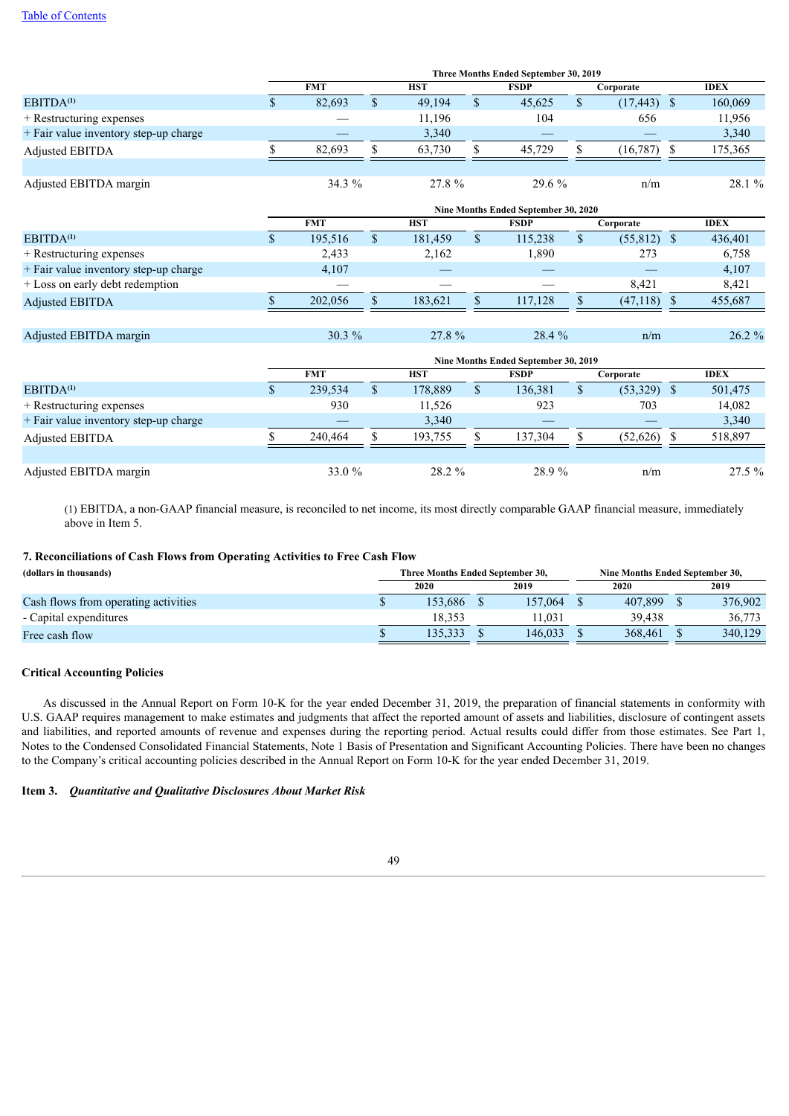#### Table of [Contents](#page-1-0)

|                                       | Three Months Ended September 30, 2019 |            |  |            |   |             |  |                |  |             |  |
|---------------------------------------|---------------------------------------|------------|--|------------|---|-------------|--|----------------|--|-------------|--|
|                                       |                                       | <b>FMT</b> |  | <b>HST</b> |   | <b>FSDP</b> |  | Corporate      |  | <b>IDEX</b> |  |
| EBITDA <sup>(1)</sup>                 |                                       | 82,693     |  | 49,194     | P | 45.625      |  | $(17, 443)$ \$ |  | 160,069     |  |
| + Restructuring expenses              |                                       |            |  | 11,196     |   | 104         |  | 656            |  | 11,956      |  |
| + Fair value inventory step-up charge |                                       |            |  | 3,340      |   |             |  |                |  | 3,340       |  |
| Adjusted EBITDA                       |                                       | 82.693     |  | 63.730     |   | 45.729      |  | (16.787)       |  | 175,365     |  |
|                                       |                                       |            |  |            |   |             |  |                |  |             |  |
| Adjusted EBITDA margin                |                                       | $34.3\%$   |  | 27.8 %     |   | $29.6\%$    |  | n/m            |  | 28.1 %      |  |

|                                       | Nine Months Ended September 30, 2020 |            |  |            |             |         |           |           |  |             |  |  |
|---------------------------------------|--------------------------------------|------------|--|------------|-------------|---------|-----------|-----------|--|-------------|--|--|
|                                       |                                      | <b>FMT</b> |  | <b>HST</b> | <b>FSDP</b> |         | Corporate |           |  | <b>IDEX</b> |  |  |
| EBITDA <sup>(1)</sup>                 |                                      | 195,516    |  | 181.459    |             | 115.238 |           | (55, 812) |  | 436,401     |  |  |
| + Restructuring expenses              |                                      | 2,433      |  | 2,162      |             | 1,890   |           | 273       |  | 6,758       |  |  |
| + Fair value inventory step-up charge |                                      | 4,107      |  |            |             |         |           |           |  | 4,107       |  |  |
| + Loss on early debt redemption       |                                      |            |  |            |             |         |           | 8.421     |  | 8,421       |  |  |
| <b>Adjusted EBITDA</b>                |                                      | 202,056    |  | 183.621    |             | 117.128 |           | (47, 118) |  | 455,687     |  |  |

Adjusted EBITDA margin 26.2 % 30.3 % 27.8 % 28.4 % n/m 26.2 % 28.4 % 28.4 % 28.4 % 28.4 % 26.2 %

|                                       | Nine Months Ended September 30, 2019 |            |  |            |  |             |    |           |  |             |  |
|---------------------------------------|--------------------------------------|------------|--|------------|--|-------------|----|-----------|--|-------------|--|
|                                       |                                      | <b>FMT</b> |  | <b>HST</b> |  | <b>FSDP</b> |    | Corporate |  | <b>IDEX</b> |  |
| EBITDA <sup>(1)</sup>                 |                                      | 239.534    |  | 178,889    |  | 136,381     | \$ | (53,329)  |  | 501,475     |  |
| + Restructuring expenses              |                                      | 930        |  | 11,526     |  | 923         |    | 703       |  | 14,082      |  |
| + Fair value inventory step-up charge |                                      |            |  | 3,340      |  |             |    |           |  | 3,340       |  |
| Adjusted EBITDA                       |                                      | 240,464    |  | 193.755    |  | 137.304     |    | (52,626)  |  | 518,897     |  |
|                                       |                                      |            |  |            |  |             |    |           |  |             |  |
| Adjusted EBITDA margin                |                                      | 33.0 %     |  | $28.2 \%$  |  | 28.9%       |    | n/m       |  | $27.5\%$    |  |

(1) EBITDA, a non-GAAP financial measure, is reconciled to net income, its most directly comparable GAAP financial measure, immediately above in Item 5.

## **7. Reconciliations of Cash Flows from Operating Activities to Free Cash Flow**

| (dollars in thousands)               | Three Months Ended September 30. |             |  | Nine Months Ended September 30. |  |         |  |         |
|--------------------------------------|----------------------------------|-------------|--|---------------------------------|--|---------|--|---------|
|                                      |                                  | <b>2020</b> |  | 2019                            |  | 2020    |  | 2019    |
| Cash flows from operating activities |                                  | 153.686     |  | 157.064                         |  | 407.899 |  | 376.902 |
| - Capital expenditures               |                                  | 18.353      |  | 1.031                           |  | 39.438  |  | 36.773  |
| Free cash flow                       |                                  | 135.333     |  | 146.033                         |  | 368,461 |  | 340,129 |

#### <span id="page-51-0"></span>**Critical Accounting Policies**

As discussed in the Annual Report on Form 10-K for the year ended December 31, 2019, the preparation of financial statements in conformity with U.S. GAAP requires management to make estimates and judgments that affect the reported amount of assets and liabilities, disclosure of contingent assets and liabilities, and reported amounts of revenue and expenses during the reporting period. Actual results could differ from those estimates. See Part 1, Notes to the Condensed Consolidated Financial Statements, Note 1 Basis of Presentation and Significant Accounting Policies. There have been no changes to the Company's critical accounting policies described in the Annual Report on Form 10-K for the year ended December 31, 2019.

#### <span id="page-51-1"></span>**Item 3.** *Quantitative and Qualitative Disclosures About Market Risk*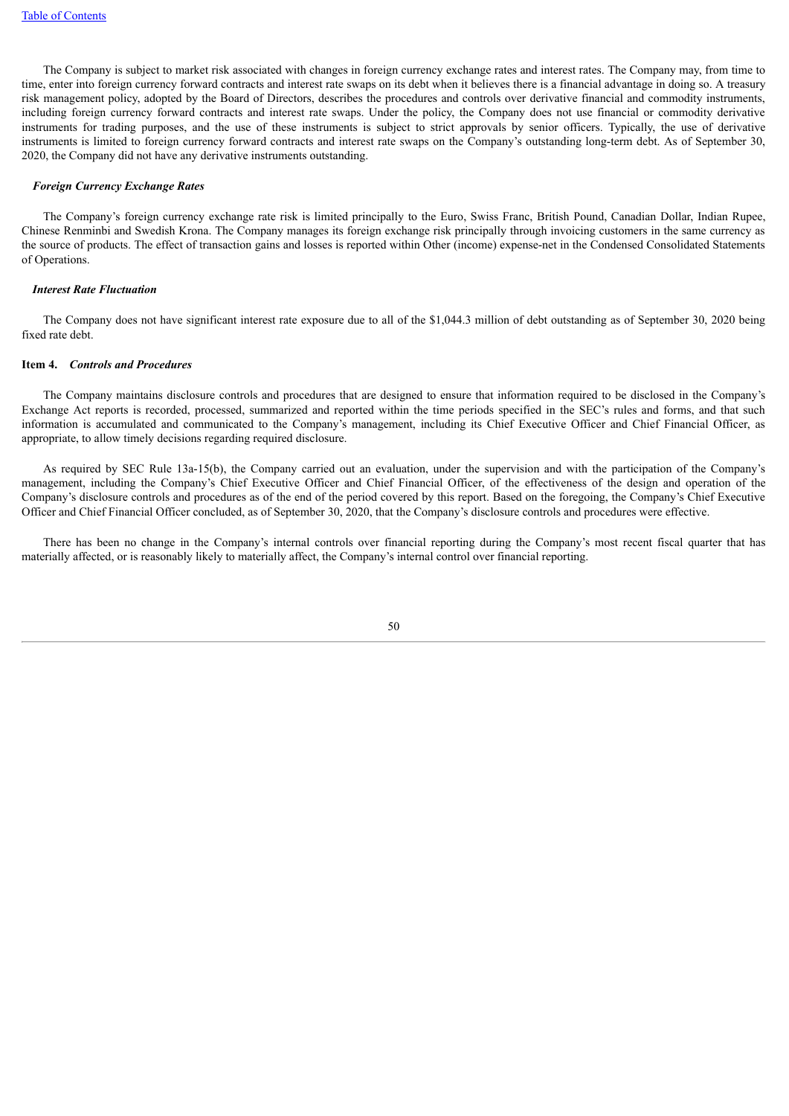The Company is subject to market risk associated with changes in foreign currency exchange rates and interest rates. The Company may, from time to time, enter into foreign currency forward contracts and interest rate swaps on its debt when it believes there is a financial advantage in doing so. A treasury risk management policy, adopted by the Board of Directors, describes the procedures and controls over derivative financial and commodity instruments, including foreign currency forward contracts and interest rate swaps. Under the policy, the Company does not use financial or commodity derivative instruments for trading purposes, and the use of these instruments is subject to strict approvals by senior officers. Typically, the use of derivative instruments is limited to foreign currency forward contracts and interest rate swaps on the Company's outstanding long-term debt. As of September 30, 2020, the Company did not have any derivative instruments outstanding.

#### *Foreign Currency Exchange Rates*

The Company's foreign currency exchange rate risk is limited principally to the Euro, Swiss Franc, British Pound, Canadian Dollar, Indian Rupee, Chinese Renminbi and Swedish Krona. The Company manages its foreign exchange risk principally through invoicing customers in the same currency as the source of products. The effect of transaction gains and losses is reported within Other (income) expense-net in the Condensed Consolidated Statements of Operations.

#### *Interest Rate Fluctuation*

The Company does not have significant interest rate exposure due to all of the \$1,044.3 million of debt outstanding as of September 30, 2020 being fixed rate debt.

#### <span id="page-52-0"></span>**Item 4.** *Controls and Procedures*

The Company maintains disclosure controls and procedures that are designed to ensure that information required to be disclosed in the Company's Exchange Act reports is recorded, processed, summarized and reported within the time periods specified in the SEC's rules and forms, and that such information is accumulated and communicated to the Company's management, including its Chief Executive Officer and Chief Financial Officer, as appropriate, to allow timely decisions regarding required disclosure.

As required by SEC Rule 13a-15(b), the Company carried out an evaluation, under the supervision and with the participation of the Company's management, including the Company's Chief Executive Officer and Chief Financial Officer, of the effectiveness of the design and operation of the Company's disclosure controls and procedures as of the end of the period covered by this report. Based on the foregoing, the Company's Chief Executive Officer and Chief Financial Officer concluded, as of September 30, 2020, that the Company's disclosure controls and procedures were effective.

<span id="page-52-1"></span>There has been no change in the Company's internal controls over financial reporting during the Company's most recent fiscal quarter that has materially affected, or is reasonably likely to materially affect, the Company's internal control over financial reporting.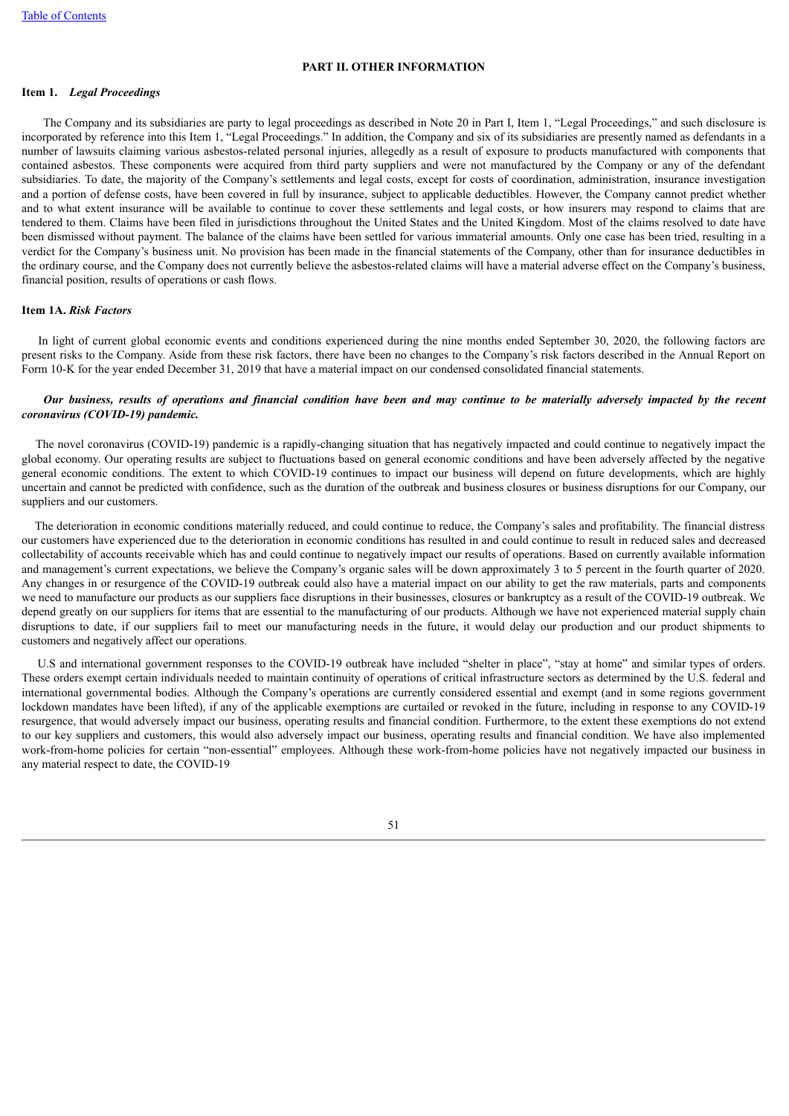#### **PART II. OTHER INFORMATION**

## <span id="page-53-0"></span>**Item 1.** *Legal Proceedings*

The Company and its subsidiaries are party to legal proceedings as described in Note 20 in Part I, Item 1, "Legal Proceedings," and such disclosure is incorporated by reference into this Item 1, "Legal Proceedings." In addition, the Company and six of its subsidiaries are presently named as defendants in a number of lawsuits claiming various asbestos-related personal injuries, allegedly as a result of exposure to products manufactured with components that contained asbestos. These components were acquired from third party suppliers and were not manufactured by the Company or any of the defendant subsidiaries. To date, the majority of the Company's settlements and legal costs, except for costs of coordination, administration, insurance investigation and a portion of defense costs, have been covered in full by insurance, subject to applicable deductibles. However, the Company cannot predict whether and to what extent insurance will be available to continue to cover these settlements and legal costs, or how insurers may respond to claims that are tendered to them. Claims have been filed in jurisdictions throughout the United States and the United Kingdom. Most of the claims resolved to date have been dismissed without payment. The balance of the claims have been settled for various immaterial amounts. Only one case has been tried, resulting in a verdict for the Company's business unit. No provision has been made in the financial statements of the Company, other than for insurance deductibles in the ordinary course, and the Company does not currently believe the asbestos-related claims will have a material adverse effect on the Company's business, financial position, results of operations or cash flows.

#### <span id="page-53-1"></span>**Item 1A.** *Risk Factors*

In light of current global economic events and conditions experienced during the nine months ended September 30, 2020, the following factors are present risks to the Company. Aside from these risk factors, there have been no changes to the Company's risk factors described in the Annual Report on Form 10-K for the year ended December 31, 2019 that have a material impact on our condensed consolidated financial statements.

## Our business, results of operations and financial condition have been and may continue to be materially adversely impacted by the recent *coronavirus (COVID-19) pandemic.*

The novel coronavirus (COVID-19) pandemic is a rapidly-changing situation that has negatively impacted and could continue to negatively impact the global economy. Our operating results are subject to fluctuations based on general economic conditions and have been adversely affected by the negative general economic conditions. The extent to which COVID-19 continues to impact our business will depend on future developments, which are highly uncertain and cannot be predicted with confidence, such as the duration of the outbreak and business closures or business disruptions for our Company, our suppliers and our customers.

The deterioration in economic conditions materially reduced, and could continue to reduce, the Company's sales and profitability. The financial distress our customers have experienced due to the deterioration in economic conditions has resulted in and could continue to result in reduced sales and decreased collectability of accounts receivable which has and could continue to negatively impact our results of operations. Based on currently available information and management's current expectations, we believe the Company's organic sales will be down approximately 3 to 5 percent in the fourth quarter of 2020. Any changes in or resurgence of the COVID-19 outbreak could also have a material impact on our ability to get the raw materials, parts and components we need to manufacture our products as our suppliers face disruptions in their businesses, closures or bankruptcy as a result of the COVID-19 outbreak. We depend greatly on our suppliers for items that are essential to the manufacturing of our products. Although we have not experienced material supply chain disruptions to date, if our suppliers fail to meet our manufacturing needs in the future, it would delay our production and our product shipments to customers and negatively affect our operations.

U.S and international government responses to the COVID-19 outbreak have included "shelter in place", "stay at home" and similar types of orders. These orders exempt certain individuals needed to maintain continuity of operations of critical infrastructure sectors as determined by the U.S. federal and international governmental bodies. Although the Company's operations are currently considered essential and exempt (and in some regions government lockdown mandates have been lifted), if any of the applicable exemptions are curtailed or revoked in the future, including in response to any COVID-19 resurgence, that would adversely impact our business, operating results and financial condition. Furthermore, to the extent these exemptions do not extend to our key suppliers and customers, this would also adversely impact our business, operating results and financial condition. We have also implemented work-from-home policies for certain "non-essential" employees. Although these work-from-home policies have not negatively impacted our business in any material respect to date, the COVID-19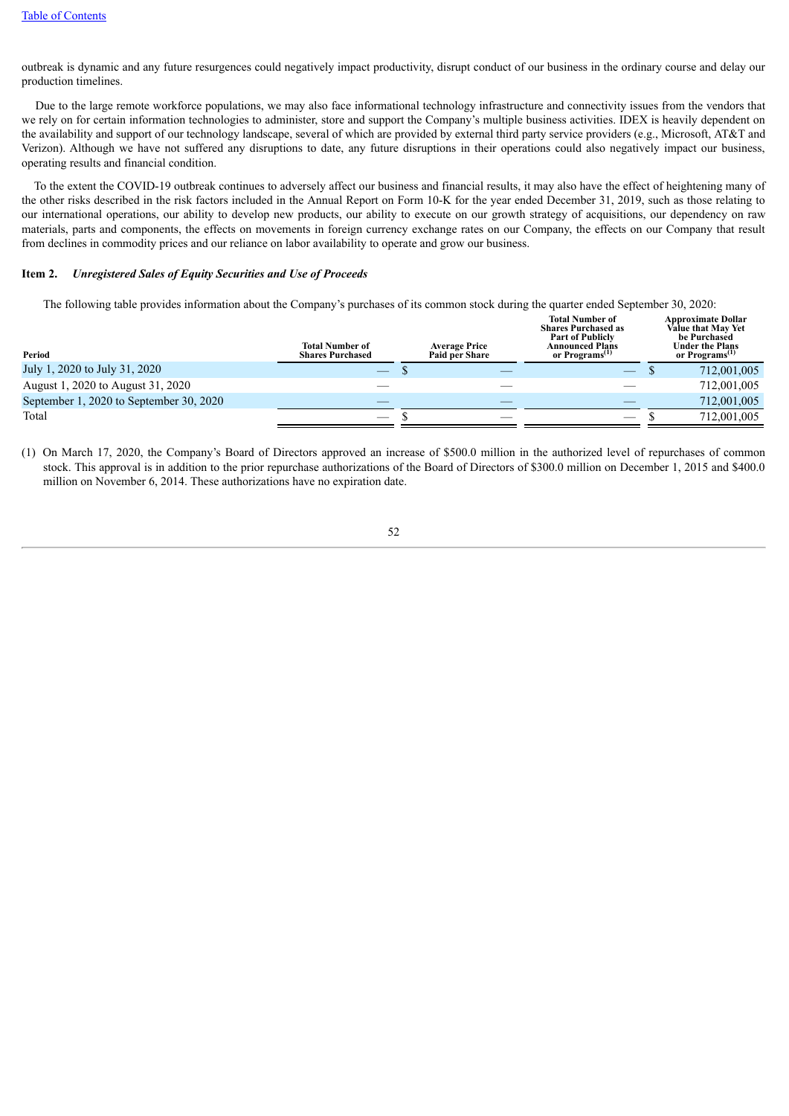outbreak is dynamic and any future resurgences could negatively impact productivity, disrupt conduct of our business in the ordinary course and delay our production timelines.

Due to the large remote workforce populations, we may also face informational technology infrastructure and connectivity issues from the vendors that we rely on for certain information technologies to administer, store and support the Company's multiple business activities. IDEX is heavily dependent on the availability and support of our technology landscape, several of which are provided by external third party service providers (e.g., Microsoft, AT&T and Verizon). Although we have not suffered any disruptions to date, any future disruptions in their operations could also negatively impact our business, operating results and financial condition.

To the extent the COVID-19 outbreak continues to adversely affect our business and financial results, it may also have the effect of heightening many of the other risks described in the risk factors included in the Annual Report on Form 10-K for the year ended December 31, 2019, such as those relating to our international operations, our ability to develop new products, our ability to execute on our growth strategy of acquisitions, our dependency on raw materials, parts and components, the effects on movements in foreign currency exchange rates on our Company, the effects on our Company that result from declines in commodity prices and our reliance on labor availability to operate and grow our business.

#### <span id="page-54-0"></span>**Item 2.** *Unregistered Sales of Equity Securities and Use of Proceeds*

The following table provides information about the Company's purchases of its common stock during the quarter ended September 30, 2020:

| Period                                  | <b>Total Number of</b><br><b>Shares Purchased</b> | <b>Average Price</b><br><b>Paid per Share</b> | <b>Total Number of</b><br><b>Shares Purchased as</b><br><b>Part of Publicly</b><br><b>Announced Plans</b><br>or Programs <sup>(1)</sup> | <b>Approximate Dollar</b><br><b>Value that May Yet</b><br>be Purchased<br><b>Under the Plans</b><br>or Programs <sup>(1)</sup> |
|-----------------------------------------|---------------------------------------------------|-----------------------------------------------|-----------------------------------------------------------------------------------------------------------------------------------------|--------------------------------------------------------------------------------------------------------------------------------|
| July 1, 2020 to July 31, 2020           |                                                   |                                               | $\qquad \qquad -$                                                                                                                       | 712,001,005                                                                                                                    |
| August 1, 2020 to August 31, 2020       |                                                   |                                               |                                                                                                                                         | 712,001,005                                                                                                                    |
| September 1, 2020 to September 30, 2020 |                                                   |                                               |                                                                                                                                         | 712,001,005                                                                                                                    |
| Total                                   | $\hspace{0.05cm}$                                 |                                               | $\hspace{0.05cm}$                                                                                                                       | 712,001,005                                                                                                                    |

<span id="page-54-1"></span>(1) On March 17, 2020, the Company's Board of Directors approved an increase of \$500.0 million in the authorized level of repurchases of common stock. This approval is in addition to the prior repurchase authorizations of the Board of Directors of \$300.0 million on December 1, 2015 and \$400.0 million on November 6, 2014. These authorizations have no expiration date.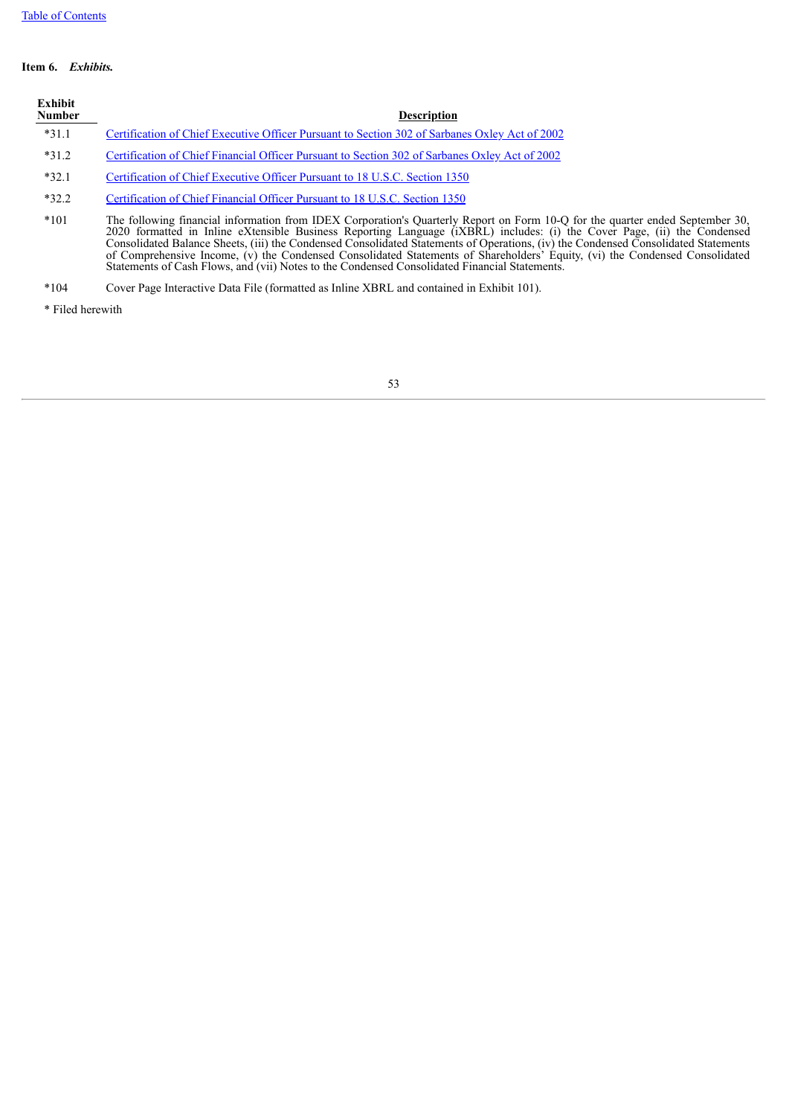## **Item 6.** *Exhibits.*

| Exhibit<br><b>Number</b> | Description                                                                                                                                                                                                                                                                                                                                                                                                                                                                                                                                                                                                                     |
|--------------------------|---------------------------------------------------------------------------------------------------------------------------------------------------------------------------------------------------------------------------------------------------------------------------------------------------------------------------------------------------------------------------------------------------------------------------------------------------------------------------------------------------------------------------------------------------------------------------------------------------------------------------------|
| $*31.1$                  | Certification of Chief Executive Officer Pursuant to Section 302 of Sarbanes Oxley Act of 2002                                                                                                                                                                                                                                                                                                                                                                                                                                                                                                                                  |
| $*31.2$                  | Certification of Chief Financial Officer Pursuant to Section 302 of Sarbanes Oxley Act of 2002                                                                                                                                                                                                                                                                                                                                                                                                                                                                                                                                  |
| $*32.1$                  | Certification of Chief Executive Officer Pursuant to 18 U.S.C. Section 1350                                                                                                                                                                                                                                                                                                                                                                                                                                                                                                                                                     |
| $*32.2$                  | Certification of Chief Financial Officer Pursuant to 18 U.S.C. Section 1350                                                                                                                                                                                                                                                                                                                                                                                                                                                                                                                                                     |
| $*101$                   | The following financial information from IDEX Corporation's Quarterly Report on Form 10-Q for the quarter ended September 30,<br>2020 formatted in Inline eXtensible Business Reporting Language (iXBRL) includes: (i) the Cover Page, (ii) the Condensed<br>Consolidated Balance Sheets, (iii) the Condensed Consolidated Statements of Operations, (iv) the Condensed Consolidated Statements<br>of Comprehensive Income, (v) the Condensed Consolidated Statements of Shareholders' Equity, (vi) the Condensed Consolidated<br>Statements of Cash Flows, and (vii) Notes to the Condensed Consolidated Financial Statements. |

\*104 Cover Page Interactive Data File (formatted as Inline XBRL and contained in Exhibit 101).

<span id="page-55-0"></span>\* Filed herewith

|    | I  |
|----|----|
|    |    |
|    |    |
|    |    |
|    |    |
| ۰, | ۰. |
|    |    |
| ×  | ۰, |
|    |    |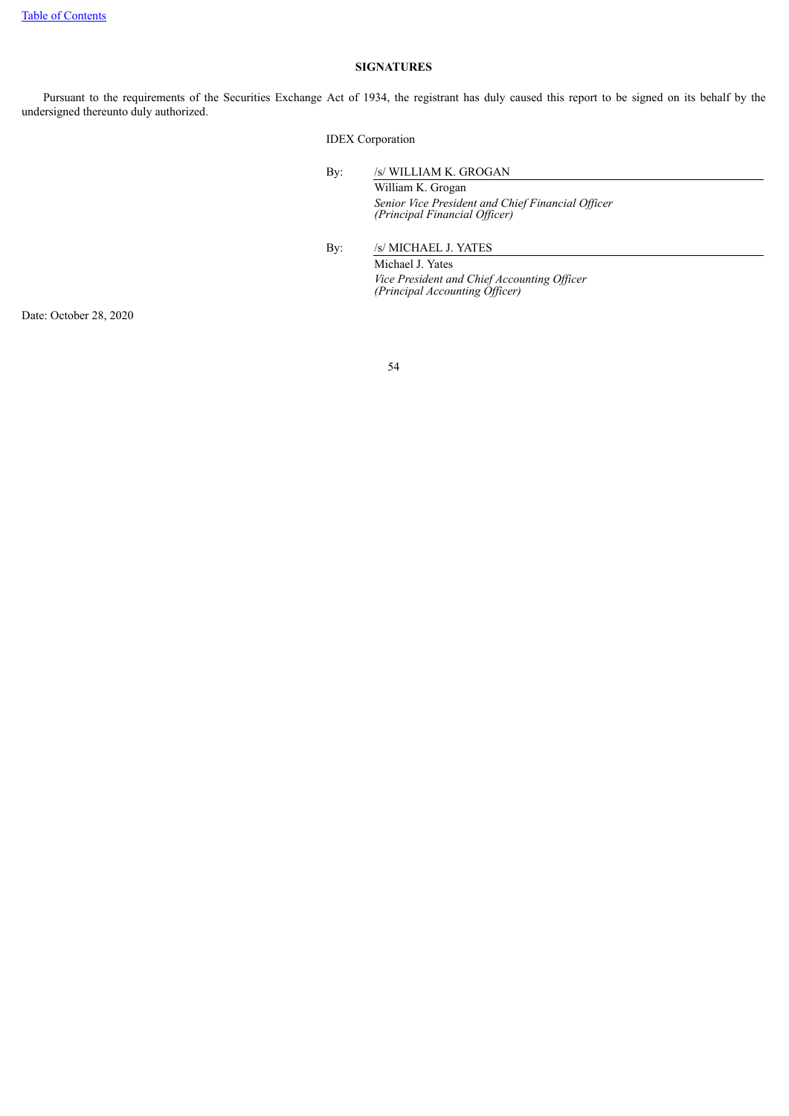## **SIGNATURES**

Pursuant to the requirements of the Securities Exchange Act of 1934, the registrant has duly caused this report to be signed on its behalf by the undersigned thereunto duly authorized.

IDEX Corporation

By: /s/ WILLIAM K. GROGAN William K. Grogan

*Senior Vice President and Chief Financial Of icer (Principal Financial Of icer)*

By: /s/ MICHAEL J. YATES

Michael J. Yates *Vice President and Chief Accounting Of icer (Principal Accounting Of icer)*

Date: October 28, 2020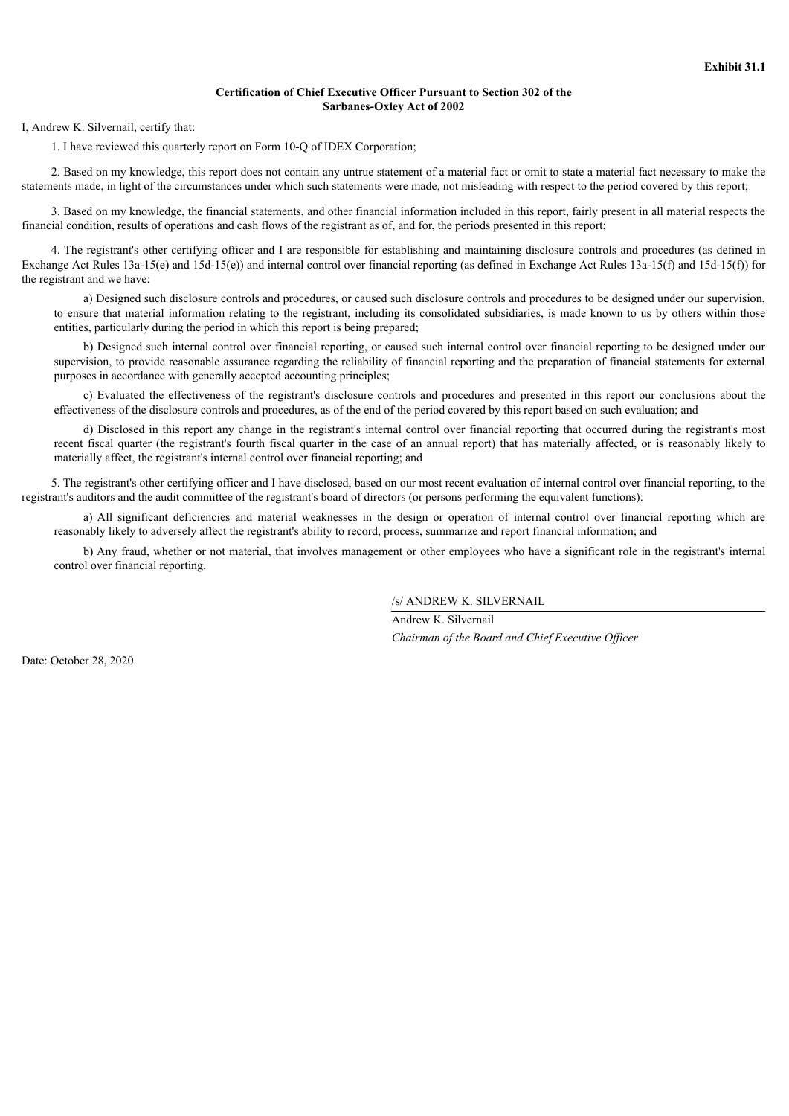## **Certification of Chief Executive Officer Pursuant to Section 302 of the Sarbanes-Oxley Act of 2002**

<span id="page-57-0"></span>I, Andrew K. Silvernail, certify that:

1. I have reviewed this quarterly report on Form 10-Q of IDEX Corporation;

2. Based on my knowledge, this report does not contain any untrue statement of a material fact or omit to state a material fact necessary to make the statements made, in light of the circumstances under which such statements were made, not misleading with respect to the period covered by this report;

3. Based on my knowledge, the financial statements, and other financial information included in this report, fairly present in all material respects the financial condition, results of operations and cash flows of the registrant as of, and for, the periods presented in this report;

4. The registrant's other certifying officer and I are responsible for establishing and maintaining disclosure controls and procedures (as defined in Exchange Act Rules 13a-15(e) and 15d-15(e)) and internal control over financial reporting (as defined in Exchange Act Rules 13a-15(f) and 15d-15(f)) for the registrant and we have:

a) Designed such disclosure controls and procedures, or caused such disclosure controls and procedures to be designed under our supervision, to ensure that material information relating to the registrant, including its consolidated subsidiaries, is made known to us by others within those entities, particularly during the period in which this report is being prepared;

b) Designed such internal control over financial reporting, or caused such internal control over financial reporting to be designed under our supervision, to provide reasonable assurance regarding the reliability of financial reporting and the preparation of financial statements for external purposes in accordance with generally accepted accounting principles;

c) Evaluated the effectiveness of the registrant's disclosure controls and procedures and presented in this report our conclusions about the effectiveness of the disclosure controls and procedures, as of the end of the period covered by this report based on such evaluation; and

d) Disclosed in this report any change in the registrant's internal control over financial reporting that occurred during the registrant's most recent fiscal quarter (the registrant's fourth fiscal quarter in the case of an annual report) that has materially affected, or is reasonably likely to materially affect, the registrant's internal control over financial reporting; and

5. The registrant's other certifying officer and I have disclosed, based on our most recent evaluation of internal control over financial reporting, to the registrant's auditors and the audit committee of the registrant's board of directors (or persons performing the equivalent functions):

a) All significant deficiencies and material weaknesses in the design or operation of internal control over financial reporting which are reasonably likely to adversely affect the registrant's ability to record, process, summarize and report financial information; and

b) Any fraud, whether or not material, that involves management or other employees who have a significant role in the registrant's internal control over financial reporting.

/s/ ANDREW K. SILVERNAIL

Andrew K. Silvernail *Chairman of the Board and Chief Executive Of icer*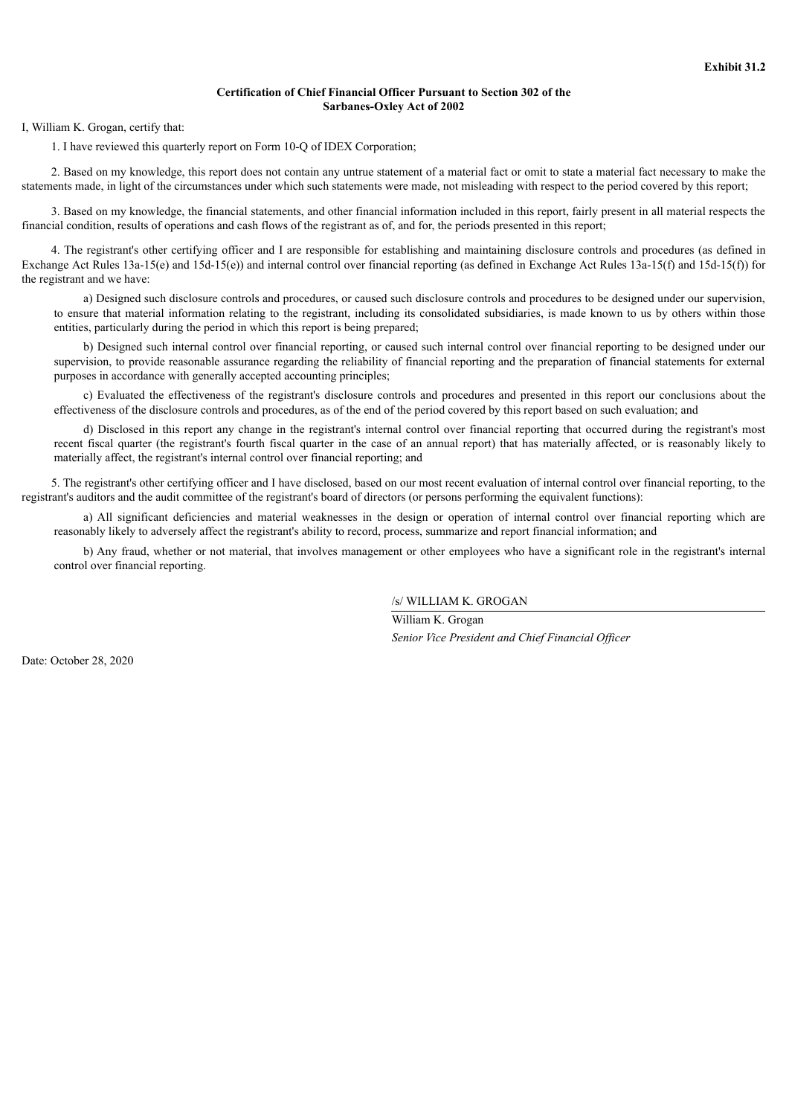## **Certification of Chief Financial Officer Pursuant to Section 302 of the Sarbanes-Oxley Act of 2002**

<span id="page-58-0"></span>I, William K. Grogan, certify that:

1. I have reviewed this quarterly report on Form 10-Q of IDEX Corporation;

2. Based on my knowledge, this report does not contain any untrue statement of a material fact or omit to state a material fact necessary to make the statements made, in light of the circumstances under which such statements were made, not misleading with respect to the period covered by this report;

3. Based on my knowledge, the financial statements, and other financial information included in this report, fairly present in all material respects the financial condition, results of operations and cash flows of the registrant as of, and for, the periods presented in this report;

4. The registrant's other certifying officer and I are responsible for establishing and maintaining disclosure controls and procedures (as defined in Exchange Act Rules 13a-15(e) and 15d-15(e)) and internal control over financial reporting (as defined in Exchange Act Rules 13a-15(f) and 15d-15(f)) for the registrant and we have:

a) Designed such disclosure controls and procedures, or caused such disclosure controls and procedures to be designed under our supervision, to ensure that material information relating to the registrant, including its consolidated subsidiaries, is made known to us by others within those entities, particularly during the period in which this report is being prepared;

b) Designed such internal control over financial reporting, or caused such internal control over financial reporting to be designed under our supervision, to provide reasonable assurance regarding the reliability of financial reporting and the preparation of financial statements for external purposes in accordance with generally accepted accounting principles;

c) Evaluated the effectiveness of the registrant's disclosure controls and procedures and presented in this report our conclusions about the effectiveness of the disclosure controls and procedures, as of the end of the period covered by this report based on such evaluation; and

d) Disclosed in this report any change in the registrant's internal control over financial reporting that occurred during the registrant's most recent fiscal quarter (the registrant's fourth fiscal quarter in the case of an annual report) that has materially affected, or is reasonably likely to materially affect, the registrant's internal control over financial reporting; and

5. The registrant's other certifying officer and I have disclosed, based on our most recent evaluation of internal control over financial reporting, to the registrant's auditors and the audit committee of the registrant's board of directors (or persons performing the equivalent functions):

a) All significant deficiencies and material weaknesses in the design or operation of internal control over financial reporting which are reasonably likely to adversely affect the registrant's ability to record, process, summarize and report financial information; and

b) Any fraud, whether or not material, that involves management or other employees who have a significant role in the registrant's internal control over financial reporting.

#### /s/ WILLIAM K. GROGAN

William K. Grogan *Senior Vice President and Chief Financial Of icer*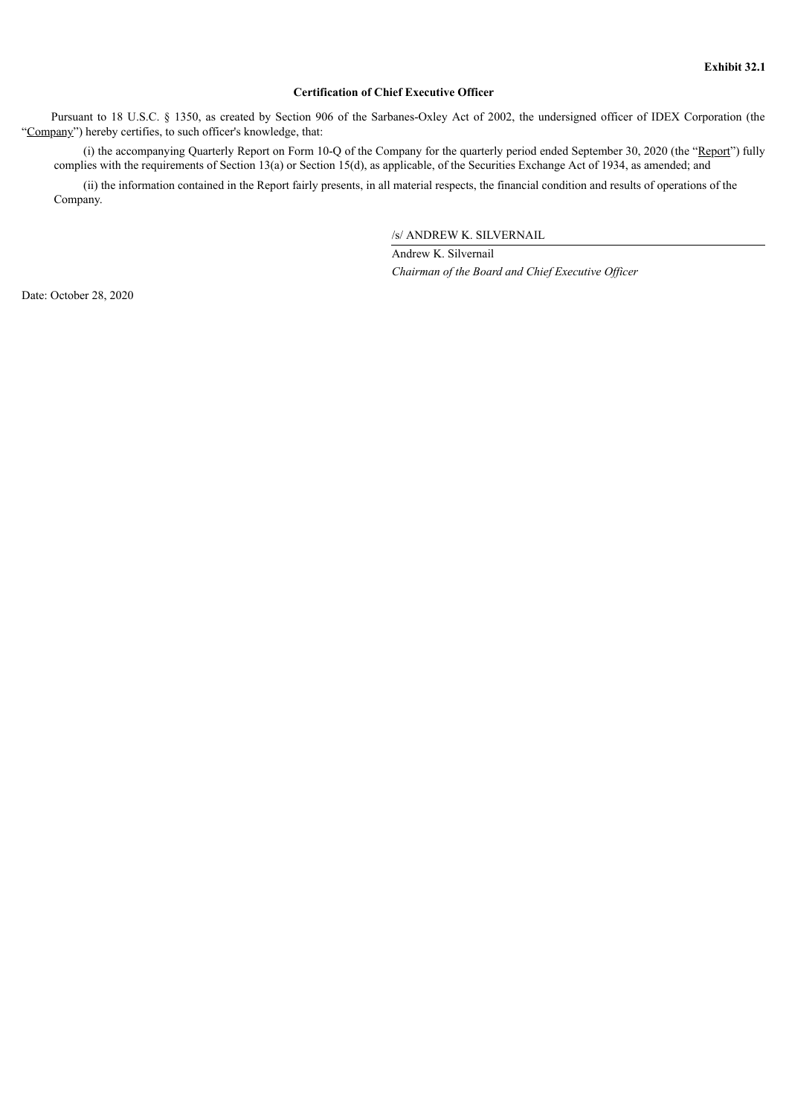#### **Certification of Chief Executive Officer**

<span id="page-59-0"></span>Pursuant to 18 U.S.C. § 1350, as created by Section 906 of the Sarbanes-Oxley Act of 2002, the undersigned officer of IDEX Corporation (the "Company") hereby certifies, to such officer's knowledge, that:

(i) the accompanying Quarterly Report on Form 10-Q of the Company for the quarterly period ended September 30, 2020 (the "Report") fully complies with the requirements of Section 13(a) or Section 15(d), as applicable, of the Securities Exchange Act of 1934, as amended; and

(ii) the information contained in the Report fairly presents, in all material respects, the financial condition and results of operations of the Company.

/s/ ANDREW K. SILVERNAIL

Andrew K. Silvernail *Chairman of the Board and Chief Executive Of icer*